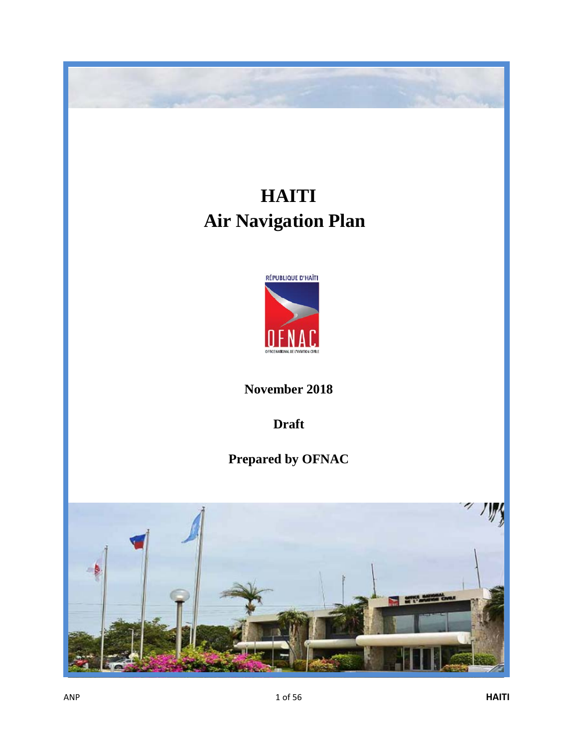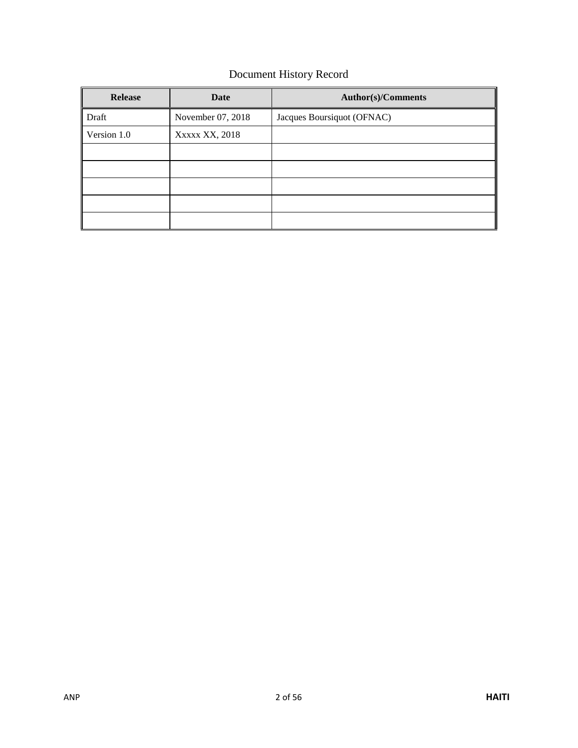# Document History Record

| <b>Release</b> | <b>Date</b>       | <b>Author(s)/Comments</b>  |
|----------------|-------------------|----------------------------|
| Draft          | November 07, 2018 | Jacques Boursiquot (OFNAC) |
| Version 1.0    | XXXXX XX, 2018    |                            |
|                |                   |                            |
|                |                   |                            |
|                |                   |                            |
|                |                   |                            |
|                |                   |                            |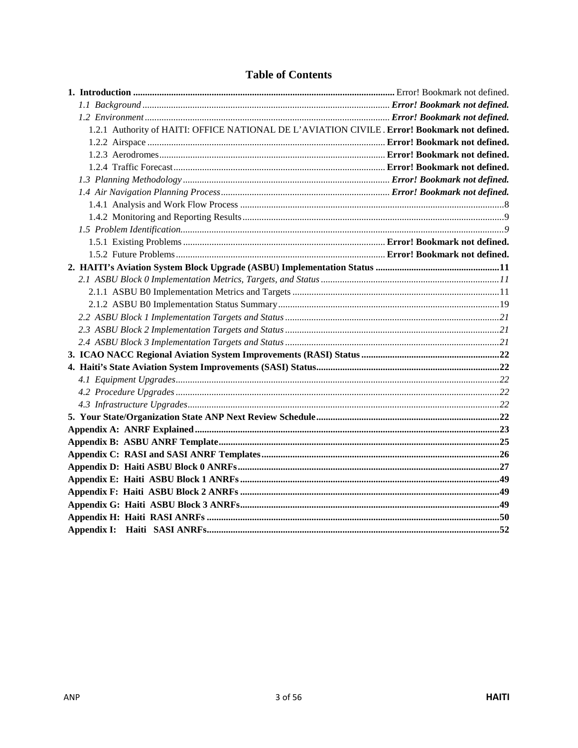| 1.2.1 Authority of HAITI: OFFICE NATIONAL DE L'AVIATION CIVILE. Error! Bookmark not defined. |  |
|----------------------------------------------------------------------------------------------|--|
|                                                                                              |  |
|                                                                                              |  |
|                                                                                              |  |
|                                                                                              |  |
|                                                                                              |  |
|                                                                                              |  |
|                                                                                              |  |
|                                                                                              |  |
|                                                                                              |  |
|                                                                                              |  |
|                                                                                              |  |
|                                                                                              |  |
|                                                                                              |  |
|                                                                                              |  |
|                                                                                              |  |
|                                                                                              |  |
|                                                                                              |  |
|                                                                                              |  |
|                                                                                              |  |
|                                                                                              |  |
|                                                                                              |  |
|                                                                                              |  |
|                                                                                              |  |
|                                                                                              |  |
|                                                                                              |  |
|                                                                                              |  |
|                                                                                              |  |
|                                                                                              |  |
|                                                                                              |  |
|                                                                                              |  |
|                                                                                              |  |
|                                                                                              |  |

# **Table of Contents**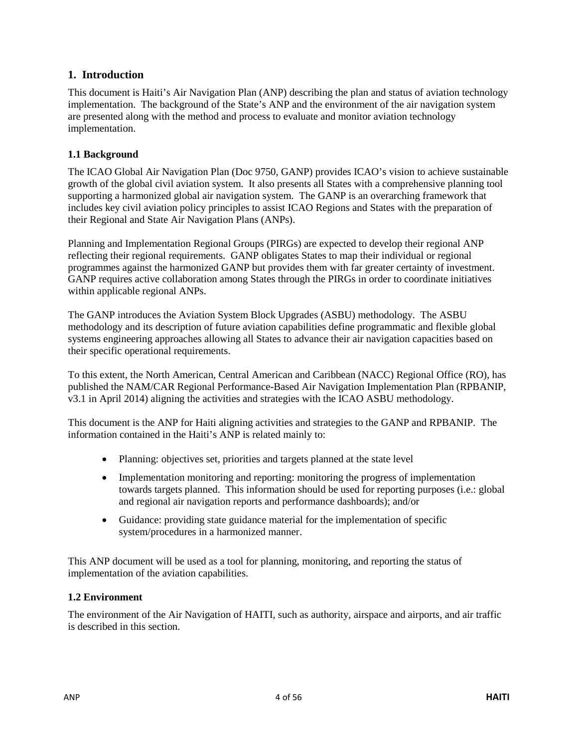## **1. Introduction**

This document is Haiti's Air Navigation Plan (ANP) describing the plan and status of aviation technology implementation. The background of the State's ANP and the environment of the air navigation system are presented along with the method and process to evaluate and monitor aviation technology implementation.

### **1.1 Background**

The ICAO Global Air Navigation Plan (Doc 9750, GANP) provides ICAO's vision to achieve sustainable growth of the global civil aviation system. It also presents all States with a comprehensive planning tool supporting a harmonized global air navigation system. The GANP is an overarching framework that includes key civil aviation policy principles to assist ICAO Regions and States with the preparation of their Regional and State Air Navigation Plans (ANPs).

Planning and Implementation Regional Groups (PIRGs) are expected to develop their regional ANP reflecting their regional requirements. GANP obligates States to map their individual or regional programmes against the harmonized GANP but provides them with far greater certainty of investment. GANP requires active collaboration among States through the PIRGs in order to coordinate initiatives within applicable regional ANPs.

The GANP introduces the Aviation System Block Upgrades (ASBU) methodology. The ASBU methodology and its description of future aviation capabilities define programmatic and flexible global systems engineering approaches allowing all States to advance their air navigation capacities based on their specific operational requirements.

To this extent, the North American, Central American and Caribbean (NACC) Regional Office (RO), has published the NAM/CAR Regional Performance-Based Air Navigation Implementation Plan (RPBANIP, v3.1 in April 2014) aligning the activities and strategies with the ICAO ASBU methodology.

This document is the ANP for Haiti aligning activities and strategies to the GANP and RPBANIP. The information contained in the Haiti's ANP is related mainly to:

- Planning: objectives set, priorities and targets planned at the state level
- Implementation monitoring and reporting: monitoring the progress of implementation towards targets planned. This information should be used for reporting purposes (i.e.: global and regional air navigation reports and performance dashboards); and/or
- Guidance: providing state guidance material for the implementation of specific system/procedures in a harmonized manner.

This ANP document will be used as a tool for planning, monitoring, and reporting the status of implementation of the aviation capabilities.

#### **1.2 Environment**

The environment of the Air Navigation of HAITI, such as authority, airspace and airports, and air traffic is described in this section.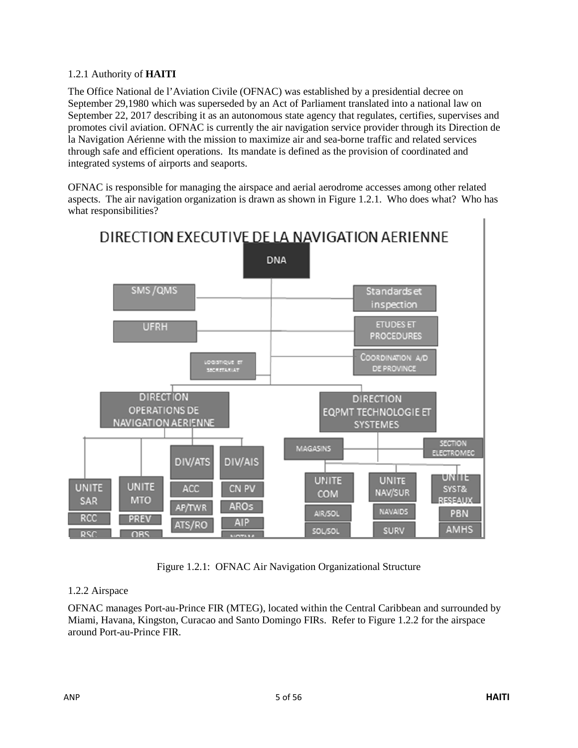#### 1.2.1 Authority of **HAITI**

The Office National de l'Aviation Civile (OFNAC) was established by a presidential decree on September 29,1980 which was superseded by an Act of Parliament translated into a national law on September 22, 2017 describing it as an autonomous state agency that regulates, certifies, supervises and promotes civil aviation. OFNAC is currently the air navigation service provider through its Direction de la Navigation Aérienne with the mission to maximize air and sea-borne traffic and related services through safe and efficient operations. Its mandate is defined as the provision of coordinated and integrated systems of airports and seaports.

OFNAC is responsible for managing the airspace and aerial aerodrome accesses among other related aspects. The air navigation organization is drawn as shown in Figure 1.2.1. Who does what? Who has what responsibilities?



Figure 1.2.1: OFNAC Air Navigation Organizational Structure

#### 1.2.2 Airspace

OFNAC manages Port-au-Prince FIR (MTEG), located within the Central Caribbean and surrounded by Miami, Havana, Kingston, Curacao and Santo Domingo FIRs. Refer to Figure 1.2.2 for the airspace around Port-au-Prince FIR.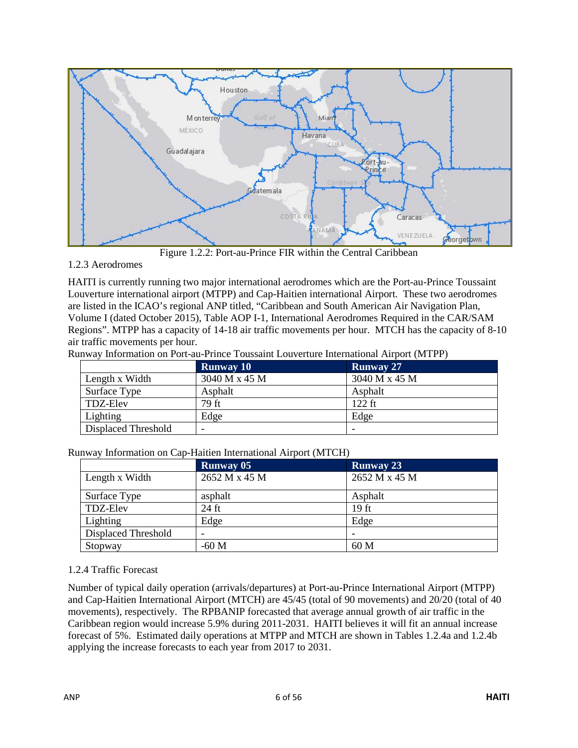

Figure 1.2.2: Port-au-Prince FIR within the Central Caribbean

## 1.2.3 Aerodromes

HAITI is currently running two major international aerodromes which are the Port-au-Prince Toussaint Louverture international airport (MTPP) and Cap-Haitien international Airport. These two aerodromes are listed in the ICAO's regional ANP titled, "Caribbean and South American Air Navigation Plan, Volume I (dated October 2015), Table AOP I-1, International Aerodromes Required in the CAR/SAM Regions". MTPP has a capacity of 14-18 air traffic movements per hour. MTCH has the capacity of 8-10 air traffic movements per hour.

Runway Information on Port-au-Prince Toussaint Louverture International Airport (MTPP)

|                     | <b>Runway 10</b> | <b>Runway 27</b> |
|---------------------|------------------|------------------|
| Length x Width      | 3040 M x 45 M    | 3040 M x 45 M    |
| Surface Type        | Asphalt          | Asphalt          |
| TDZ-Elev            | 79 ft            | $122$ ft         |
| Lighting            | Edge             | Edge             |
| Displaced Threshold |                  |                  |

|                     | <b>Runway 05</b> | <b>Runway 23</b> |
|---------------------|------------------|------------------|
| Length x Width      | 2652 M x 45 M    | 2652 M x 45 M    |
| Surface Type        | asphalt          | Asphalt          |
| <b>TDZ-Elev</b>     | $24$ ft          | 19 ft            |
| Lighting            | Edge             | Edge             |
| Displaced Threshold |                  |                  |
| Stopway             | $-60$ M          | 60 M             |

Runway Information on Cap-Haitien International Airport (MTCH)

## 1.2.4 Traffic Forecast

Number of typical daily operation (arrivals/departures) at Port-au-Prince International Airport (MTPP) and Cap-Haitien International Airport (MTCH) are 45/45 (total of 90 movements) and 20/20 (total of 40 movements), respectively. The RPBANIP forecasted that average annual growth of air traffic in the Caribbean region would increase 5.9% during 2011-2031. HAITI believes it will fit an annual increase forecast of 5%. Estimated daily operations at MTPP and MTCH are shown in Tables 1.2.4a and 1.2.4b applying the increase forecasts to each year from 2017 to 2031.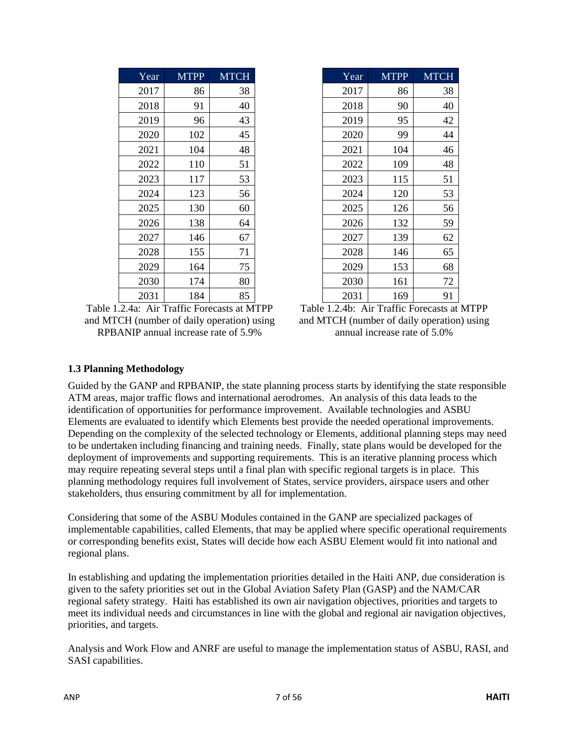| Year | <b>MTPP</b> | <b>MTCH</b> |
|------|-------------|-------------|
| 2017 | 86          | 38          |
| 2018 | 91          | 40          |
| 2019 | 96          | 43          |
| 2020 | 102         | 45          |
| 2021 | 104         | 48          |
| 2022 | 110         | 51          |
| 2023 | 117         | 53          |
| 2024 | 123         | 56          |
| 2025 | 130         | 60          |
| 2026 | 138         | 64          |
| 2027 | 146         | 67          |
| 2028 | 155         | 71          |
| 2029 | 164         | 75          |
| 2030 | 174         | 80          |
| 2031 | 184         | 85          |

Table 1.2.4a: Air Traffic Forecasts at MTPP and MTCH (number of daily operation) using RPBANIP annual increase rate of 5.9%

| Year | <b>MTPP</b> | <b>MTCH</b> | Year | <b>MTPP</b> | <b>MTCH</b> |
|------|-------------|-------------|------|-------------|-------------|
| 2017 | 86          | 38          | 2017 | 86          | 38          |
| 2018 | 91          | 40          | 2018 | 90          | 40          |
| 2019 | 96          | 43          | 2019 | 95          | 42          |
| 2020 | 102         | 45          | 2020 | 99          | 44          |
| 2021 | 104         | 48          | 2021 | 104         | 46          |
| 2022 | 110         | 51          | 2022 | 109         | 48          |
| 2023 | 117         | 53          | 2023 | 115         | 51          |
| 2024 | 123         | 56          | 2024 | 120         | 53          |
| 2025 | 130         | 60          | 2025 | 126         | 56          |
| 2026 | 138         | 64          | 2026 | 132         | 59          |
| 2027 | 146         | 67          | 2027 | 139         | 62          |
| 2028 | 155         | 71          | 2028 | 146         | 65          |
| 2029 | 164         | 75          | 2029 | 153         | 68          |
| 2030 | 174         | 80          | 2030 | 161         | 72          |
| 2031 | 184         | 85          | 2031 | 169         | 91          |

Table 1.2.4b: Air Traffic Forecasts at MTPP and MTCH (number of daily operation) using annual increase rate of 5.0%

#### **1.3 Planning Methodology**

Guided by the GANP and RPBANIP, the state planning process starts by identifying the state responsible ATM areas, major traffic flows and international aerodromes. An analysis of this data leads to the identification of opportunities for performance improvement. Available technologies and ASBU Elements are evaluated to identify which Elements best provide the needed operational improvements. Depending on the complexity of the selected technology or Elements, additional planning steps may need to be undertaken including financing and training needs. Finally, state plans would be developed for the deployment of improvements and supporting requirements. This is an iterative planning process which may require repeating several steps until a final plan with specific regional targets is in place. This planning methodology requires full involvement of States, service providers, airspace users and other stakeholders, thus ensuring commitment by all for implementation.

Considering that some of the ASBU Modules contained in the GANP are specialized packages of implementable capabilities, called Elements, that may be applied where specific operational requirements or corresponding benefits exist, States will decide how each ASBU Element would fit into national and regional plans.

In establishing and updating the implementation priorities detailed in the Haiti ANP, due consideration is given to the safety priorities set out in the Global Aviation Safety Plan (GASP) and the NAM/CAR regional safety strategy. Haiti has established its own air navigation objectives, priorities and targets to meet its individual needs and circumstances in line with the global and regional air navigation objectives, priorities, and targets.

Analysis and Work Flow and ANRF are useful to manage the implementation status of ASBU, RASI, and SASI capabilities.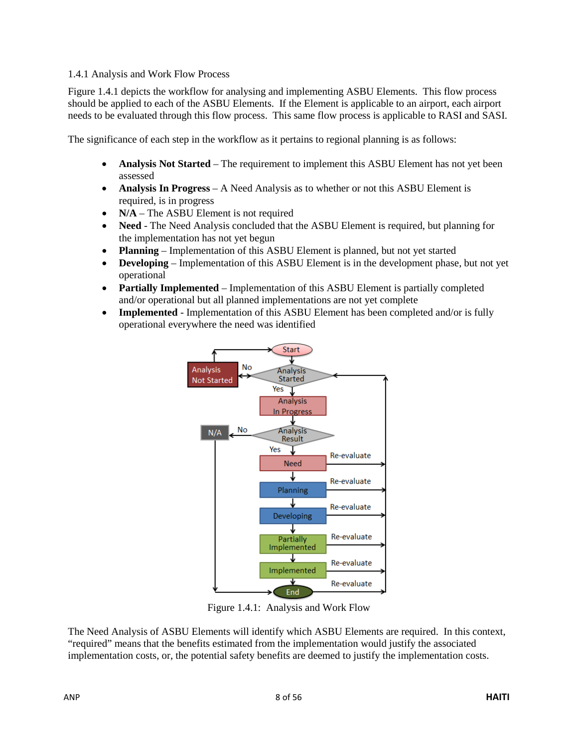#### <span id="page-7-0"></span>1.4.1 Analysis and Work Flow Process

Figure 1.4.1 depicts the workflow for analysing and implementing ASBU Elements. This flow process should be applied to each of the ASBU Elements. If the Element is applicable to an airport, each airport needs to be evaluated through this flow process. This same flow process is applicable to RASI and SASI.

The significance of each step in the workflow as it pertains to regional planning is as follows:

- **Analysis Not Started** The requirement to implement this ASBU Element has not yet been assessed
- **Analysis In Progress** A Need Analysis as to whether or not this ASBU Element is required, is in progress
- **N/A** The ASBU Element is not required
- **Need** The Need Analysis concluded that the ASBU Element is required, but planning for the implementation has not yet begun
- **Planning**  Implementation of this ASBU Element is planned, but not yet started
- **Developing**  Implementation of this ASBU Element is in the development phase, but not yet operational
- **Partially Implemented** Implementation of this ASBU Element is partially completed and/or operational but all planned implementations are not yet complete
- **Implemented** Implementation of this ASBU Element has been completed and/or is fully operational everywhere the need was identified



Figure 1.4.1: Analysis and Work Flow

The Need Analysis of ASBU Elements will identify which ASBU Elements are required. In this context, "required" means that the benefits estimated from the implementation would justify the associated implementation costs, or, the potential safety benefits are deemed to justify the implementation costs.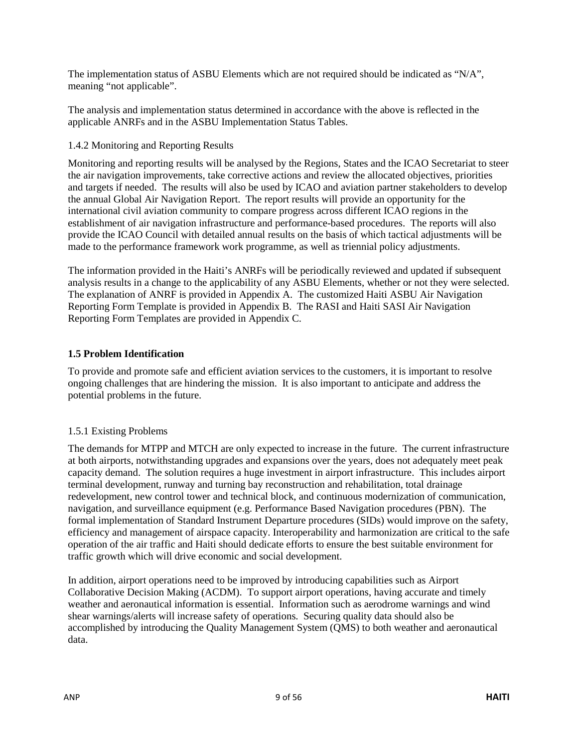The implementation status of ASBU Elements which are not required should be indicated as "N/A", meaning "not applicable".

The analysis and implementation status determined in accordance with the above is reflected in the applicable ANRFs and in the ASBU Implementation Status Tables.

### <span id="page-8-0"></span>1.4.2 Monitoring and Reporting Results

Monitoring and reporting results will be analysed by the Regions, States and the ICAO Secretariat to steer the air navigation improvements, take corrective actions and review the allocated objectives, priorities and targets if needed. The results will also be used by ICAO and aviation partner stakeholders to develop the annual Global Air Navigation Report. The report results will provide an opportunity for the international civil aviation community to compare progress across different ICAO regions in the establishment of air navigation infrastructure and performance-based procedures. The reports will also provide the ICAO Council with detailed annual results on the basis of which tactical adjustments will be made to the performance framework work programme, as well as triennial policy adjustments.

The information provided in the Haiti's ANRFs will be periodically reviewed and updated if subsequent analysis results in a change to the applicability of any ASBU Elements, whether or not they were selected. The explanation of ANRF is provided in Appendix A. The customized Haiti ASBU Air Navigation Reporting Form Template is provided in Appendix B. The RASI and Haiti SASI Air Navigation Reporting Form Templates are provided in Appendix C.

### <span id="page-8-1"></span>**1.5 Problem Identification**

To provide and promote safe and efficient aviation services to the customers, it is important to resolve ongoing challenges that are hindering the mission. It is also important to anticipate and address the potential problems in the future.

## 1.5.1 Existing Problems

The demands for MTPP and MTCH are only expected to increase in the future. The current infrastructure at both airports, notwithstanding upgrades and expansions over the years, does not adequately meet peak capacity demand. The solution requires a huge investment in airport infrastructure. This includes airport terminal development, runway and turning bay reconstruction and rehabilitation, total drainage redevelopment, new control tower and technical block, and continuous modernization of communication, navigation, and surveillance equipment (e.g. Performance Based Navigation procedures (PBN). The formal implementation of Standard Instrument Departure procedures (SIDs) would improve on the safety, efficiency and management of airspace capacity. Interoperability and harmonization are critical to the safe operation of the air traffic and Haiti should dedicate efforts to ensure the best suitable environment for traffic growth which will drive economic and social development.

In addition, airport operations need to be improved by introducing capabilities such as Airport Collaborative Decision Making (ACDM). To support airport operations, having accurate and timely weather and aeronautical information is essential. Information such as aerodrome warnings and wind shear warnings/alerts will increase safety of operations. Securing quality data should also be accomplished by introducing the Quality Management System (QMS) to both weather and aeronautical data.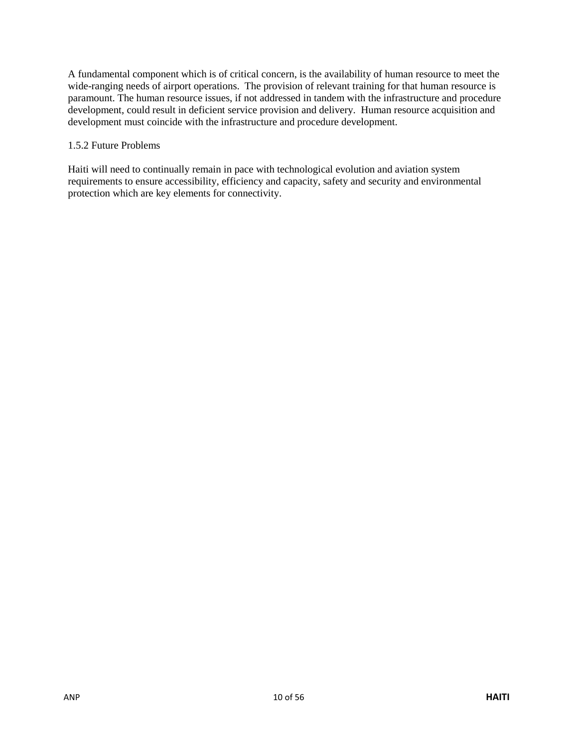A fundamental component which is of critical concern, is the availability of human resource to meet the wide-ranging needs of airport operations. The provision of relevant training for that human resource is paramount. The human resource issues, if not addressed in tandem with the infrastructure and procedure development, could result in deficient service provision and delivery. Human resource acquisition and development must coincide with the infrastructure and procedure development.

#### 1.5.2 Future Problems

Haiti will need to continually remain in pace with technological evolution and aviation system requirements to ensure accessibility, efficiency and capacity, safety and security and environmental protection which are key elements for connectivity.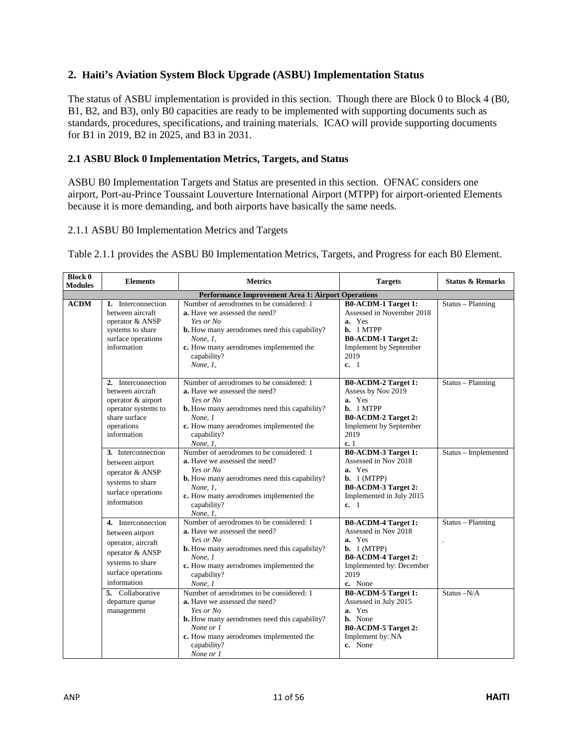### <span id="page-10-0"></span>**2. Haiti's Aviation System Block Upgrade (ASBU) Implementation Status**

The status of ASBU implementation is provided in this section. Though there are Block 0 to Block 4 (B0, B1, B2, and B3), only B0 capacities are ready to be implemented with supporting documents such as standards, procedures, specifications, and training materials. ICAO will provide supporting documents for B1 in 2019, B2 in 2025, and B3 in 2031.

#### <span id="page-10-1"></span>**2.1 ASBU Block 0 Implementation Metrics, Targets, and Status**

ASBU B0 Implementation Targets and Status are presented in this section. OFNAC considers one airport, Port-au-Prince Toussaint Louverture International Airport (MTPP) for airport-oriented Elements because it is more demanding, and both airports have basically the same needs.

#### <span id="page-10-2"></span>2.1.1 ASBU B0 Implementation Metrics and Targets

Table 2.1.1 provides the ASBU B0 Implementation Metrics, Targets, and Progress for each B0 Element.

| <b>Block 0</b><br><b>Modules</b> | <b>Elements</b>                                                                                                                                             | <b>Metrics</b>                                                                                                                                                                                                                                                           | <b>Targets</b>                                                                                                                                                                                    | <b>Status &amp; Remarks</b>      |
|----------------------------------|-------------------------------------------------------------------------------------------------------------------------------------------------------------|--------------------------------------------------------------------------------------------------------------------------------------------------------------------------------------------------------------------------------------------------------------------------|---------------------------------------------------------------------------------------------------------------------------------------------------------------------------------------------------|----------------------------------|
|                                  |                                                                                                                                                             | <b>Performance Improvement Area 1: Airport Operations</b>                                                                                                                                                                                                                |                                                                                                                                                                                                   |                                  |
| <b>ACDM</b>                      | 1. Interconnection<br>between aircraft<br>operator & ANSP<br>systems to share<br>surface operations<br>information                                          | Number of aerodromes to be considered: 1<br>a. Have we assessed the need?<br>Yes or No<br><b>b.</b> How many aerodromes need this capability?<br>None, 1,<br>c. How many aerodromes implemented the<br>capability?<br>None, $1$ ,                                        | <b>B0-ACDM-1 Target 1:</b><br>Assessed in November 2018<br>a. Yes<br>b. 1 MTPP<br><b>B0-ACDM-1 Target 2:</b><br><b>Implement by September</b><br>2019<br>c. 1                                     | Status - Planning                |
|                                  | 2. Interconnection<br>between aircraft<br>operator & airport<br>operator systems to<br>share surface<br>operations<br>information                           | Number of aerodromes to be considered: 1<br>a. Have we assessed the need?<br>Yes or No<br><b>b.</b> How many aerodromes need this capability?<br>None. 1<br>c. How many aerodromes implemented the<br>capability?<br>None, 1,                                            | <b>B0-ACDM-2 Target 1:</b><br>Assess by Nov 2019<br>a. Yes<br>b. 1 MTPP<br><b>B0-ACDM-2 Target 2:</b><br><b>Implement by September</b><br>2019<br>c.1                                             | Status - Planning                |
|                                  | 3. Interconnection<br>between airport<br>operator & ANSP<br>systems to share<br>surface operations<br>information                                           | Number of aerodromes to be considered: 1<br><b>a.</b> Have we assessed the need?<br>Yes or No<br><b>b.</b> How many aerodromes need this capability?<br>None, 1,<br>c. How many aerodromes implemented the<br>capability?<br>None, 1,                                    | B0-ACDM-3 Target 1:<br>Assessed in Nov 2018<br>a. Yes<br>b. 1 (MTPP)<br><b>B0-ACDM-3 Target 2:</b><br>Implemented in July 2015<br>c. 1                                                            | Status - Implemented             |
|                                  | 4. Interconnection<br>between airport<br>operator, aircraft<br>operator & ANSP<br>systems to share<br>surface operations<br>information<br>5. Collaborative | Number of aerodromes to be considered: 1<br>a. Have we assessed the need?<br>Yes or No<br><b>b.</b> How many aerodromes need this capability?<br>None, 1<br>c. How many aerodromes implemented the<br>capability?<br>None, 1<br>Number of aerodromes to be considered: 1 | <b>B0-ACDM-4 Target 1:</b><br>Assessed in Nov 2018<br>a. Yes<br>$\mathbf{b.}$ 1 (MTPP)<br><b>B0-ACDM-4 Target 2:</b><br>Implemented by: December<br>2019<br>c. None<br><b>B0-ACDM-5 Target 1:</b> | Status - Planning<br>Status -N/A |
|                                  | departure queue<br>management                                                                                                                               | a. Have we assessed the need?<br>Yes or No<br><b>b.</b> How many aerodromes need this capability?<br>None or 1<br>c. How many aerodromes implemented the<br>capability?<br>None or 1                                                                                     | Assessed in July 2015<br>a. Yes<br><b>b.</b> None<br><b>B0-ACDM-5 Target 2:</b><br>Implement by: NA<br>c. None                                                                                    |                                  |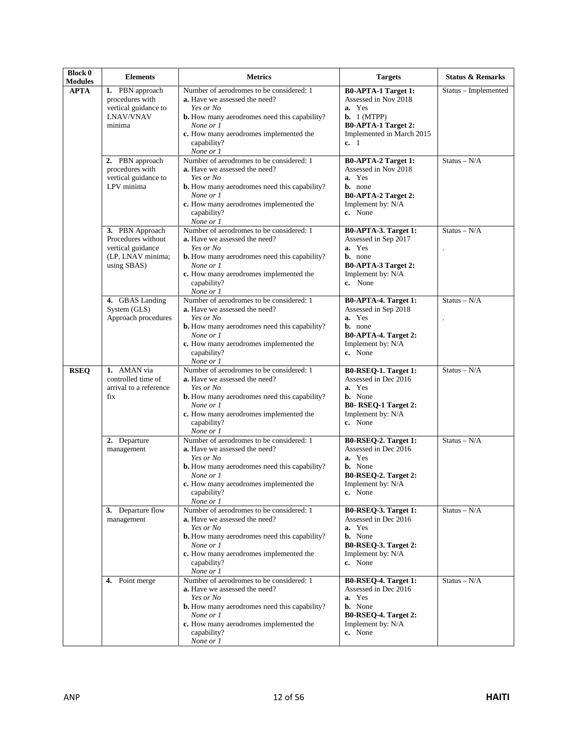| <b>Block 0</b><br><b>Modules</b> | <b>Elements</b>                                                                                | <b>Metrics</b>                                                                                                                                                                                                                          | <b>Targets</b>                                                                                                                                          | <b>Status &amp; Remarks</b> |
|----------------------------------|------------------------------------------------------------------------------------------------|-----------------------------------------------------------------------------------------------------------------------------------------------------------------------------------------------------------------------------------------|---------------------------------------------------------------------------------------------------------------------------------------------------------|-----------------------------|
| <b>APTA</b>                      | 1. PBN approach<br>procedures with<br>vertical guidance to<br><b>LNAV/VNAV</b><br>minima       | Number of aerodromes to be considered: 1<br><b>a.</b> Have we assessed the need?<br>Yes or No<br><b>b.</b> How many aerodromes need this capability?<br>None or 1<br>c. How many aerodromes implemented the<br>capability?<br>None or 1 | <b>B0-APTA-1 Target 1:</b><br>Assessed in Nov 2018<br>a. Yes<br><b>b.</b> $1 (MTPP)$<br><b>B0-APTA-1 Target 2:</b><br>Implemented in March 2015<br>c. 1 | Status – Implemented        |
|                                  | 2. PBN approach<br>procedures with<br>vertical guidance to<br>LPV minima                       | Number of aerodromes to be considered: 1<br>a. Have we assessed the need?<br>Yes or No<br><b>b.</b> How many aerodromes need this capability?<br>None or 1<br>c. How many aerodromes implemented the<br>capability?<br>None or 1        | <b>B0-APTA-2 Target 1:</b><br>Assessed in Nov 2018<br>a. Yes<br><b>b.</b> none<br><b>B0-APTA-2 Target 2:</b><br>Implement by: N/A<br>c. None            | $Status - N/A$              |
|                                  | 3. PBN Approach<br>Procedures without<br>vertical guidance<br>(LP, LNAV minima;<br>using SBAS) | Number of aerodromes to be considered: 1<br><b>a.</b> Have we assessed the need?<br>Yes or No<br><b>b.</b> How many aerodromes need this capability?<br>None or 1<br>c. How many aerodromes implemented the<br>capability?<br>None or 1 | B0-APTA-3. Target 1:<br>Assessed in Sep 2017<br>a. Yes<br><b>b.</b> none<br><b>B0-APTA-3 Target 2:</b><br>Implement by: N/A<br>c. None                  | $Status - N/A$              |
|                                  | 4. GBAS Landing<br>System (GLS)<br>Approach procedures                                         | Number of aerodromes to be considered: 1<br><b>a.</b> Have we assessed the need?<br>Yes or No<br><b>b.</b> How many aerodromes need this capability?<br>None or 1<br>c. How many aerodromes implemented the<br>capability?<br>None or 1 | <b>B0-APTA-4. Target 1:</b><br>Assessed in Sep 2018<br>a. Yes<br><b>b.</b> none<br><b>B0-APTA-4. Target 2:</b><br>Implement by: N/A<br>c. None          | $Status - N/A$              |
| <b>RSEQ</b>                      | 1. AMAN via<br>controlled time of<br>arrival to a reference<br>fix                             | Number of aerodromes to be considered: 1<br>a. Have we assessed the need?<br>Yes or No<br><b>b.</b> How many aerodromes need this capability?<br>None or 1<br>c. How many aerodromes implemented the<br>capability?<br>None or 1        | B0-RSEQ-1. Target 1:<br>Assessed in Dec 2016<br>a. Yes<br><b>b.</b> None<br>B0-RSEQ-1 Target 2:<br>Implement by: $N/A$<br>c. None                       | $Status - N/A$              |
|                                  | 2. Departure<br>management                                                                     | Number of aerodromes to be considered: 1<br><b>a.</b> Have we assessed the need?<br>Yes or No<br><b>b.</b> How many aerodromes need this capability?<br>None or 1<br>c. How many aerodromes implemented the<br>capability?<br>None or 1 | B0-RSEQ-2. Target 1:<br>Assessed in Dec 2016<br>a. Yes<br><b>b.</b> None<br>B0-RSEQ-2. Target 2:<br>Implement by: $N/A$<br>c. None                      | $Status - N/A$              |
|                                  | 3. Departure flow<br>management                                                                | Number of aerodromes to be considered: 1<br><b>a.</b> Have we assessed the need?<br>Yes or No<br><b>b.</b> How many aerodromes need this capability?<br>None or 1<br>c. How many aerodromes implemented the<br>capability?<br>None or 1 | B0-RSEQ-3. Target 1:<br>Assessed in Dec 2016<br>a. Yes<br><b>b.</b> None<br>B0-RSEQ-3. Target 2:<br>Implement by: N/A<br>c. None                        | $Status - N/A$              |
|                                  | 4. Point merge                                                                                 | Number of aerodromes to be considered: 1<br>a. Have we assessed the need?<br>Yes or No<br><b>b.</b> How many aerodromes need this capability?<br>None or 1<br>c. How many aerodromes implemented the<br>capability?<br>None or 1        | B0-RSEQ-4. Target 1:<br>Assessed in Dec 2016<br>a. Yes<br><b>b.</b> None<br>B0-RSEQ-4. Target 2:<br>Implement by: N/A<br>c. None                        | $Status - N/A$              |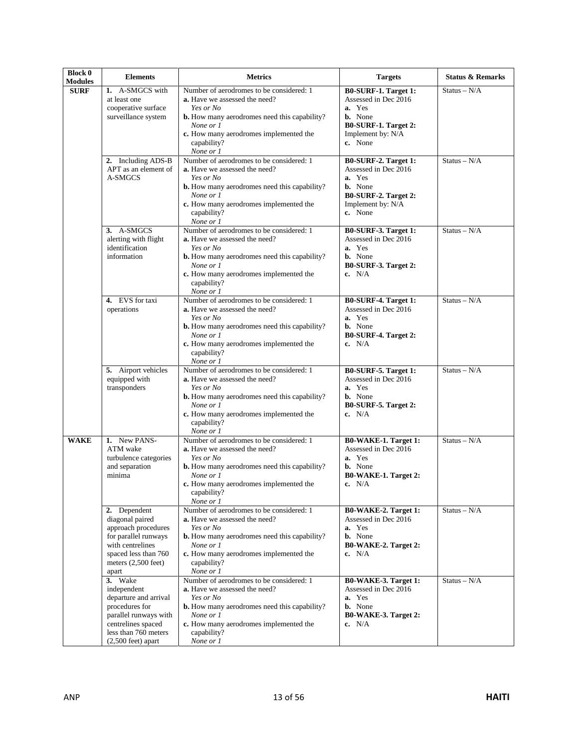| <b>Block 0</b><br><b>Modules</b> | <b>Elements</b>                                                                                                                                                          | <b>Metrics</b>                                                                                                                                                                                                                          | <b>Targets</b>                                                                                                                   | <b>Status &amp; Remarks</b> |
|----------------------------------|--------------------------------------------------------------------------------------------------------------------------------------------------------------------------|-----------------------------------------------------------------------------------------------------------------------------------------------------------------------------------------------------------------------------------------|----------------------------------------------------------------------------------------------------------------------------------|-----------------------------|
| <b>SURF</b>                      | 1. A-SMGCS with<br>at least one<br>cooperative surface<br>surveillance system                                                                                            | Number of aerodromes to be considered: 1<br><b>a.</b> Have we assessed the need?<br>Yes or No<br><b>b.</b> How many aerodromes need this capability?<br>None or 1<br>c. How many aerodromes implemented the<br>capability?<br>None or 1 | B0-SURF-1. Target 1:<br>Assessed in Dec 2016<br>a. Yes<br><b>b.</b> None<br>B0-SURF-1. Target 2:<br>Implement by: N/A<br>c. None | $Status - N/A$              |
|                                  | 2. Including ADS-B<br>APT as an element of<br>A-SMGCS                                                                                                                    | Number of aerodromes to be considered: 1<br>a. Have we assessed the need?<br>Yes or No<br><b>b.</b> How many aerodromes need this capability?<br>None or 1<br>c. How many aerodromes implemented the<br>capability?<br>None or 1        | B0-SURF-2. Target 1:<br>Assessed in Dec 2016<br>a. Yes<br><b>b.</b> None<br>B0-SURF-2. Target 2:<br>Implement by: N/A<br>c. None | $Status - N/A$              |
|                                  | 3. A-SMGCS<br>alerting with flight<br>identification<br>information                                                                                                      | Number of aerodromes to be considered: 1<br><b>a.</b> Have we assessed the need?<br>Yes or No<br><b>b.</b> How many aerodromes need this capability?<br>None or 1<br>c. How many aerodromes implemented the<br>capability?<br>None or 1 | B0-SURF-3. Target 1:<br>Assessed in Dec 2016<br>a. Yes<br><b>b.</b> None<br>B0-SURF-3. Target 2:<br>c. $N/A$                     | $Status - N/A$              |
|                                  | 4. EVS for taxi<br>operations                                                                                                                                            | Number of aerodromes to be considered: 1<br><b>a.</b> Have we assessed the need?<br>Yes or No<br><b>b.</b> How many aerodromes need this capability?<br>None or 1<br>c. How many aerodromes implemented the<br>capability?<br>None or 1 | B0-SURF-4. Target 1:<br>Assessed in Dec 2016<br>a. Yes<br><b>b.</b> None<br>B0-SURF-4. Target 2:<br>c. $N/A$                     | $Status - N/A$              |
|                                  | 5. Airport vehicles<br>equipped with<br>transponders                                                                                                                     | Number of aerodromes to be considered: 1<br>a. Have we assessed the need?<br>Yes or No<br><b>b.</b> How many aerodromes need this capability?<br>None or 1<br>c. How many aerodromes implemented the<br>capability?<br>None or 1        | B0-SURF-5. Target 1:<br>Assessed in Dec 2016<br>a. Yes<br><b>b.</b> None<br>B0-SURF-5. Target 2:<br>c. $N/A$                     | $Status - N/A$              |
| <b>WAKE</b>                      | 1. New PANS-<br>ATM wake<br>turbulence categories<br>and separation<br>minima                                                                                            | Number of aerodromes to be considered: 1<br><b>a.</b> Have we assessed the need?<br>Yes or No<br><b>b.</b> How many aerodromes need this capability?<br>None or 1<br>c. How many aerodromes implemented the<br>capability?<br>None or 1 | <b>B0-WAKE-1. Target 1:</b><br>Assessed in Dec 2016<br>a. Yes<br><b>b.</b> None<br>B0-WAKE-1. Target 2:<br>c. $N/A$              | $Status - N/A$              |
|                                  | 2. Dependent<br>diagonal paired<br>approach procedures<br>for parallel runways<br>with centrelines<br>spaced less than 760<br>meters $(2,500$ feet)<br>apart             | Number of aerodromes to be considered: 1<br>a. Have we assessed the need?<br>Yes or No<br><b>b.</b> How many aerodromes need this capability?<br>None or 1<br>c. How many aerodromes implemented the<br>capability?<br>None or 1        | <b>B0-WAKE-2. Target 1:</b><br>Assessed in Dec 2016<br>a. Yes<br><b>b.</b> None<br>B0-WAKE-2. Target 2:<br>c. $N/A$              | $Status - N/A$              |
|                                  | 3. Wake<br>independent<br>departure and arrival<br>procedures for<br>parallel runways with<br>centrelines spaced<br>less than 760 meters<br>$(2,500 \text{ feet})$ apart | Number of aerodromes to be considered: 1<br>a. Have we assessed the need?<br>Yes or No<br><b>b.</b> How many aerodromes need this capability?<br>None or 1<br>c. How many aerodromes implemented the<br>capability?<br>None or 1        | B0-WAKE-3. Target 1:<br>Assessed in Dec 2016<br>a. Yes<br><b>b.</b> None<br>B0-WAKE-3. Target 2:<br>c. $N/A$                     | $Status - N/A$              |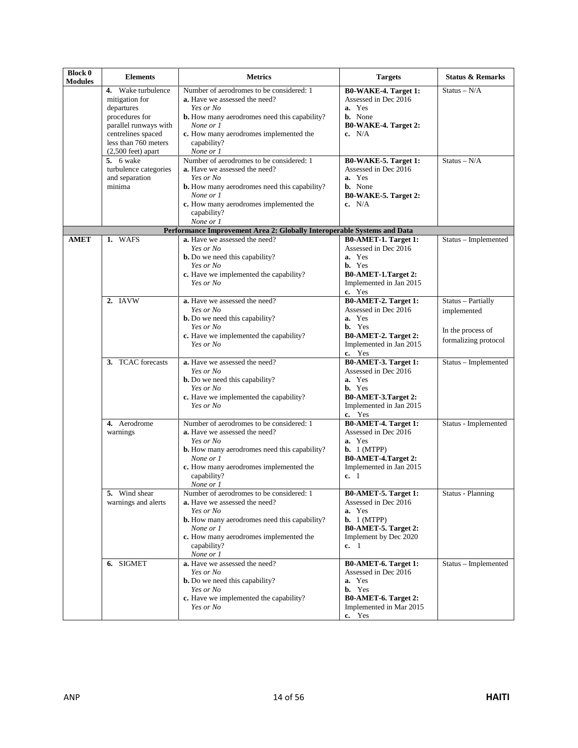| <b>Block 0</b><br><b>Modules</b> | <b>Elements</b>                                                                                                                                                             | <b>Metrics</b>                                                                                                                                                                                                                          | <b>Targets</b>                                                                                                                                         | <b>Status &amp; Remarks</b>                                                    |
|----------------------------------|-----------------------------------------------------------------------------------------------------------------------------------------------------------------------------|-----------------------------------------------------------------------------------------------------------------------------------------------------------------------------------------------------------------------------------------|--------------------------------------------------------------------------------------------------------------------------------------------------------|--------------------------------------------------------------------------------|
|                                  | 4. Wake turbulence<br>mitigation for<br>departures<br>procedures for<br>parallel runways with<br>centrelines spaced<br>less than 760 meters<br>$(2,500 \text{ feet})$ apart | Number of aerodromes to be considered: 1<br><b>a.</b> Have we assessed the need?<br>Yes or No<br><b>b.</b> How many aerodromes need this capability?<br>None or 1<br>c. How many aerodromes implemented the<br>capability?<br>None or 1 | B0-WAKE-4. Target 1:<br>Assessed in Dec 2016<br>a. Yes<br><b>b.</b> None<br>B0-WAKE-4. Target 2:<br>c. $N/A$                                           | $Status - N/A$                                                                 |
|                                  | $5.6$ wake<br>turbulence categories<br>and separation<br>minima                                                                                                             | Number of aerodromes to be considered: 1<br>a. Have we assessed the need?<br>Yes or No<br><b>b.</b> How many aerodromes need this capability?<br>None or 1<br>c. How many aerodromes implemented the<br>capability?<br>None or 1        | B0-WAKE-5. Target 1:<br>Assessed in Dec 2016<br>a. Yes<br><b>b.</b> None<br>B0-WAKE-5. Target 2:<br>c. $N/A$                                           | Status – $N/A$                                                                 |
|                                  |                                                                                                                                                                             | Performance Improvement Area 2: Globally Interoperable Systems and Data                                                                                                                                                                 |                                                                                                                                                        |                                                                                |
| <b>AMET</b>                      | 1. WAFS                                                                                                                                                                     | a. Have we assessed the need?<br>Yes or No<br><b>b.</b> Do we need this capability?<br>Yes or No<br>c. Have we implemented the capability?<br>Yes or No                                                                                 | B0-AMET-1. Target 1:<br>Assessed in Dec 2016<br>a. Yes<br><b>b.</b> Yes<br>B0-AMET-1.Target 2:<br>Implemented in Jan 2015<br>c. Yes                    | Status - Implemented                                                           |
|                                  | 2. IAVW                                                                                                                                                                     | a. Have we assessed the need?<br>Yes or No<br><b>b.</b> Do we need this capability?<br>Yes or No<br>c. Have we implemented the capability?<br>Yes or No                                                                                 | B0-AMET-2. Target 1:<br>Assessed in Dec 2016<br>a. Yes<br>b. Yes<br><b>B0-AMET-2. Target 2:</b><br>Implemented in Jan 2015<br>c. Yes                   | Status - Partially<br>implemented<br>In the process of<br>formalizing protocol |
|                                  | 3. TCAC forecasts                                                                                                                                                           | a. Have we assessed the need?<br>Yes or No<br><b>b.</b> Do we need this capability?<br>Yes or No<br>c. Have we implemented the capability?<br>Yes or No                                                                                 | B0-AMET-3. Target 1:<br>Assessed in Dec 2016<br>a. Yes<br><b>b.</b> Yes<br>B0-AMET-3.Target 2:<br>Implemented in Jan 2015<br>c. Yes                    | Status - Implemented                                                           |
|                                  | 4. Aerodrome<br>warnings                                                                                                                                                    | Number of aerodromes to be considered: 1<br>a. Have we assessed the need?<br>Yes or No<br><b>b.</b> How many aerodromes need this capability?<br>None or 1<br>c. How many aerodromes implemented the<br>capability?<br>None or 1        | <b>B0-AMET-4. Target 1:</b><br>Assessed in Dec 2016<br>a. Yes<br><b>b.</b> $1 (MTPP)$<br><b>B0-AMET-4.Target 2:</b><br>Implemented in Jan 2015<br>c. 1 | Status - Implemented                                                           |
|                                  | <b>5.</b> Wind shear<br>warnings and alerts                                                                                                                                 | Number of aerodromes to be considered: 1<br><b>a.</b> Have we assessed the need?<br>Yes or No<br><b>b.</b> How many aerodromes need this capability?<br>None or 1<br>c. How many aerodromes implemented the<br>capability?<br>None or 1 | <b>B0-AMET-5. Target 1:</b><br>Assessed in Dec 2016<br>a. Yes<br><b>b.</b> $1 (MTPP)$<br>B0-AMET-5. Target 2:<br>Implement by Dec 2020<br>c. 1         | Status - Planning                                                              |
|                                  | 6. SIGMET                                                                                                                                                                   | a. Have we assessed the need?<br>Yes or No<br><b>b.</b> Do we need this capability?<br>Yes or No<br>c. Have we implemented the capability?<br>Yes or No                                                                                 | B0-AMET-6. Target 1:<br>Assessed in Dec 2016<br>a. Yes<br>b. Yes<br>B0-AMET-6. Target 2:<br>Implemented in Mar 2015<br>c. Yes                          | Status - Implemented                                                           |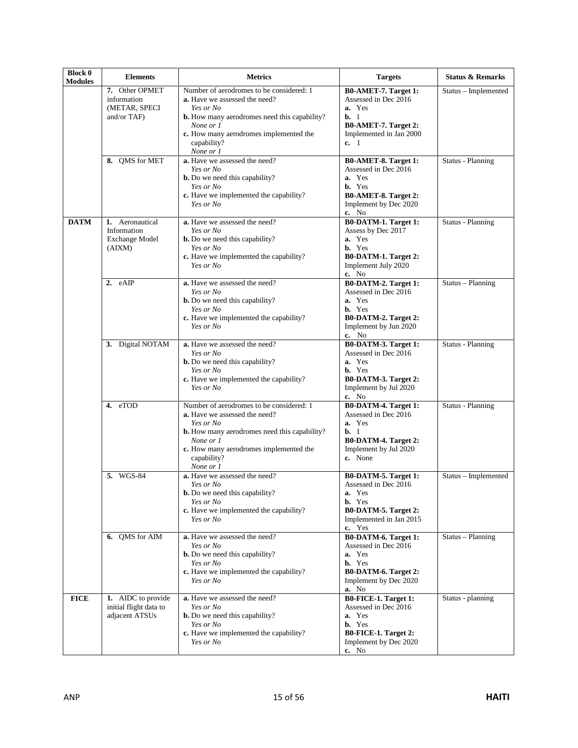| <b>Block 0</b><br><b>Modules</b> | <b>Elements</b>                                                   | <b>Metrics</b>                                                                                                                                                                                                                          | <b>Targets</b>                                                                                                                                       | <b>Status &amp; Remarks</b> |
|----------------------------------|-------------------------------------------------------------------|-----------------------------------------------------------------------------------------------------------------------------------------------------------------------------------------------------------------------------------------|------------------------------------------------------------------------------------------------------------------------------------------------------|-----------------------------|
|                                  | 7. Other OPMET<br>information<br>(METAR, SPECI<br>and/or TAF)     | Number of aerodromes to be considered: 1<br><b>a.</b> Have we assessed the need?<br>Yes or No<br><b>b.</b> How many aerodromes need this capability?<br>None or 1<br>c. How many aerodromes implemented the<br>capability?<br>None or 1 | B0-AMET-7. Target 1:<br>Assessed in Dec 2016<br>a. Yes<br>$b. 1$<br>B0-AMET-7. Target 2:<br>Implemented in Jan 2000<br>c. 1                          | Status - Implemented        |
|                                  | 8. QMS for MET                                                    | a. Have we assessed the need?<br>Yes or No<br><b>b.</b> Do we need this capability?<br>Yes or No<br>c. Have we implemented the capability?<br>Yes or No                                                                                 | B0-AMET-8. Target 1:<br>Assessed in Dec 2016<br>a. Yes<br><b>b.</b> Yes<br>B0-AMET-8. Target 2:<br>Implement by Dec 2020<br>c. No                    | Status - Planning           |
| <b>DATM</b>                      | 1. Aeronautical<br>Information<br><b>Exchange Model</b><br>(AIXM) | a. Have we assessed the need?<br>Yes or No<br><b>b.</b> Do we need this capability?<br>Yes or No<br>c. Have we implemented the capability?<br>Yes or No                                                                                 | B0-DATM-1. Target 1:<br>Assess by Dec 2017<br>a. Yes<br><b>b.</b> Yes<br><b>B0-DATM-1. Target 2:</b><br>Implement July 2020<br>c. No                 | Status - Planning           |
|                                  | 2. eAIP                                                           | a. Have we assessed the need?<br>Yes or No<br><b>b.</b> Do we need this capability?<br>Yes or No<br>c. Have we implemented the capability?<br>Yes or No                                                                                 | B0-DATM-2. Target 1:<br>Assessed in Dec 2016<br>a. Yes<br><b>b.</b> Yes<br>B0-DATM-2. Target 2:<br>Implement by Jun 2020<br>c. No                    | Status - Planning           |
|                                  | 3. Digital NOTAM                                                  | a. Have we assessed the need?<br>Yes or No<br><b>b.</b> Do we need this capability?<br>Yes or No<br>c. Have we implemented the capability?<br>Yes or No                                                                                 | B0-DATM-3. Target 1:<br>Assessed in Dec 2016<br>a. Yes<br><b>b.</b> Yes<br>B0-DATM-3. Target 2:<br>Implement by Jul 2020<br>c. No                    | <b>Status - Planning</b>    |
|                                  | 4. eTOD                                                           | Number of aerodromes to be considered: 1<br><b>a.</b> Have we assessed the need?<br>Yes or No<br><b>b.</b> How many aerodromes need this capability?<br>None or 1<br>c. How many aerodromes implemented the<br>capability?<br>None or 1 | <b>B0-DATM-4. Target 1:</b><br>Assessed in Dec 2016<br>a. Yes<br>$\mathbf{b}$ , 1<br><b>B0-DATM-4. Target 2:</b><br>Implement by Jul 2020<br>c. None | <b>Status - Planning</b>    |
|                                  | 5. WGS-84                                                         | a. Have we assessed the need?<br>Yes or No<br><b>b.</b> Do we need this capability?<br>Yes or No<br>c. Have we implemented the capability?<br>Yes or No                                                                                 | B0-DATM-5. Target 1:<br>Assessed in Dec 2016<br>a. Yes<br><b>b.</b> Yes<br>B0-DATM-5. Target 2:<br>Implemented in Jan 2015<br>c. Yes                 | Status - Implemented        |
|                                  | 6. OMS for AIM                                                    | a. Have we assessed the need?<br>Yes or No<br><b>b.</b> Do we need this capability?<br>Yes or No<br>c. Have we implemented the capability?<br>Yes or No                                                                                 | B0-DATM-6. Target 1:<br>Assessed in Dec 2016<br>a. Yes<br><b>b.</b> Yes<br><b>B0-DATM-6. Target 2:</b><br>Implement by Dec 2020<br><b>a.</b> No      | Status - Planning           |
| <b>FICE</b>                      | 1. AIDC to provide<br>initial flight data to<br>adjacent ATSUs    | a. Have we assessed the need?<br>Yes or No<br><b>b.</b> Do we need this capability?<br>Yes or No<br>c. Have we implemented the capability?<br>Yes or No                                                                                 | B0-FICE-1. Target 1:<br>Assessed in Dec 2016<br>a. Yes<br><b>b.</b> Yes<br><b>B0-FICE-1. Target 2:</b><br>Implement by Dec 2020<br>c. No             | Status - planning           |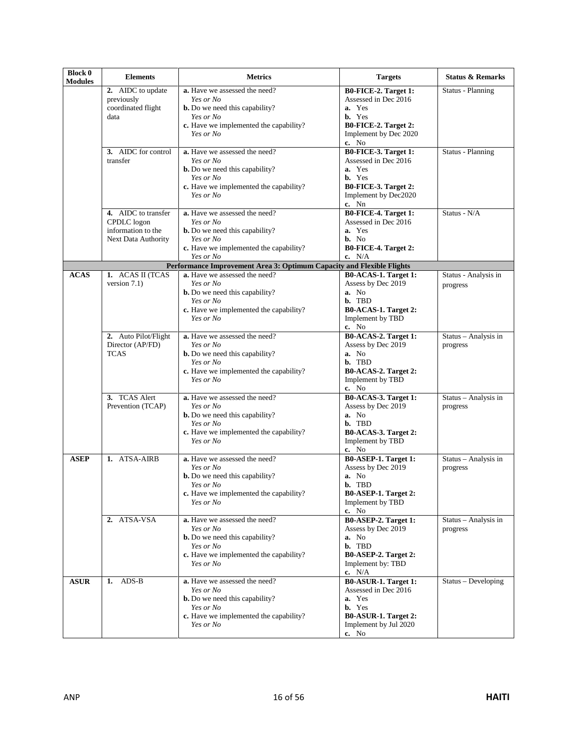| <b>Block 0</b><br><b>Modules</b> | <b>Elements</b>                                                                 | <b>Metrics</b>                                                                                                                                          | <b>Targets</b>                                                                                                                           | <b>Status &amp; Remarks</b>      |
|----------------------------------|---------------------------------------------------------------------------------|---------------------------------------------------------------------------------------------------------------------------------------------------------|------------------------------------------------------------------------------------------------------------------------------------------|----------------------------------|
|                                  | 2. AIDC to update<br>previously<br>coordinated flight<br>data                   | a. Have we assessed the need?<br>Yes or No<br><b>b.</b> Do we need this capability?<br>Yes or No                                                        | B0-FICE-2. Target 1:<br>Assessed in Dec 2016<br>a. Yes<br><b>b.</b> Yes                                                                  | Status - Planning                |
|                                  |                                                                                 | c. Have we implemented the capability?<br>Yes or No                                                                                                     | B0-FICE-2. Target 2:<br>Implement by Dec 2020<br>c. No                                                                                   |                                  |
|                                  | 3. AIDC for control<br>transfer                                                 | a. Have we assessed the need?<br>Yes or No<br><b>b.</b> Do we need this capability?                                                                     | B0-FICE-3. Target 1:<br>Assessed in Dec 2016<br>a. Yes                                                                                   | <b>Status - Planning</b>         |
|                                  |                                                                                 | Yes or No<br>c. Have we implemented the capability?<br>Yes or No                                                                                        | b. Yes<br>B0-FICE-3. Target 2:<br>Implement by Dec2020<br>c. Nn                                                                          |                                  |
|                                  | 4. AIDC to transfer<br>CPDLC logon<br>information to the<br>Next Data Authority | a. Have we assessed the need?<br>Yes or No<br><b>b.</b> Do we need this capability?<br>Yes or No<br>c. Have we implemented the capability?              | <b>B0-FICE-4. Target 1:</b><br>Assessed in Dec 2016<br>a. Yes<br>b. No<br>B0-FICE-4. Target 2:                                           | Status - N/A                     |
|                                  |                                                                                 | Yes or No<br>Performance Improvement Area 3: Optimum Capacity and Flexible Flights                                                                      | c. $N/A$                                                                                                                                 |                                  |
| <b>ACAS</b>                      | 1. ACAS II (TCAS<br>version $7.1$ )                                             | a. Have we assessed the need?<br>Yes or No<br><b>b.</b> Do we need this capability?<br>Yes or No<br>c. Have we implemented the capability?<br>Yes or No | B0-ACAS-1. Target 1:<br>Assess by Dec 2019<br>a. No<br>b. TBD<br>B0-ACAS-1. Target 2:<br>Implement by TBD                                | Status - Analysis in<br>progress |
|                                  | 2. Auto Pilot/Flight<br>Director (AP/FD)<br><b>TCAS</b>                         | a. Have we assessed the need?<br>Yes or No<br><b>b.</b> Do we need this capability?<br>Yes or No<br>c. Have we implemented the capability?<br>Yes or No | c. No<br>B0-ACAS-2. Target 1:<br>Assess by Dec 2019<br>a. No<br>b. TBD<br>B0-ACAS-2. Target 2:<br>Implement by TBD<br>c. No              | Status - Analysis in<br>progress |
|                                  | 3. TCAS Alert<br>Prevention (TCAP)                                              | a. Have we assessed the need?<br>Yes or No<br><b>b.</b> Do we need this capability?<br>Yes or No<br>c. Have we implemented the capability?<br>Yes or No | B0-ACAS-3. Target 1:<br>Assess by Dec 2019<br>a. No<br>b. TBD<br>B0-ACAS-3. Target 2:<br>Implement by TBD<br>c. No                       | Status - Analysis in<br>progress |
| <b>ASEP</b>                      | 1. ATSA-AIRB                                                                    | a. Have we assessed the need?<br>Yes or No<br><b>b.</b> Do we need this capability?<br>Yes or No<br>c. Have we implemented the capability?<br>Yes or No | B0-ASEP-1. Target 1:<br>Assess by Dec 2019<br>a. No<br>b. TBD<br>B0-ASEP-1. Target 2:<br>Implement by TBD<br>c. No                       | Status - Analysis in<br>progress |
|                                  | 2. ATSA-VSA                                                                     | a. Have we assessed the need?<br>Yes or No<br><b>b.</b> Do we need this capability?<br>Yes or No<br>c. Have we implemented the capability?<br>Yes or No | <b>B0-ASEP-2. Target 1:</b><br>Assess by Dec 2019<br>a. No<br>b. TBD<br>B0-ASEP-2. Target 2:<br>Implement by: TBD<br>c. $N/A$            | Status - Analysis in<br>progress |
| <b>ASUR</b>                      | $1.$ ADS-B                                                                      | a. Have we assessed the need?<br>Yes or No<br><b>b.</b> Do we need this capability?<br>Yes or No<br>c. Have we implemented the capability?<br>Yes or No | <b>B0-ASUR-1. Target 1:</b><br>Assessed in Dec 2016<br>a. Yes<br><b>b.</b> Yes<br>B0-ASUR-1. Target 2:<br>Implement by Jul 2020<br>c. No | Status – Developing              |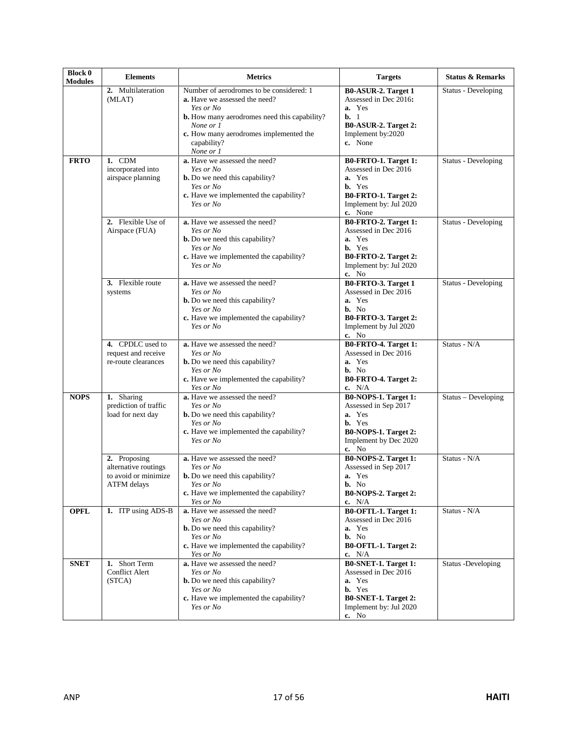| <b>Block 0</b><br><b>Modules</b> | <b>Elements</b>                                                             | <b>Metrics</b>                                                                                                                                                 | <b>Targets</b>                                                                                                                       | <b>Status &amp; Remarks</b> |
|----------------------------------|-----------------------------------------------------------------------------|----------------------------------------------------------------------------------------------------------------------------------------------------------------|--------------------------------------------------------------------------------------------------------------------------------------|-----------------------------|
|                                  | 2. Multilateration<br>(MLAT)                                                | Number of aerodromes to be considered: 1<br>a. Have we assessed the need?                                                                                      | B0-ASUR-2. Target 1<br>Assessed in Dec 2016:<br>a. Yes                                                                               | Status - Developing         |
|                                  |                                                                             | Yes or No<br><b>b.</b> How many aerodromes need this capability?<br>None or 1<br>c. How many aerodromes implemented the<br>capability?<br>None or 1            | $b. 1$<br>B0-ASUR-2. Target 2:<br>Implement by:2020<br>c. None                                                                       |                             |
| <b>FRTO</b>                      | 1. CDM<br>incorporated into<br>airspace planning                            | a. Have we assessed the need?<br>Yes or No<br><b>b.</b> Do we need this capability?<br>Yes or No<br>c. Have we implemented the capability?<br>Yes or No        | B0-FRTO-1. Target 1:<br>Assessed in Dec 2016<br>a. Yes<br><b>b.</b> Yes<br>B0-FRTO-1. Target 2:<br>Implement by: Jul 2020<br>c. None | Status - Developing         |
|                                  | 2. Flexible Use of<br>Airspace (FUA)                                        | a. Have we assessed the need?<br>Yes or No<br><b>b.</b> Do we need this capability?<br>Yes or No<br>c. Have we implemented the capability?<br>Yes or No        | B0-FRTO-2. Target 1:<br>Assessed in Dec 2016<br>a. Yes<br>b. Yes<br>B0-FRTO-2. Target 2:<br>Implement by: Jul 2020<br>c. No          | Status - Developing         |
|                                  | 3. Flexible route<br>systems                                                | a. Have we assessed the need?<br>Yes or No<br><b>b.</b> Do we need this capability?<br>Yes or No<br>c. Have we implemented the capability?<br>Yes or No        | B0-FRTO-3. Target 1<br>Assessed in Dec 2016<br>a. Yes<br>b. No<br>B0-FRTO-3. Target 2:<br>Implement by Jul 2020<br>c. No             | Status - Developing         |
|                                  | 4. CPDLC used to<br>request and receive<br>re-route clearances              | a. Have we assessed the need?<br>Yes or No<br><b>b.</b> Do we need this capability?<br>Yes or No<br>c. Have we implemented the capability?<br>Yes or No        | B0-FRTO-4. Target 1:<br>Assessed in Dec 2016<br>a. Yes<br>b. No<br>B0-FRTO-4. Target 2:<br>c. $N/A$                                  | Status - N/A                |
| <b>NOPS</b>                      | 1. Sharing<br>prediction of traffic<br>load for next day                    | a. Have we assessed the need?<br>Yes or No<br><b>b.</b> Do we need this capability?<br>Yes or No<br>c. Have we implemented the capability?<br>Yes or No        | B0-NOPS-1. Target 1:<br>Assessed in Sep 2017<br>a. Yes<br><b>b.</b> Yes<br>B0-NOPS-1. Target 2:<br>Implement by Dec 2020<br>c. No    | Status - Developing         |
|                                  | 2. Proposing<br>alternative routings<br>to avoid or minimize<br>ATFM delays | a. Have we assessed the need?<br>Yes or No<br><b>b.</b> Do we need this capability?<br>Yes or No<br>c. Have we implemented the capability?<br>Yes or No        | B0-NOPS-2. Target 1:<br>Assessed in Sep 2017<br>Yes<br>a.<br>b. No<br>B0-NOPS-2. Target 2:<br>c. $N/A$                               | Status - N/A                |
| <b>OPFL</b>                      | 1. ITP using ADS-B                                                          | a. Have we assessed the need?<br>Yes or No<br><b>b.</b> Do we need this capability?<br>Yes or No<br>c. Have we implemented the capability?<br><i>Yes or No</i> | B0-OFTL-1. Target 1:<br>Assessed in Dec 2016<br>a. Yes<br>b. No<br>B0-OFTL-1. Target 2:<br>c. $N/A$                                  | Status - N/A                |
| <b>SNET</b>                      | 1. Short Term<br><b>Conflict Alert</b><br>(STCA)                            | a. Have we assessed the need?<br>Yes or No<br><b>b.</b> Do we need this capability?<br>Yes or No<br>c. Have we implemented the capability?<br>Yes or No        | B0-SNET-1. Target 1:<br>Assessed in Dec 2016<br>a. Yes<br><b>b.</b> Yes<br>B0-SNET-1. Target 2:<br>Implement by: Jul 2020<br>c. No   | Status -Developing          |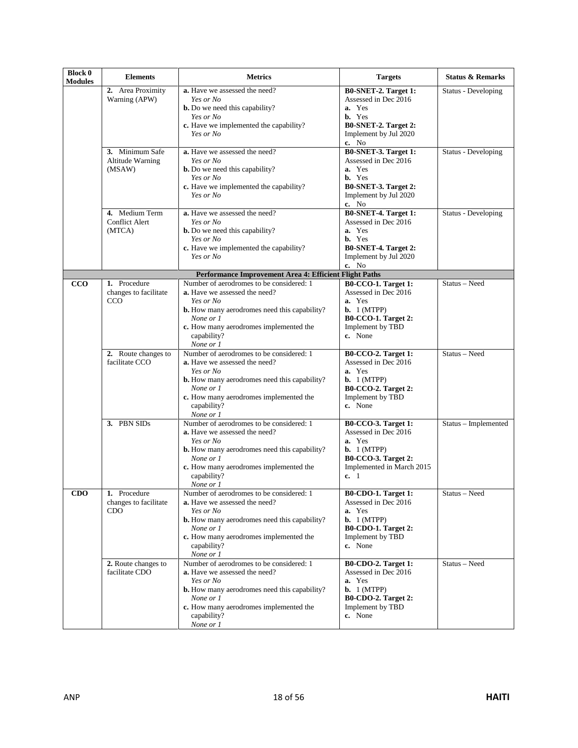| <b>Block 0</b><br><b>Modules</b> | <b>Elements</b>                                     | <b>Metrics</b>                                                                                                                                                                                                                          | <b>Targets</b>                                                                                                                                          | <b>Status &amp; Remarks</b> |
|----------------------------------|-----------------------------------------------------|-----------------------------------------------------------------------------------------------------------------------------------------------------------------------------------------------------------------------------------------|---------------------------------------------------------------------------------------------------------------------------------------------------------|-----------------------------|
|                                  | 2. Area Proximity<br>Warning (APW)                  | a. Have we assessed the need?<br>Yes or No<br><b>b.</b> Do we need this capability?<br>Yes or No<br>c. Have we implemented the capability?<br>Yes or No                                                                                 | B0-SNET-2. Target 1:<br>Assessed in Dec 2016<br>a. Yes<br>b. Yes<br>B0-SNET-2. Target 2:<br>Implement by Jul 2020<br>c. No                              | Status - Developing         |
|                                  | 3. Minimum Safe<br>Altitude Warning<br>(MSAW)       | a. Have we assessed the need?<br>Yes or No<br><b>b.</b> Do we need this capability?<br>Yes or No<br>c. Have we implemented the capability?<br>Yes or No                                                                                 | <b>B0-SNET-3. Target 1:</b><br>Assessed in Dec 2016<br>a. Yes<br>b. Yes<br>B0-SNET-3. Target 2:<br>Implement by Jul 2020<br>c. No                       | Status - Developing         |
|                                  | 4. Medium Term<br><b>Conflict Alert</b><br>(MTCA)   | a. Have we assessed the need?<br>Yes or No<br><b>b.</b> Do we need this capability?<br>Yes or No<br>c. Have we implemented the capability?<br>Yes or No                                                                                 | <b>B0-SNET-4. Target 1:</b><br>Assessed in Dec 2016<br>a. Yes<br><b>b.</b> Yes<br>B0-SNET-4. Target 2:<br>Implement by Jul 2020<br>c. No                | Status - Developing         |
|                                  |                                                     | Performance Improvement Area 4: Efficient Flight Paths                                                                                                                                                                                  |                                                                                                                                                         |                             |
| CCO                              | 1. Procedure<br>changes to facilitate<br><b>CCO</b> | Number of aerodromes to be considered: 1<br>a. Have we assessed the need?<br>Yes or No<br><b>b.</b> How many aerodromes need this capability?<br>None or 1<br>c. How many aerodromes implemented the<br>capability?<br>None or 1        | B0-CCO-1. Target 1:<br>Assessed in Dec 2016<br>a. Yes<br><b>b.</b> $1$ (MTPP)<br><b>B0-CCO-1. Target 2:</b><br>Implement by TBD<br>c. None              | Status - Need               |
|                                  | 2. Route changes to<br>facilitate CCO               | Number of aerodromes to be considered: 1<br><b>a.</b> Have we assessed the need?<br>Yes or No<br><b>b.</b> How many aerodromes need this capability?<br>None or 1<br>c. How many aerodromes implemented the<br>capability?<br>None or 1 | <b>B0-CCO-2. Target 1:</b><br>Assessed in Dec 2016<br>a. Yes<br><b>b.</b> $1$ (MTPP)<br><b>B0-CCO-2. Target 2:</b><br>Implement by TBD<br>c. None       | Status - Need               |
|                                  | 3. PBN SIDs                                         | Number of aerodromes to be considered: 1<br>a. Have we assessed the need?<br>Yes or No<br><b>b.</b> How many aerodromes need this capability?<br>None or 1<br>c. How many aerodromes implemented the<br>capability?<br>None or 1        | <b>B0-CCO-3. Target 1:</b><br>Assessed in Dec 2016<br>a. Yes<br><b>b.</b> $1 (MTPP)$<br><b>B0-CCO-3. Target 2:</b><br>Implemented in March 2015<br>c. 1 | Status - Implemented        |
| <b>CDO</b>                       | 1. Procedure<br>changes to facilitate<br>CDO        | Number of aerodromes to be considered: 1<br><b>a.</b> Have we assessed the need?<br>Yes or No<br><b>b.</b> How many aerodromes need this capability?<br>None or 1<br>c. How many aerodromes implemented the<br>capability?<br>None or 1 | <b>B0-CDO-1. Target 1:</b><br>Assessed in Dec 2016<br>a. Yes<br>$\mathbf{b.}$ 1 (MTPP)<br><b>B0-CDO-1. Target 2:</b><br>Implement by TBD<br>c. None     | Status – Need               |
|                                  | 2. Route changes to<br>facilitate CDO               | Number of aerodromes to be considered: 1<br>a. Have we assessed the need?<br>Yes or No<br><b>b.</b> How many aerodromes need this capability?<br>None or 1<br>c. How many aerodromes implemented the<br>capability?<br>None or 1        | <b>B0-CDO-2. Target 1:</b><br>Assessed in Dec 2016<br>a. Yes<br><b>b.</b> $1$ (MTPP)<br><b>B0-CDO-2. Target 2:</b><br>Implement by TBD<br>c. None       | Status - Need               |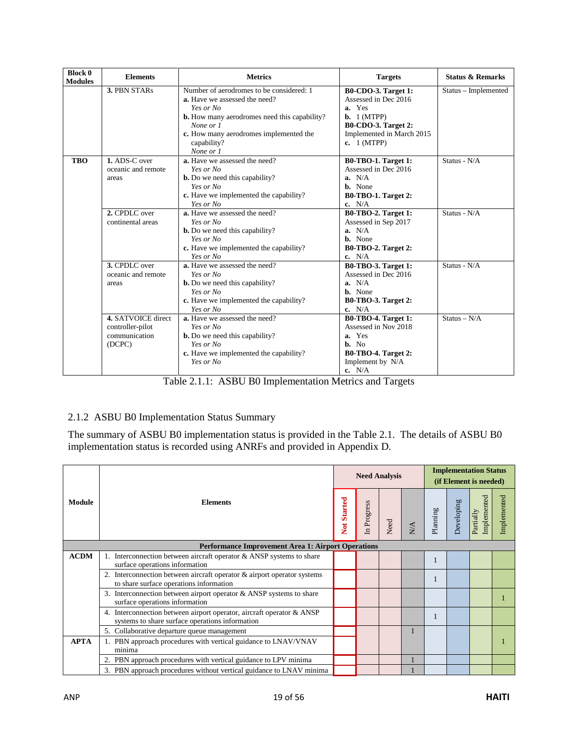| <b>Block 0</b><br><b>Modules</b> | <b>Elements</b>    | <b>Metrics</b>                                                                   | <b>Targets</b>                                     | <b>Status &amp; Remarks</b> |
|----------------------------------|--------------------|----------------------------------------------------------------------------------|----------------------------------------------------|-----------------------------|
|                                  | 3. PBN STARs       | Number of aerodromes to be considered: 1<br><b>a.</b> Have we assessed the need? | <b>B0-CDO-3. Target 1:</b><br>Assessed in Dec 2016 | Status - Implemented        |
|                                  |                    | Yes or No                                                                        | a. Yes                                             |                             |
|                                  |                    | <b>b.</b> How many aerodromes need this capability?                              | <b>b.</b> $1$ (MTPP)                               |                             |
|                                  |                    | None or 1                                                                        | <b>B0-CDO-3. Target 2:</b>                         |                             |
|                                  |                    | c. How many aerodromes implemented the                                           | Implemented in March 2015                          |                             |
|                                  |                    | capability?                                                                      | c. $1(MTPP)$                                       |                             |
|                                  |                    | None or 1                                                                        |                                                    |                             |
| <b>TBO</b>                       | 1. ADS-C over      | a. Have we assessed the need?                                                    | B0-TBO-1. Target 1:                                | Status - N/A                |
|                                  | oceanic and remote | Yes or No                                                                        | Assessed in Dec 2016                               |                             |
|                                  | areas              | <b>b.</b> Do we need this capability?                                            | a. N/A                                             |                             |
|                                  |                    | Yes or No                                                                        | <b>b.</b> None                                     |                             |
|                                  |                    | c. Have we implemented the capability?                                           | <b>B0-TBO-1. Target 2:</b>                         |                             |
|                                  |                    | Yes or No                                                                        | c. $N/A$                                           |                             |
|                                  | 2. CPDLC over      | a. Have we assessed the need?                                                    | <b>B0-TBO-2. Target 1:</b>                         | Status - N/A                |
|                                  | continental areas  | Yes or No                                                                        | Assessed in Sep 2017                               |                             |
|                                  |                    | <b>b.</b> Do we need this capability?                                            | a. N/A                                             |                             |
|                                  |                    | Yes or No                                                                        | <b>b.</b> None                                     |                             |
|                                  |                    | c. Have we implemented the capability?                                           | <b>B0-TBO-2. Target 2:</b>                         |                             |
|                                  |                    | Yes or No                                                                        | c. $N/A$                                           |                             |
|                                  | 3. CPDLC over      | a. Have we assessed the need?                                                    | <b>B0-TBO-3. Target 1:</b>                         | Status - N/A                |
|                                  | oceanic and remote | Yes or No                                                                        | Assessed in Dec 2016                               |                             |
|                                  | areas              | <b>b.</b> Do we need this capability?                                            | a. N/A                                             |                             |
|                                  |                    | Yes or No                                                                        | <b>b.</b> None                                     |                             |
|                                  |                    | c. Have we implemented the capability?                                           | <b>B0-TBO-3. Target 2:</b>                         |                             |
|                                  |                    | Yes or No                                                                        | c. $N/A$                                           |                             |
|                                  | 4. SATVOICE direct | a. Have we assessed the need?                                                    | B0-TBO-4. Target 1:                                | $Status - N/A$              |
|                                  | controller-pilot   | Yes or No                                                                        | Assessed in Nov 2018                               |                             |
|                                  | communication      | <b>b.</b> Do we need this capability?                                            | a. Yes                                             |                             |
|                                  | (DCPC)             | Yes or No                                                                        | b. No                                              |                             |
|                                  |                    | c. Have we implemented the capability?                                           | B0-TBO-4. Target 2:                                |                             |
|                                  |                    | Yes or No                                                                        | Implement by N/A                                   |                             |
|                                  |                    |                                                                                  | c. $N/A$                                           |                             |

Table 2.1.1: ASBU B0 Implementation Metrics and Targets

# <span id="page-18-0"></span>2.1.2 ASBU B0 Implementation Status Summary

The summary of ASBU B0 implementation status is provided in the Table 2.1. The details of ASBU B0 implementation status is recorded using ANRFs and provided in Appendix D.

|             |                                                                                                                       |             | <b>Need Analysis</b> |      |     |          | <b>Implementation Status</b><br>(if Element is needed) |                          |             |
|-------------|-----------------------------------------------------------------------------------------------------------------------|-------------|----------------------|------|-----|----------|--------------------------------------------------------|--------------------------|-------------|
| Module      | <b>Elements</b>                                                                                                       | Not Started | In Progress          | Need | N/A | Planning | Developing                                             | Implemented<br>Partially | Implemented |
|             | <b>Performance Improvement Area 1: Airport Operations</b>                                                             |             |                      |      |     |          |                                                        |                          |             |
| <b>ACDM</b> | 1. Interconnection between aircraft operator & ANSP systems to share<br>surface operations information                |             |                      |      |     |          |                                                        |                          |             |
|             | Interconnection between aircraft operator & airport operator systems<br>2.<br>to share surface operations information |             |                      |      |     |          |                                                        |                          |             |
|             | 3. Interconnection between airport operator $&$ ANSP systems to share<br>surface operations information               |             |                      |      |     |          |                                                        |                          |             |
|             | Interconnection between airport operator, aircraft operator & ANSP<br>systems to share surface operations information |             |                      |      |     |          |                                                        |                          |             |
|             | Collaborative departure queue management                                                                              |             |                      |      |     |          |                                                        |                          |             |
| <b>APTA</b> | 1. PBN approach procedures with vertical guidance to LNAV/VNAV<br>minima                                              |             |                      |      |     |          |                                                        |                          |             |
|             | PBN approach procedures with vertical guidance to LPV minima                                                          |             |                      |      |     |          |                                                        |                          |             |
|             | 3. PBN approach procedures without vertical guidance to LNAV minima                                                   |             |                      |      |     |          |                                                        |                          |             |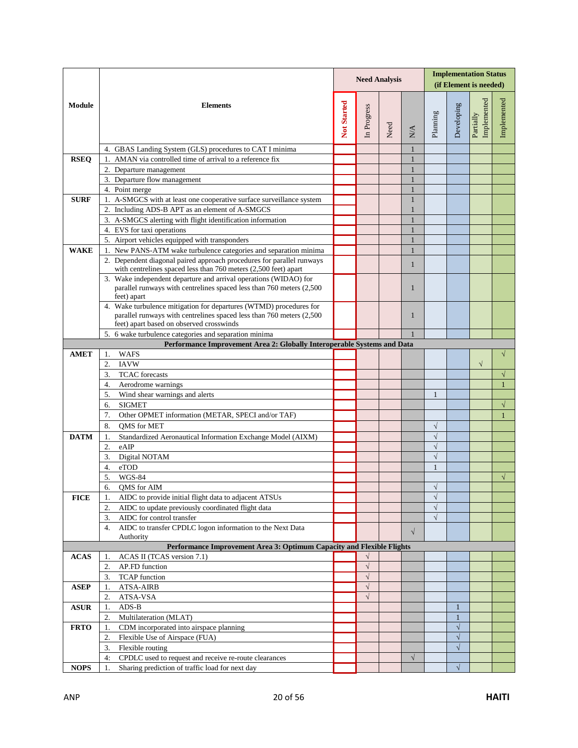|             |                                                                                                                                                          | <b>Implementation Status</b><br><b>Need Analysis</b><br>(if Element is needed) |             |      |                                  |              |              |                          |              |
|-------------|----------------------------------------------------------------------------------------------------------------------------------------------------------|--------------------------------------------------------------------------------|-------------|------|----------------------------------|--------------|--------------|--------------------------|--------------|
| Module      | <b>Elements</b>                                                                                                                                          | Not Started                                                                    | In Progress | Need | $\mathop{\mathrm{N}}\nolimits^A$ | Planning     | Developing   | Implemented<br>Partially | Implemented  |
|             | 4. GBAS Landing System (GLS) procedures to CAT I minima                                                                                                  |                                                                                |             |      | 1                                |              |              |                          |              |
| <b>RSEQ</b> | AMAN via controlled time of arrival to a reference fix                                                                                                   |                                                                                |             |      | 1                                |              |              |                          |              |
|             | 2. Departure management                                                                                                                                  |                                                                                |             |      | 1                                |              |              |                          |              |
|             | 3. Departure flow management                                                                                                                             |                                                                                |             |      | $\mathbf{1}$                     |              |              |                          |              |
|             | 4. Point merge                                                                                                                                           |                                                                                |             |      | 1                                |              |              |                          |              |
| <b>SURF</b> | 1. A-SMGCS with at least one cooperative surface surveillance system                                                                                     |                                                                                |             |      | 1                                |              |              |                          |              |
|             | 2. Including ADS-B APT as an element of A-SMGCS                                                                                                          |                                                                                |             |      | $\mathbf{1}$                     |              |              |                          |              |
|             | 3. A-SMGCS alerting with flight identification information<br>4. EVS for taxi operations                                                                 |                                                                                |             |      | $\mathbf{1}$<br>$\mathbf{1}$     |              |              |                          |              |
|             | 5. Airport vehicles equipped with transponders                                                                                                           |                                                                                |             |      | 1                                |              |              |                          |              |
| <b>WAKE</b> | 1. New PANS-ATM wake turbulence categories and separation minima                                                                                         |                                                                                |             |      | 1                                |              |              |                          |              |
|             | 2. Dependent diagonal paired approach procedures for parallel runways                                                                                    |                                                                                |             |      |                                  |              |              |                          |              |
|             | with centrelines spaced less than 760 meters (2,500 feet) apart                                                                                          |                                                                                |             |      | $\mathbf{1}$                     |              |              |                          |              |
|             | 3. Wake independent departure and arrival operations (WIDAO) for<br>parallel runways with centrelines spaced less than 760 meters (2,500)<br>feet) apart |                                                                                |             |      | 1                                |              |              |                          |              |
|             | 4. Wake turbulence mitigation for departures (WTMD) procedures for<br>parallel runways with centrelines spaced less than 760 meters (2,500)              |                                                                                |             |      | $\mathbf{1}$                     |              |              |                          |              |
|             | feet) apart based on observed crosswinds                                                                                                                 |                                                                                |             |      |                                  |              |              |                          |              |
|             | 6 wake turbulence categories and separation minima<br>5.                                                                                                 |                                                                                |             |      |                                  |              |              |                          |              |
|             | Performance Improvement Area 2: Globally Interoperable Systems and Data                                                                                  |                                                                                |             |      |                                  |              |              |                          |              |
| <b>AMET</b> | <b>WAFS</b><br>1.<br><b>IAVW</b><br>2.                                                                                                                   |                                                                                |             |      |                                  |              |              | $\sqrt{}$                | $\sqrt{}$    |
|             | <b>TCAC</b> forecasts<br>3.                                                                                                                              |                                                                                |             |      |                                  |              |              |                          | $\sqrt{}$    |
|             | 4.<br>Aerodrome warnings                                                                                                                                 |                                                                                |             |      |                                  |              |              |                          | $\mathbf{1}$ |
|             | 5.<br>Wind shear warnings and alerts                                                                                                                     |                                                                                |             |      |                                  | $\mathbf{1}$ |              |                          |              |
|             | <b>SIGMET</b><br>6.                                                                                                                                      |                                                                                |             |      |                                  |              |              |                          | √            |
|             | 7.<br>Other OPMET information (METAR, SPECI and/or TAF)                                                                                                  |                                                                                |             |      |                                  |              |              |                          | $\mathbf{1}$ |
|             | 8.<br><b>OMS</b> for MET                                                                                                                                 |                                                                                |             |      |                                  | $\sqrt{}$    |              |                          |              |
| <b>DATM</b> | Standardized Aeronautical Information Exchange Model (AIXM)<br>1.                                                                                        |                                                                                |             |      |                                  | $\sqrt{}$    |              |                          |              |
|             | eAIP<br>2.                                                                                                                                               |                                                                                |             |      |                                  | $\sqrt{}$    |              |                          |              |
|             | Digital NOTAM<br>3.                                                                                                                                      |                                                                                |             |      |                                  | $\sqrt{}$    |              |                          |              |
|             | 4.<br>eTOD                                                                                                                                               |                                                                                |             |      |                                  | $\mathbf{1}$ |              |                          |              |
|             | 5.<br>WGS-84                                                                                                                                             |                                                                                |             |      |                                  |              |              |                          | $\sqrt{}$    |
|             | QMS for AIM<br>6.                                                                                                                                        |                                                                                |             |      |                                  | $\sqrt{}$    |              |                          |              |
| <b>FICE</b> | AIDC to provide initial flight data to adjacent ATSUs<br>1.                                                                                              |                                                                                |             |      |                                  | $\sqrt{}$    |              |                          |              |
|             | AIDC to update previously coordinated flight data<br>2.                                                                                                  |                                                                                |             |      |                                  | $\sqrt{}$    |              |                          |              |
|             | AIDC for control transfer<br>3.                                                                                                                          |                                                                                |             |      |                                  | $\sqrt{}$    |              |                          |              |
|             | AIDC to transfer CPDLC logon information to the Next Data<br>4.<br>Authority                                                                             |                                                                                |             |      | $\sqrt{}$                        |              |              |                          |              |
| <b>ACAS</b> | Performance Improvement Area 3: Optimum Capacity and Flexible Flights<br>ACAS II (TCAS version 7.1)<br>1.                                                |                                                                                |             |      |                                  |              |              |                          |              |
|             | AP.FD function<br>2.                                                                                                                                     |                                                                                | $\sqrt{}$   |      |                                  |              |              |                          |              |
|             | <b>TCAP</b> function<br>3.                                                                                                                               |                                                                                | $\sqrt{}$   |      |                                  |              |              |                          |              |
| <b>ASEP</b> | <b>ATSA-AIRB</b><br>1.                                                                                                                                   |                                                                                | $\sqrt{}$   |      |                                  |              |              |                          |              |
|             | 2.<br>ATSA-VSA                                                                                                                                           |                                                                                | $\sqrt{}$   |      |                                  |              |              |                          |              |
| <b>ASUR</b> | ADS-B<br>1.                                                                                                                                              |                                                                                |             |      |                                  |              | $\mathbf{1}$ |                          |              |
|             | Multilateration (MLAT)<br>2.                                                                                                                             |                                                                                |             |      |                                  |              | $\mathbf{1}$ |                          |              |
| <b>FRTO</b> | CDM incorporated into airspace planning<br>1.                                                                                                            |                                                                                |             |      |                                  |              | $\sqrt{}$    |                          |              |
|             | $\overline{2}$ .<br>Flexible Use of Airspace (FUA)                                                                                                       |                                                                                |             |      |                                  |              | $\sqrt{}$    |                          |              |
|             | Flexible routing<br>3.                                                                                                                                   |                                                                                |             |      |                                  |              | $\sqrt{}$    |                          |              |
|             | CPDLC used to request and receive re-route clearances<br>4:                                                                                              |                                                                                |             |      | $\sqrt{}$                        |              |              |                          |              |
| <b>NOPS</b> | Sharing prediction of traffic load for next day<br>1.                                                                                                    |                                                                                |             |      |                                  |              | $\sqrt{}$    |                          |              |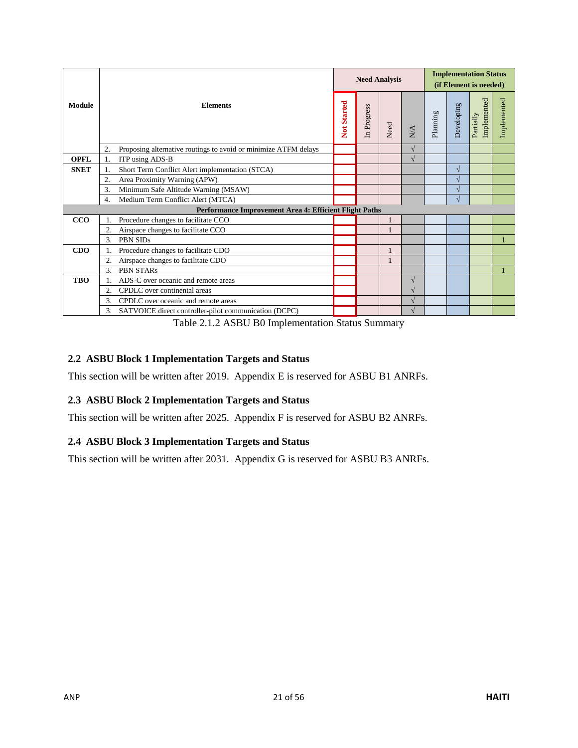|             |                                                                       |             | <b>Need Analysis</b> |              |     | <b>Implementation Status</b><br>(if Element is needed) |            |                          |             |  |
|-------------|-----------------------------------------------------------------------|-------------|----------------------|--------------|-----|--------------------------------------------------------|------------|--------------------------|-------------|--|
| Module      | <b>Elements</b>                                                       | Not Started | In Progress          | Need         | N/A | Planning                                               | Developing | Implemented<br>Partially | Implemented |  |
|             | Proposing alternative routings to avoid or minimize ATFM delays<br>2. |             |                      |              | √   |                                                        |            |                          |             |  |
| <b>OPFL</b> | ITP using ADS-B                                                       |             |                      |              | V   |                                                        |            |                          |             |  |
| <b>SNET</b> | Short Term Conflict Alert implementation (STCA)                       |             |                      |              |     |                                                        | V          |                          |             |  |
|             | Area Proximity Warning (APW)<br>2.                                    |             |                      |              |     |                                                        |            |                          |             |  |
|             | Minimum Safe Altitude Warning (MSAW)<br>3.                            |             |                      |              |     |                                                        | V          |                          |             |  |
|             | Medium Term Conflict Alert (MTCA)<br>4.                               |             |                      |              |     |                                                        |            |                          |             |  |
|             | Performance Improvement Area 4: Efficient Flight Paths                |             |                      |              |     |                                                        |            |                          |             |  |
| CCO         | Procedure changes to facilitate CCO                                   |             |                      |              |     |                                                        |            |                          |             |  |
|             | Airspace changes to facilitate CCO<br>2.                              |             |                      | 1            |     |                                                        |            |                          |             |  |
|             | PBN SIDs<br>3.                                                        |             |                      |              |     |                                                        |            |                          |             |  |
| CDO         | Procedure changes to facilitate CDO                                   |             |                      | 1            |     |                                                        |            |                          |             |  |
|             | Airspace changes to facilitate CDO<br>2.                              |             |                      | $\mathbf{1}$ |     |                                                        |            |                          |             |  |
|             | <b>PBN STARs</b><br>3.                                                |             |                      |              |     |                                                        |            |                          |             |  |
| <b>TBO</b>  | ADS-C over oceanic and remote areas                                   |             |                      |              | V   |                                                        |            |                          |             |  |
|             | CPDLC over continental areas<br>2.                                    |             |                      |              |     |                                                        |            |                          |             |  |
|             | CPDLC over oceanic and remote areas<br>3.                             |             |                      |              |     |                                                        |            |                          |             |  |
|             | 3.<br>SATVOICE direct controller-pilot communication (DCPC)           |             |                      |              |     |                                                        |            |                          |             |  |

Table 2.1.2 ASBU B0 Implementation Status Summary

### <span id="page-20-0"></span>**2.2 ASBU Block 1 Implementation Targets and Status**

This section will be written after 2019. Appendix E is reserved for ASBU B1 ANRFs.

#### <span id="page-20-1"></span>**2.3 ASBU Block 2 Implementation Targets and Status**

This section will be written after 2025. Appendix F is reserved for ASBU B2 ANRFs.

#### <span id="page-20-2"></span>**2.4 ASBU Block 3 Implementation Targets and Status**

This section will be written after 2031. Appendix G is reserved for ASBU B3 ANRFs.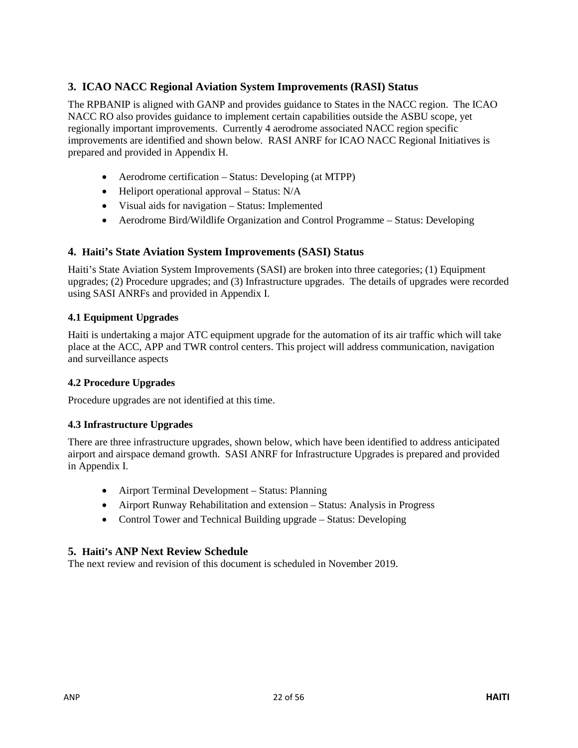# <span id="page-21-0"></span>**3. ICAO NACC Regional Aviation System Improvements (RASI) Status**

The RPBANIP is aligned with GANP and provides guidance to States in the NACC region. The ICAO NACC RO also provides guidance to implement certain capabilities outside the ASBU scope, yet regionally important improvements. Currently 4 aerodrome associated NACC region specific improvements are identified and shown below. RASI ANRF for ICAO NACC Regional Initiatives is prepared and provided in Appendix H.

- Aerodrome certification Status: Developing (at MTPP)
- Heliport operational approval Status: N/A
- Visual aids for navigation Status: Implemented
- Aerodrome Bird/Wildlife Organization and Control Programme Status: Developing

### <span id="page-21-1"></span>**4. Haiti's State Aviation System Improvements (SASI) Status**

Haiti's State Aviation System Improvements (SASI) are broken into three categories; (1) Equipment upgrades; (2) Procedure upgrades; and (3) Infrastructure upgrades. The details of upgrades were recorded using SASI ANRFs and provided in Appendix I.

#### <span id="page-21-2"></span>**4.1 Equipment Upgrades**

Haiti is undertaking a major ATC equipment upgrade for the automation of its air traffic which will take place at the ACC, APP and TWR control centers. This project will address communication, navigation and surveillance aspects

#### <span id="page-21-3"></span>**4.2 Procedure Upgrades**

Procedure upgrades are not identified at this time.

#### <span id="page-21-4"></span>**4.3 Infrastructure Upgrades**

There are three infrastructure upgrades, shown below, which have been identified to address anticipated airport and airspace demand growth. SASI ANRF for Infrastructure Upgrades is prepared and provided in Appendix I.

- Airport Terminal Development Status: Planning
- Airport Runway Rehabilitation and extension Status: Analysis in Progress
- Control Tower and Technical Building upgrade Status: Developing

#### <span id="page-21-5"></span>**5. Haiti's ANP Next Review Schedule**

The next review and revision of this document is scheduled in November 2019.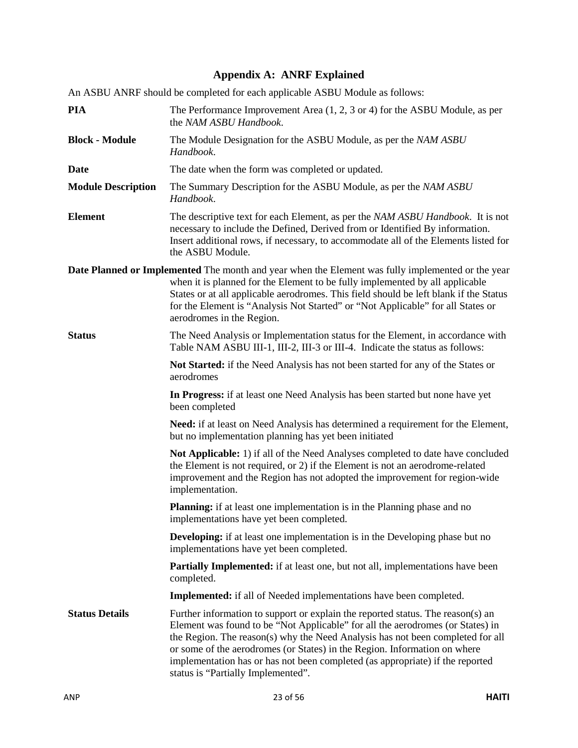# **Appendix A: ANRF Explained**

<span id="page-22-0"></span>

| An ASBU ANRF should be completed for each applicable ASBU Module as follows:                                                                                                                                                                                                                                                                                                                                                                            |
|---------------------------------------------------------------------------------------------------------------------------------------------------------------------------------------------------------------------------------------------------------------------------------------------------------------------------------------------------------------------------------------------------------------------------------------------------------|
| The Performance Improvement Area $(1, 2, 3 \text{ or } 4)$ for the ASBU Module, as per<br>the NAM ASBU Handbook.                                                                                                                                                                                                                                                                                                                                        |
| The Module Designation for the ASBU Module, as per the NAM ASBU<br>Handbook.                                                                                                                                                                                                                                                                                                                                                                            |
| The date when the form was completed or updated.                                                                                                                                                                                                                                                                                                                                                                                                        |
| The Summary Description for the ASBU Module, as per the NAM ASBU<br>Handbook.                                                                                                                                                                                                                                                                                                                                                                           |
| The descriptive text for each Element, as per the NAM ASBU Handbook. It is not<br>necessary to include the Defined, Derived from or Identified By information.<br>Insert additional rows, if necessary, to accommodate all of the Elements listed for<br>the ASBU Module.                                                                                                                                                                               |
| <b>Date Planned or Implemented</b> The month and year when the Element was fully implemented or the year<br>when it is planned for the Element to be fully implemented by all applicable<br>States or at all applicable aerodromes. This field should be left blank if the Status<br>for the Element is "Analysis Not Started" or "Not Applicable" for all States or<br>aerodromes in the Region.                                                       |
| The Need Analysis or Implementation status for the Element, in accordance with<br>Table NAM ASBU III-1, III-2, III-3 or III-4. Indicate the status as follows:                                                                                                                                                                                                                                                                                          |
| Not Started: if the Need Analysis has not been started for any of the States or<br>aerodromes                                                                                                                                                                                                                                                                                                                                                           |
| In Progress: if at least one Need Analysis has been started but none have yet<br>been completed                                                                                                                                                                                                                                                                                                                                                         |
| Need: if at least on Need Analysis has determined a requirement for the Element,<br>but no implementation planning has yet been initiated                                                                                                                                                                                                                                                                                                               |
| Not Applicable: 1) if all of the Need Analyses completed to date have concluded<br>the Element is not required, or 2) if the Element is not an aerodrome-related<br>improvement and the Region has not adopted the improvement for region-wide<br>implementation.                                                                                                                                                                                       |
| Planning: if at least one implementation is in the Planning phase and no<br>implementations have yet been completed.                                                                                                                                                                                                                                                                                                                                    |
| <b>Developing:</b> if at least one implementation is in the Developing phase but no<br>implementations have yet been completed.                                                                                                                                                                                                                                                                                                                         |
| <b>Partially Implemented:</b> if at least one, but not all, implementations have been<br>completed.                                                                                                                                                                                                                                                                                                                                                     |
| <b>Implemented:</b> if all of Needed implementations have been completed.                                                                                                                                                                                                                                                                                                                                                                               |
| Further information to support or explain the reported status. The reason(s) an<br>Element was found to be "Not Applicable" for all the aerodromes (or States) in<br>the Region. The reason(s) why the Need Analysis has not been completed for all<br>or some of the aerodromes (or States) in the Region. Information on where<br>implementation has or has not been completed (as appropriate) if the reported<br>status is "Partially Implemented". |
|                                                                                                                                                                                                                                                                                                                                                                                                                                                         |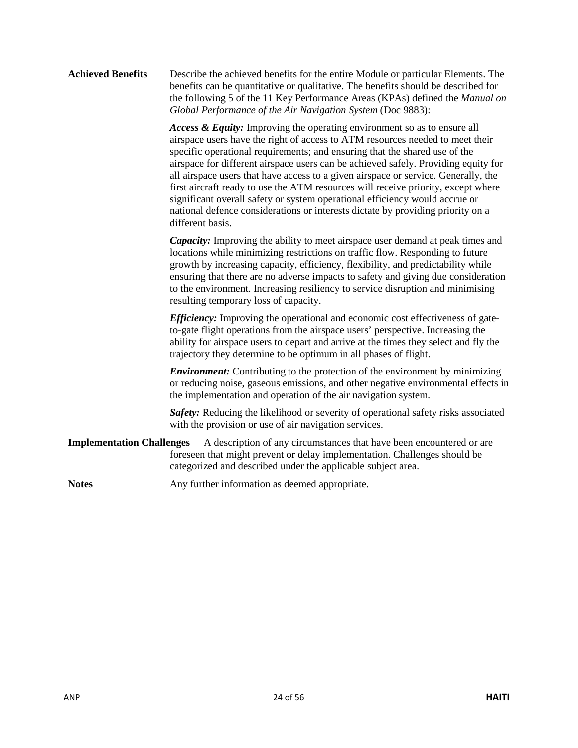#### **Achieved Benefits** Describe the achieved benefits for the entire Module or particular Elements. The benefits can be quantitative or qualitative. The benefits should be described for the following 5 of the 11 Key Performance Areas (KPAs) defined the *Manual on Global Performance of the Air Navigation System* (Doc 9883):

*Access & Equity:* Improving the operating environment so as to ensure all airspace users have the right of access to ATM resources needed to meet their specific operational requirements; and ensuring that the shared use of the airspace for different airspace users can be achieved safely. Providing equity for all airspace users that have access to a given airspace or service. Generally, the first aircraft ready to use the ATM resources will receive priority, except where significant overall safety or system operational efficiency would accrue or national defence considerations or interests dictate by providing priority on a different basis.

*Capacity:* Improving the ability to meet airspace user demand at peak times and locations while minimizing restrictions on traffic flow. Responding to future growth by increasing capacity, efficiency, flexibility, and predictability while ensuring that there are no adverse impacts to safety and giving due consideration to the environment. Increasing resiliency to service disruption and minimising resulting temporary loss of capacity.

*Efficiency:* Improving the operational and economic cost effectiveness of gateto-gate flight operations from the airspace users' perspective. Increasing the ability for airspace users to depart and arrive at the times they select and fly the trajectory they determine to be optimum in all phases of flight.

*Environment:* Contributing to the protection of the environment by minimizing or reducing noise, gaseous emissions, and other negative environmental effects in the implementation and operation of the air navigation system.

*Safety:* Reducing the likelihood or severity of operational safety risks associated with the provision or use of air navigation services.

**Implementation Challenges** A description of any circumstances that have been encountered or are foreseen that might prevent or delay implementation. Challenges should be categorized and described under the applicable subject area.

Notes **Any** further information as deemed appropriate.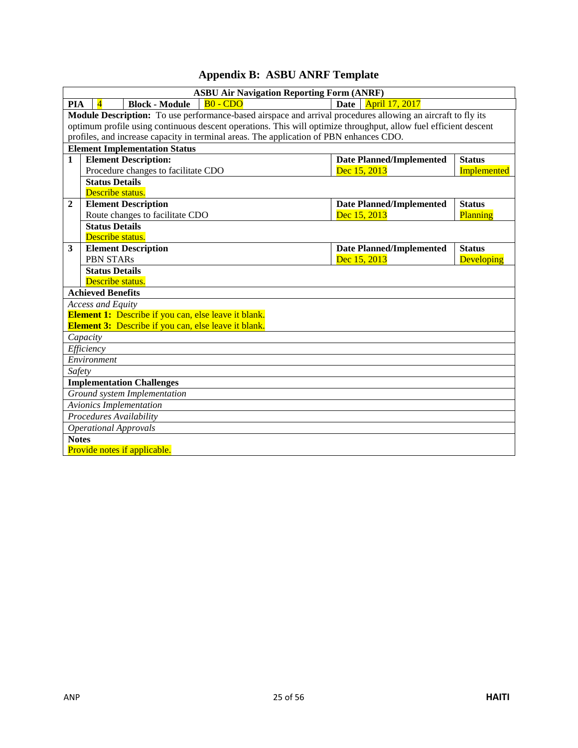# **Appendix B: ASBU ANRF Template**

<span id="page-24-0"></span>

|              |                              |                                                                                                                            | <b>ASBU Air Navigation Reporting Form (ANRF)</b>                                        |                                                                                                                  |                    |
|--------------|------------------------------|----------------------------------------------------------------------------------------------------------------------------|-----------------------------------------------------------------------------------------|------------------------------------------------------------------------------------------------------------------|--------------------|
| <b>PIA</b>   | $\overline{4}$               | <b>Block - Module</b>                                                                                                      | $B0 - CDO$                                                                              | Date<br><b>April 17, 2017</b>                                                                                    |                    |
|              |                              |                                                                                                                            |                                                                                         | Module Description: To use performance-based airspace and arrival procedures allowing an aircraft to fly its     |                    |
|              |                              |                                                                                                                            |                                                                                         | optimum profile using continuous descent operations. This will optimize throughput, allow fuel efficient descent |                    |
|              |                              |                                                                                                                            | profiles, and increase capacity in terminal areas. The application of PBN enhances CDO. |                                                                                                                  |                    |
|              |                              | <b>Element Implementation Status</b>                                                                                       |                                                                                         |                                                                                                                  |                    |
| $\mathbf{1}$ |                              | <b>Element Description:</b>                                                                                                |                                                                                         | <b>Date Planned/Implemented</b>                                                                                  | <b>Status</b>      |
|              |                              | Procedure changes to facilitate CDO                                                                                        |                                                                                         | Dec 15, 2013                                                                                                     | <b>Implemented</b> |
|              | <b>Status Details</b>        |                                                                                                                            |                                                                                         |                                                                                                                  |                    |
|              | Describe status.             |                                                                                                                            |                                                                                         |                                                                                                                  |                    |
| $\mathbf{2}$ |                              | <b>Element Description</b>                                                                                                 |                                                                                         | <b>Date Planned/Implemented</b>                                                                                  | <b>Status</b>      |
|              |                              | Route changes to facilitate CDO                                                                                            |                                                                                         | Dec 15, 2013                                                                                                     | Planning           |
|              | <b>Status Details</b>        |                                                                                                                            |                                                                                         |                                                                                                                  |                    |
|              | Describe status.             |                                                                                                                            |                                                                                         |                                                                                                                  |                    |
| 3            |                              | <b>Element Description</b>                                                                                                 |                                                                                         | <b>Date Planned/Implemented</b>                                                                                  | <b>Status</b>      |
|              | <b>PBN STARs</b>             |                                                                                                                            |                                                                                         | Dec 15, 2013                                                                                                     | <b>Developing</b>  |
|              | <b>Status Details</b>        |                                                                                                                            |                                                                                         |                                                                                                                  |                    |
|              | Describe status.             |                                                                                                                            |                                                                                         |                                                                                                                  |                    |
|              | <b>Achieved Benefits</b>     |                                                                                                                            |                                                                                         |                                                                                                                  |                    |
|              | <b>Access and Equity</b>     |                                                                                                                            |                                                                                         |                                                                                                                  |                    |
|              |                              | <b>Element 1:</b> Describe if you can, else leave it blank.<br><b>Element 3:</b> Describe if you can, else leave it blank. |                                                                                         |                                                                                                                  |                    |
|              | Capacity                     |                                                                                                                            |                                                                                         |                                                                                                                  |                    |
|              | Efficiency                   |                                                                                                                            |                                                                                         |                                                                                                                  |                    |
|              | Environment                  |                                                                                                                            |                                                                                         |                                                                                                                  |                    |
| Safety       |                              |                                                                                                                            |                                                                                         |                                                                                                                  |                    |
|              |                              | <b>Implementation Challenges</b>                                                                                           |                                                                                         |                                                                                                                  |                    |
|              |                              | Ground system Implementation                                                                                               |                                                                                         |                                                                                                                  |                    |
|              |                              | <b>Avionics Implementation</b>                                                                                             |                                                                                         |                                                                                                                  |                    |
|              | Procedures Availability      |                                                                                                                            |                                                                                         |                                                                                                                  |                    |
|              | <b>Operational Approvals</b> |                                                                                                                            |                                                                                         |                                                                                                                  |                    |
| <b>Notes</b> |                              |                                                                                                                            |                                                                                         |                                                                                                                  |                    |
|              |                              | Provide notes if applicable.                                                                                               |                                                                                         |                                                                                                                  |                    |
|              |                              |                                                                                                                            |                                                                                         |                                                                                                                  |                    |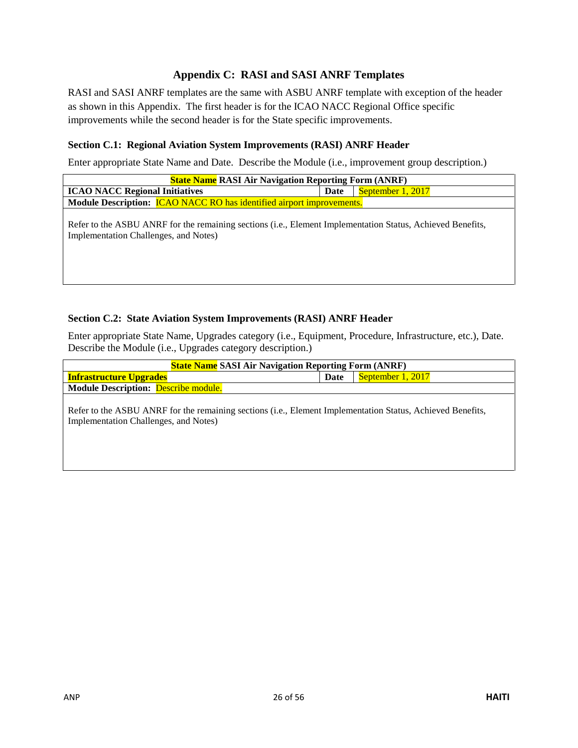## **Appendix C: RASI and SASI ANRF Templates**

<span id="page-25-0"></span>RASI and SASI ANRF templates are the same with ASBU ANRF template with exception of the header as shown in this Appendix. The first header is for the ICAO NACC Regional Office specific improvements while the second header is for the State specific improvements.

#### **Section C.1: Regional Aviation System Improvements (RASI) ANRF Header**

Enter appropriate State Name and Date. Describe the Module (i.e., improvement group description.)

| <b>State Name RASI Air Navigation Reporting Form (ANRF)</b>                                                                                         |      |                   |  |  |  |
|-----------------------------------------------------------------------------------------------------------------------------------------------------|------|-------------------|--|--|--|
| <b>ICAO NACC Regional Initiatives</b>                                                                                                               | Date | September 1, 2017 |  |  |  |
| Module Description: <b>ICAO NACC RO</b> has identified airport improvements.                                                                        |      |                   |  |  |  |
| Refer to the ASBU ANRF for the remaining sections (i.e., Element Implementation Status, Achieved Benefits,<br>Implementation Challenges, and Notes) |      |                   |  |  |  |

#### **Section C.2: State Aviation System Improvements (RASI) ANRF Header**

Enter appropriate State Name, Upgrades category (i.e., Equipment, Procedure, Infrastructure, etc.), Date. Describe the Module (i.e., Upgrades category description.)

| <b>State Name SASI Air Navigation Reporting Form (ANRF)</b>                                                |      |                   |  |  |  |
|------------------------------------------------------------------------------------------------------------|------|-------------------|--|--|--|
| <b>Infrastructure Upgrades</b>                                                                             | Date | September 1, 2017 |  |  |  |
| <b>Module Description: Describe module.</b>                                                                |      |                   |  |  |  |
|                                                                                                            |      |                   |  |  |  |
| Refer to the ASBU ANRF for the remaining sections (i.e., Element Implementation Status, Achieved Benefits, |      |                   |  |  |  |
| Implementation Challenges, and Notes)                                                                      |      |                   |  |  |  |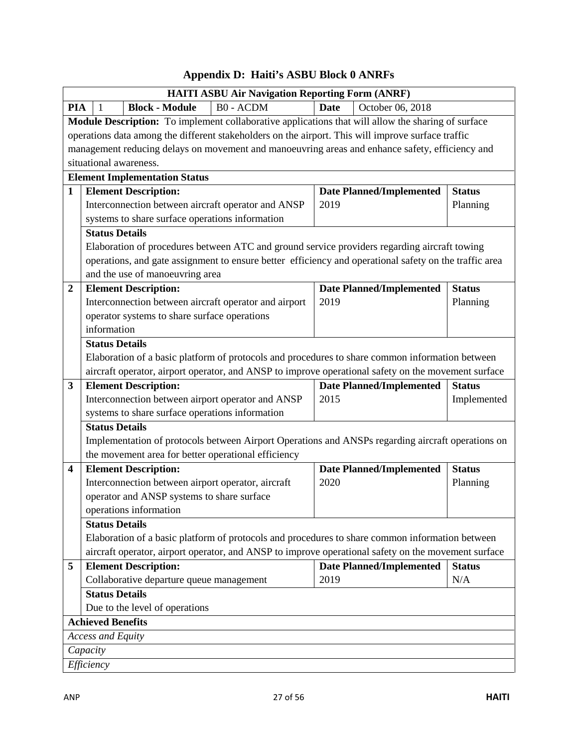<span id="page-26-0"></span>

|                         | <b>HAITI ASBU Air Navigation Reporting Form (ANRF)</b>                                                 |             |                                 |               |
|-------------------------|--------------------------------------------------------------------------------------------------------|-------------|---------------------------------|---------------|
| <b>PIA</b>              | <b>B0 - ACDM</b><br><b>Block - Module</b><br>-1                                                        | <b>Date</b> | October 06, 2018                |               |
|                         | Module Description: To implement collaborative applications that will allow the sharing of surface     |             |                                 |               |
|                         | operations data among the different stakeholders on the airport. This will improve surface traffic     |             |                                 |               |
|                         | management reducing delays on movement and manoeuvring areas and enhance safety, efficiency and        |             |                                 |               |
|                         | situational awareness.                                                                                 |             |                                 |               |
|                         | <b>Element Implementation Status</b>                                                                   |             |                                 |               |
| $\mathbf{1}$            | <b>Element Description:</b>                                                                            |             | <b>Date Planned/Implemented</b> | <b>Status</b> |
|                         | Interconnection between aircraft operator and ANSP                                                     | 2019        |                                 | Planning      |
|                         | systems to share surface operations information                                                        |             |                                 |               |
|                         | <b>Status Details</b>                                                                                  |             |                                 |               |
|                         | Elaboration of procedures between ATC and ground service providers regarding aircraft towing           |             |                                 |               |
|                         | operations, and gate assignment to ensure better efficiency and operational safety on the traffic area |             |                                 |               |
|                         | and the use of manoeuvring area                                                                        |             |                                 |               |
| $\boldsymbol{2}$        | <b>Element Description:</b>                                                                            |             | <b>Date Planned/Implemented</b> | <b>Status</b> |
|                         | Interconnection between aircraft operator and airport                                                  | 2019        |                                 | Planning      |
|                         | operator systems to share surface operations                                                           |             |                                 |               |
|                         | information                                                                                            |             |                                 |               |
|                         | <b>Status Details</b>                                                                                  |             |                                 |               |
|                         | Elaboration of a basic platform of protocols and procedures to share common information between        |             |                                 |               |
|                         | aircraft operator, airport operator, and ANSP to improve operational safety on the movement surface    |             |                                 |               |
| $\mathbf{3}$            | <b>Element Description:</b>                                                                            |             | <b>Date Planned/Implemented</b> | <b>Status</b> |
|                         |                                                                                                        |             |                                 |               |
|                         | Interconnection between airport operator and ANSP                                                      | 2015        |                                 | Implemented   |
|                         | systems to share surface operations information                                                        |             |                                 |               |
|                         | <b>Status Details</b>                                                                                  |             |                                 |               |
|                         | Implementation of protocols between Airport Operations and ANSPs regarding aircraft operations on      |             |                                 |               |
|                         | the movement area for better operational efficiency                                                    |             |                                 |               |
| $\overline{\mathbf{4}}$ | <b>Element Description:</b>                                                                            |             | <b>Date Planned/Implemented</b> | <b>Status</b> |
|                         | Interconnection between airport operator, aircraft                                                     | 2020        |                                 | Planning      |
|                         | operator and ANSP systems to share surface                                                             |             |                                 |               |
|                         | operations information                                                                                 |             |                                 |               |
|                         | <b>Status Details</b>                                                                                  |             |                                 |               |
|                         | Elaboration of a basic platform of protocols and procedures to share common information between        |             |                                 |               |
|                         | aircraft operator, airport operator, and ANSP to improve operational safety on the movement surface    |             |                                 |               |
| 5                       | <b>Element Description:</b>                                                                            |             | <b>Date Planned/Implemented</b> | <b>Status</b> |
|                         | Collaborative departure queue management                                                               | 2019        |                                 | N/A           |
|                         | <b>Status Details</b>                                                                                  |             |                                 |               |
|                         | Due to the level of operations                                                                         |             |                                 |               |
|                         | <b>Achieved Benefits</b>                                                                               |             |                                 |               |
|                         | <b>Access and Equity</b>                                                                               |             |                                 |               |
|                         | Capacity                                                                                               |             |                                 |               |

# **Appendix D: Haiti's ASBU Block 0 ANRFs**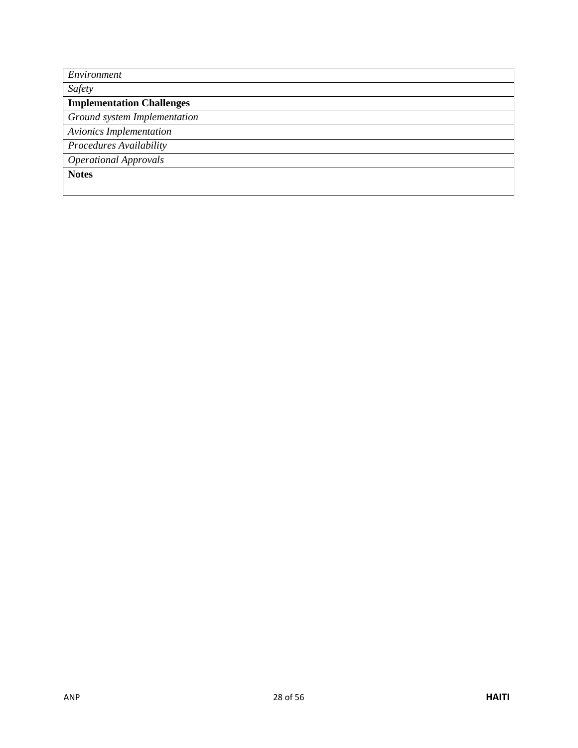| Environment                      |
|----------------------------------|
| Safety                           |
| <b>Implementation Challenges</b> |
| Ground system Implementation     |
| <b>Avionics Implementation</b>   |
| Procedures Availability          |
| <b>Operational Approvals</b>     |
| <b>Notes</b>                     |
|                                  |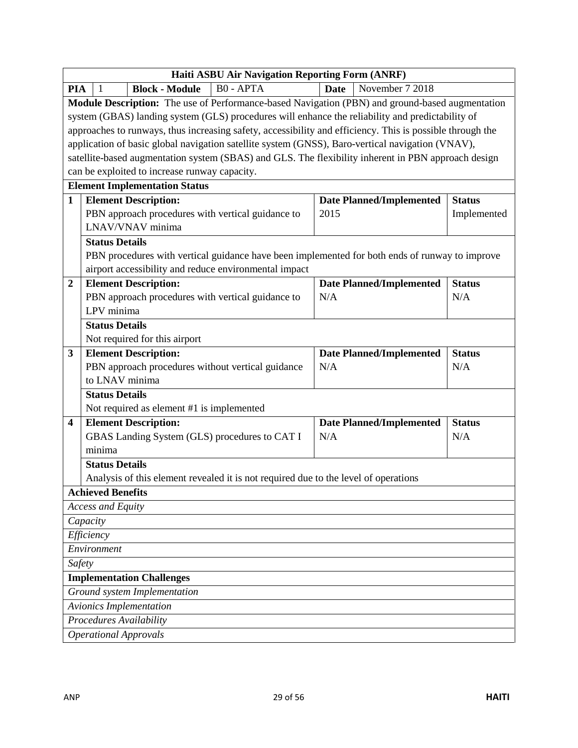| <b>Haiti ASBU Air Navigation Reporting Form (ANRF)</b> |                                                                                                           |                                 |               |  |  |
|--------------------------------------------------------|-----------------------------------------------------------------------------------------------------------|---------------------------------|---------------|--|--|
| <b>PIA</b>                                             | <b>B0 - APTA</b><br><b>Block - Module</b><br>-1                                                           | November 7 2018<br><b>Date</b>  |               |  |  |
|                                                        | Module Description: The use of Performance-based Navigation (PBN) and ground-based augmentation           |                                 |               |  |  |
|                                                        | system (GBAS) landing system (GLS) procedures will enhance the reliability and predictability of          |                                 |               |  |  |
|                                                        | approaches to runways, thus increasing safety, accessibility and efficiency. This is possible through the |                                 |               |  |  |
|                                                        | application of basic global navigation satellite system (GNSS), Baro-vertical navigation (VNAV),          |                                 |               |  |  |
|                                                        | satellite-based augmentation system (SBAS) and GLS. The flexibility inherent in PBN approach design       |                                 |               |  |  |
|                                                        | can be exploited to increase runway capacity.                                                             |                                 |               |  |  |
|                                                        | <b>Element Implementation Status</b>                                                                      |                                 |               |  |  |
| $\mathbf{1}$                                           | <b>Element Description:</b>                                                                               | <b>Date Planned/Implemented</b> | <b>Status</b> |  |  |
|                                                        | PBN approach procedures with vertical guidance to                                                         | 2015                            | Implemented   |  |  |
|                                                        | LNAV/VNAV minima                                                                                          |                                 |               |  |  |
|                                                        | <b>Status Details</b>                                                                                     |                                 |               |  |  |
|                                                        | PBN procedures with vertical guidance have been implemented for both ends of runway to improve            |                                 |               |  |  |
|                                                        | airport accessibility and reduce environmental impact                                                     |                                 |               |  |  |
| $\boldsymbol{2}$                                       | <b>Element Description:</b>                                                                               | <b>Date Planned/Implemented</b> | <b>Status</b> |  |  |
|                                                        | PBN approach procedures with vertical guidance to                                                         | N/A                             | N/A           |  |  |
|                                                        | LPV minima                                                                                                |                                 |               |  |  |
|                                                        | <b>Status Details</b>                                                                                     |                                 |               |  |  |
|                                                        | Not required for this airport                                                                             |                                 |               |  |  |
| 3                                                      | <b>Element Description:</b>                                                                               | <b>Date Planned/Implemented</b> | <b>Status</b> |  |  |
|                                                        | PBN approach procedures without vertical guidance                                                         | N/A                             | N/A           |  |  |
|                                                        | to LNAV minima                                                                                            |                                 |               |  |  |
|                                                        | <b>Status Details</b>                                                                                     |                                 |               |  |  |
|                                                        | Not required as element #1 is implemented                                                                 |                                 |               |  |  |
| $\overline{\mathbf{4}}$                                | <b>Element Description:</b>                                                                               | <b>Date Planned/Implemented</b> | <b>Status</b> |  |  |
|                                                        | GBAS Landing System (GLS) procedures to CAT I                                                             | N/A                             | N/A           |  |  |
|                                                        | minima                                                                                                    |                                 |               |  |  |
|                                                        | <b>Status Details</b>                                                                                     |                                 |               |  |  |
|                                                        | Analysis of this element revealed it is not required due to the level of operations                       |                                 |               |  |  |
|                                                        | <b>Achieved Benefits</b>                                                                                  |                                 |               |  |  |
|                                                        | <b>Access and Equity</b>                                                                                  |                                 |               |  |  |
|                                                        | Capacity                                                                                                  |                                 |               |  |  |
|                                                        | Efficiency                                                                                                |                                 |               |  |  |
| Environment                                            |                                                                                                           |                                 |               |  |  |
|                                                        | Safety                                                                                                    |                                 |               |  |  |
|                                                        | <b>Implementation Challenges</b>                                                                          |                                 |               |  |  |
|                                                        | Ground system Implementation                                                                              |                                 |               |  |  |
|                                                        | <b>Avionics Implementation</b>                                                                            |                                 |               |  |  |
|                                                        | Procedures Availability                                                                                   |                                 |               |  |  |
|                                                        | <b>Operational Approvals</b>                                                                              |                                 |               |  |  |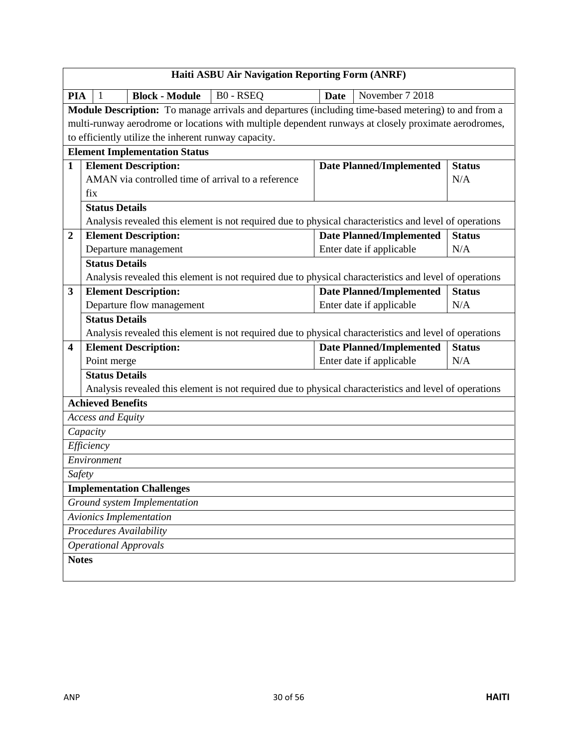|                         | <b>Haiti ASBU Air Navigation Reporting Form (ANRF)</b>                                                                                |                                 |               |  |  |  |
|-------------------------|---------------------------------------------------------------------------------------------------------------------------------------|---------------------------------|---------------|--|--|--|
| <b>PIA</b>              | B0 - RSEQ<br><b>Block - Module</b><br>-1                                                                                              | November 7 2018<br><b>Date</b>  |               |  |  |  |
|                         | Module Description: To manage arrivals and departures (including time-based metering) to and from a                                   |                                 |               |  |  |  |
|                         | multi-runway aerodrome or locations with multiple dependent runways at closely proximate aerodromes,                                  |                                 |               |  |  |  |
|                         | to efficiently utilize the inherent runway capacity.                                                                                  |                                 |               |  |  |  |
|                         | <b>Element Implementation Status</b>                                                                                                  |                                 |               |  |  |  |
| $\mathbf{1}$            | <b>Element Description:</b>                                                                                                           | <b>Date Planned/Implemented</b> | <b>Status</b> |  |  |  |
|                         | AMAN via controlled time of arrival to a reference                                                                                    |                                 | N/A           |  |  |  |
|                         | fix                                                                                                                                   |                                 |               |  |  |  |
|                         | <b>Status Details</b>                                                                                                                 |                                 |               |  |  |  |
|                         | Analysis revealed this element is not required due to physical characteristics and level of operations                                |                                 |               |  |  |  |
| $\boldsymbol{2}$        | <b>Element Description:</b>                                                                                                           | <b>Date Planned/Implemented</b> | <b>Status</b> |  |  |  |
|                         | Departure management                                                                                                                  | Enter date if applicable        | N/A           |  |  |  |
|                         | <b>Status Details</b>                                                                                                                 |                                 |               |  |  |  |
|                         | Analysis revealed this element is not required due to physical characteristics and level of operations                                |                                 |               |  |  |  |
| $\mathbf{3}$            | <b>Element Description:</b>                                                                                                           | <b>Date Planned/Implemented</b> | <b>Status</b> |  |  |  |
|                         | Departure flow management                                                                                                             | Enter date if applicable        | N/A           |  |  |  |
|                         | <b>Status Details</b>                                                                                                                 |                                 |               |  |  |  |
| $\overline{\mathbf{4}}$ | Analysis revealed this element is not required due to physical characteristics and level of operations<br><b>Element Description:</b> | <b>Date Planned/Implemented</b> | <b>Status</b> |  |  |  |
|                         | Point merge                                                                                                                           | Enter date if applicable        | N/A           |  |  |  |
|                         | <b>Status Details</b>                                                                                                                 |                                 |               |  |  |  |
|                         | Analysis revealed this element is not required due to physical characteristics and level of operations                                |                                 |               |  |  |  |
|                         | <b>Achieved Benefits</b>                                                                                                              |                                 |               |  |  |  |
|                         | <b>Access and Equity</b>                                                                                                              |                                 |               |  |  |  |
|                         | Capacity                                                                                                                              |                                 |               |  |  |  |
|                         | Efficiency                                                                                                                            |                                 |               |  |  |  |
|                         | Environment                                                                                                                           |                                 |               |  |  |  |
| Safety                  |                                                                                                                                       |                                 |               |  |  |  |
|                         | <b>Implementation Challenges</b>                                                                                                      |                                 |               |  |  |  |
|                         | Ground system Implementation                                                                                                          |                                 |               |  |  |  |
|                         | Avionics Implementation                                                                                                               |                                 |               |  |  |  |
|                         | <b>Procedures Availability</b>                                                                                                        |                                 |               |  |  |  |
|                         | <b>Operational Approvals</b>                                                                                                          |                                 |               |  |  |  |
| <b>Notes</b>            |                                                                                                                                       |                                 |               |  |  |  |
|                         |                                                                                                                                       |                                 |               |  |  |  |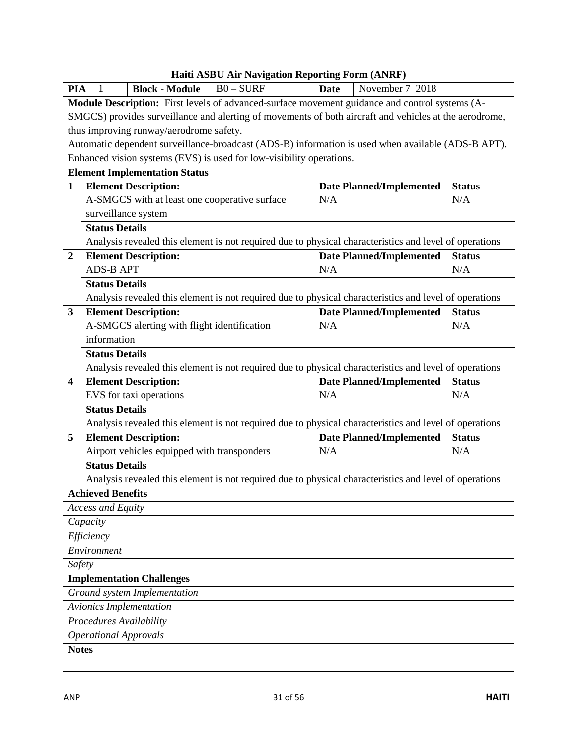| <b>Haiti ASBU Air Navigation Reporting Form (ANRF)</b> |                                                                                                        |                                        |                      |  |  |
|--------------------------------------------------------|--------------------------------------------------------------------------------------------------------|----------------------------------------|----------------------|--|--|
| <b>PIA</b>                                             | $B0 - SURF$<br><b>Block - Module</b><br>-1                                                             | November 7 2018<br><b>Date</b>         |                      |  |  |
|                                                        | Module Description: First levels of advanced-surface movement guidance and control systems (A-         |                                        |                      |  |  |
|                                                        | SMGCS) provides surveillance and alerting of movements of both aircraft and vehicles at the aerodrome, |                                        |                      |  |  |
|                                                        | thus improving runway/aerodrome safety.                                                                |                                        |                      |  |  |
|                                                        | Automatic dependent surveillance-broadcast (ADS-B) information is used when available (ADS-B APT).     |                                        |                      |  |  |
|                                                        | Enhanced vision systems (EVS) is used for low-visibility operations.                                   |                                        |                      |  |  |
|                                                        | <b>Element Implementation Status</b>                                                                   |                                        |                      |  |  |
| $\mathbf{1}$                                           | <b>Element Description:</b>                                                                            | <b>Date Planned/Implemented</b>        | <b>Status</b>        |  |  |
|                                                        | A-SMGCS with at least one cooperative surface                                                          | N/A                                    | N/A                  |  |  |
|                                                        | surveillance system                                                                                    |                                        |                      |  |  |
|                                                        | <b>Status Details</b>                                                                                  |                                        |                      |  |  |
|                                                        | Analysis revealed this element is not required due to physical characteristics and level of operations |                                        |                      |  |  |
| $\boldsymbol{2}$                                       | <b>Element Description:</b>                                                                            | <b>Date Planned/Implemented</b>        | <b>Status</b>        |  |  |
|                                                        | <b>ADS-B APT</b>                                                                                       | N/A                                    | N/A                  |  |  |
|                                                        | <b>Status Details</b>                                                                                  |                                        |                      |  |  |
|                                                        | Analysis revealed this element is not required due to physical characteristics and level of operations |                                        |                      |  |  |
| 3                                                      | <b>Element Description:</b>                                                                            | <b>Date Planned/Implemented</b><br>N/A | <b>Status</b><br>N/A |  |  |
|                                                        | A-SMGCS alerting with flight identification<br>information                                             |                                        |                      |  |  |
|                                                        | <b>Status Details</b>                                                                                  |                                        |                      |  |  |
|                                                        | Analysis revealed this element is not required due to physical characteristics and level of operations |                                        |                      |  |  |
| 4                                                      | <b>Element Description:</b>                                                                            | <b>Date Planned/Implemented</b>        | <b>Status</b>        |  |  |
|                                                        | EVS for taxi operations                                                                                | N/A                                    | N/A                  |  |  |
|                                                        | <b>Status Details</b>                                                                                  |                                        |                      |  |  |
|                                                        | Analysis revealed this element is not required due to physical characteristics and level of operations |                                        |                      |  |  |
| 5                                                      | <b>Element Description:</b>                                                                            | <b>Date Planned/Implemented</b>        | <b>Status</b>        |  |  |
|                                                        | Airport vehicles equipped with transponders                                                            | N/A                                    | N/A                  |  |  |
|                                                        | <b>Status Details</b>                                                                                  |                                        |                      |  |  |
|                                                        | Analysis revealed this element is not required due to physical characteristics and level of operations |                                        |                      |  |  |
|                                                        | <b>Achieved Benefits</b>                                                                               |                                        |                      |  |  |
|                                                        | <b>Access and Equity</b>                                                                               |                                        |                      |  |  |
|                                                        | Capacity                                                                                               |                                        |                      |  |  |
|                                                        | Efficiency                                                                                             |                                        |                      |  |  |
|                                                        | Environment                                                                                            |                                        |                      |  |  |
|                                                        | Safety                                                                                                 |                                        |                      |  |  |
|                                                        | <b>Implementation Challenges</b>                                                                       |                                        |                      |  |  |
|                                                        | Ground system Implementation                                                                           |                                        |                      |  |  |
|                                                        | <b>Avionics Implementation</b>                                                                         |                                        |                      |  |  |
|                                                        | Procedures Availability                                                                                |                                        |                      |  |  |
|                                                        | <b>Operational Approvals</b>                                                                           |                                        |                      |  |  |
|                                                        | <b>Notes</b>                                                                                           |                                        |                      |  |  |
|                                                        |                                                                                                        |                                        |                      |  |  |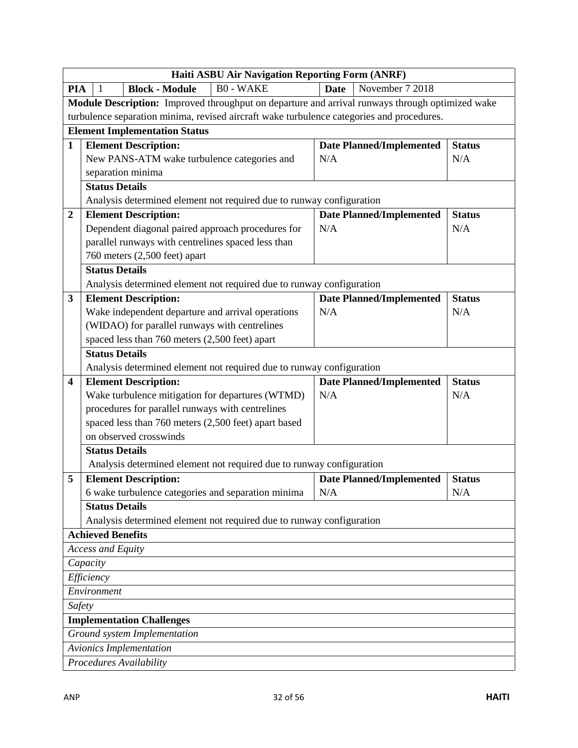|                                                                                           | Haiti ASBU Air Navigation Reporting Form (ANRF)                                                 |                                 |               |  |  |  |
|-------------------------------------------------------------------------------------------|-------------------------------------------------------------------------------------------------|---------------------------------|---------------|--|--|--|
| <b>PIA</b>                                                                                | $\overline{B0}$ - WAKE<br><b>Block - Module</b><br>-1                                           | <b>Date</b><br>November 7 2018  |               |  |  |  |
|                                                                                           | Module Description: Improved throughput on departure and arrival runways through optimized wake |                                 |               |  |  |  |
| turbulence separation minima, revised aircraft wake turbulence categories and procedures. |                                                                                                 |                                 |               |  |  |  |
|                                                                                           | <b>Element Implementation Status</b>                                                            |                                 |               |  |  |  |
| $\mathbf{1}$                                                                              | <b>Element Description:</b>                                                                     | <b>Date Planned/Implemented</b> | <b>Status</b> |  |  |  |
|                                                                                           | New PANS-ATM wake turbulence categories and                                                     | N/A                             | N/A           |  |  |  |
|                                                                                           | separation minima                                                                               |                                 |               |  |  |  |
|                                                                                           | <b>Status Details</b>                                                                           |                                 |               |  |  |  |
|                                                                                           | Analysis determined element not required due to runway configuration                            |                                 |               |  |  |  |
| $\boldsymbol{2}$                                                                          | <b>Element Description:</b>                                                                     | <b>Date Planned/Implemented</b> | <b>Status</b> |  |  |  |
|                                                                                           | Dependent diagonal paired approach procedures for                                               | N/A                             | N/A           |  |  |  |
|                                                                                           | parallel runways with centrelines spaced less than                                              |                                 |               |  |  |  |
|                                                                                           | 760 meters (2,500 feet) apart                                                                   |                                 |               |  |  |  |
|                                                                                           | <b>Status Details</b>                                                                           |                                 |               |  |  |  |
|                                                                                           | Analysis determined element not required due to runway configuration                            |                                 |               |  |  |  |
| $\mathbf{3}$                                                                              | <b>Element Description:</b>                                                                     | <b>Date Planned/Implemented</b> | <b>Status</b> |  |  |  |
|                                                                                           | Wake independent departure and arrival operations                                               | N/A                             | N/A           |  |  |  |
|                                                                                           | (WIDAO) for parallel runways with centrelines                                                   |                                 |               |  |  |  |
|                                                                                           | spaced less than 760 meters (2,500 feet) apart                                                  |                                 |               |  |  |  |
|                                                                                           | <b>Status Details</b>                                                                           |                                 |               |  |  |  |
|                                                                                           | Analysis determined element not required due to runway configuration                            |                                 |               |  |  |  |
| $\overline{\mathbf{4}}$                                                                   | <b>Element Description:</b>                                                                     | <b>Date Planned/Implemented</b> | <b>Status</b> |  |  |  |
|                                                                                           | Wake turbulence mitigation for departures (WTMD)                                                | N/A                             | N/A           |  |  |  |
|                                                                                           | procedures for parallel runways with centrelines                                                |                                 |               |  |  |  |
|                                                                                           | spaced less than 760 meters (2,500 feet) apart based                                            |                                 |               |  |  |  |
|                                                                                           | on observed crosswinds                                                                          |                                 |               |  |  |  |
|                                                                                           | <b>Status Details</b>                                                                           |                                 |               |  |  |  |
|                                                                                           | Analysis determined element not required due to runway configuration                            |                                 |               |  |  |  |
| 5                                                                                         | <b>Element Description:</b>                                                                     | <b>Date Planned/Implemented</b> | <b>Status</b> |  |  |  |
|                                                                                           | 6 wake turbulence categories and separation minima                                              | N/A                             | N/A           |  |  |  |
|                                                                                           | <b>Status Details</b>                                                                           |                                 |               |  |  |  |
|                                                                                           | Analysis determined element not required due to runway configuration                            |                                 |               |  |  |  |
|                                                                                           | <b>Achieved Benefits</b>                                                                        |                                 |               |  |  |  |
|                                                                                           | <b>Access and Equity</b>                                                                        |                                 |               |  |  |  |
|                                                                                           | Capacity                                                                                        |                                 |               |  |  |  |
| Efficiency                                                                                |                                                                                                 |                                 |               |  |  |  |
| Environment                                                                               |                                                                                                 |                                 |               |  |  |  |
| Safety                                                                                    |                                                                                                 |                                 |               |  |  |  |
|                                                                                           | <b>Implementation Challenges</b>                                                                |                                 |               |  |  |  |
|                                                                                           | Ground system Implementation                                                                    |                                 |               |  |  |  |
|                                                                                           | <b>Avionics Implementation</b>                                                                  |                                 |               |  |  |  |
|                                                                                           | Procedures Availability                                                                         |                                 |               |  |  |  |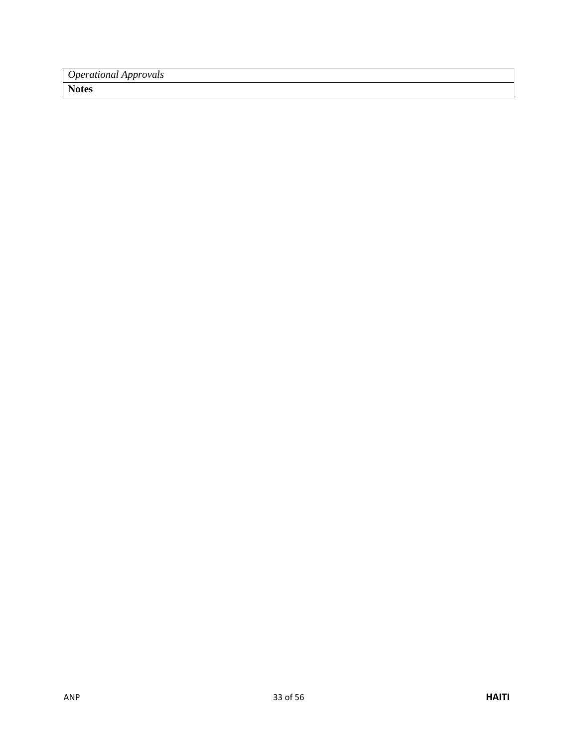*Operational Approvals*

**Notes**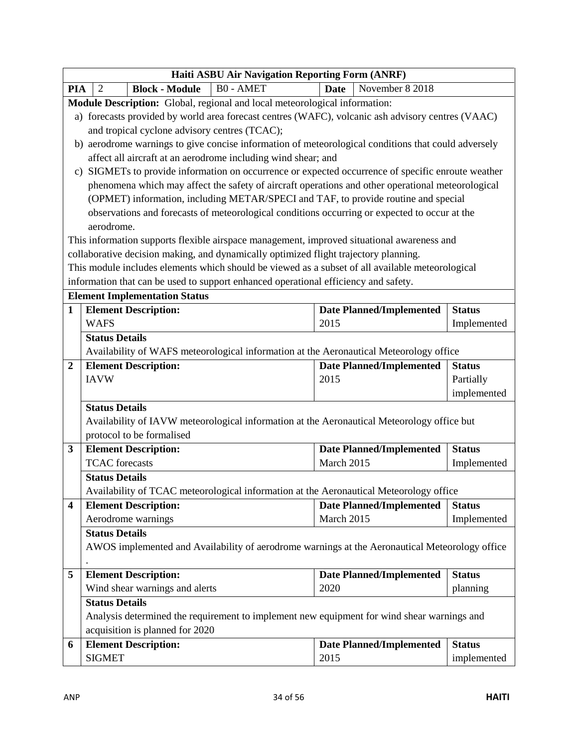|                         | <b>Haiti ASBU Air Navigation Reporting Form (ANRF)</b>                                                                                                                                  |                                 |               |  |  |  |
|-------------------------|-----------------------------------------------------------------------------------------------------------------------------------------------------------------------------------------|---------------------------------|---------------|--|--|--|
| <b>PIA</b>              | <b>B0 - AMET</b><br><b>Block - Module</b><br>2                                                                                                                                          | <b>Date</b><br>November 8 2018  |               |  |  |  |
|                         | Module Description: Global, regional and local meteorological information:                                                                                                              |                                 |               |  |  |  |
|                         | a) forecasts provided by world area forecast centres (WAFC), volcanic ash advisory centres (VAAC)                                                                                       |                                 |               |  |  |  |
|                         | and tropical cyclone advisory centres (TCAC);                                                                                                                                           |                                 |               |  |  |  |
|                         | b) aerodrome warnings to give concise information of meteorological conditions that could adversely                                                                                     |                                 |               |  |  |  |
|                         | affect all aircraft at an aerodrome including wind shear; and                                                                                                                           |                                 |               |  |  |  |
|                         | c) SIGMETs to provide information on occurrence or expected occurrence of specific enroute weather                                                                                      |                                 |               |  |  |  |
|                         | phenomena which may affect the safety of aircraft operations and other operational meteorological                                                                                       |                                 |               |  |  |  |
|                         | (OPMET) information, including METAR/SPECI and TAF, to provide routine and special                                                                                                      |                                 |               |  |  |  |
|                         | observations and forecasts of meteorological conditions occurring or expected to occur at the                                                                                           |                                 |               |  |  |  |
|                         | aerodrome.                                                                                                                                                                              |                                 |               |  |  |  |
|                         | This information supports flexible airspace management, improved situational awareness and                                                                                              |                                 |               |  |  |  |
|                         | collaborative decision making, and dynamically optimized flight trajectory planning.                                                                                                    |                                 |               |  |  |  |
|                         | This module includes elements which should be viewed as a subset of all available meteorological<br>information that can be used to support enhanced operational efficiency and safety. |                                 |               |  |  |  |
|                         | <b>Element Implementation Status</b>                                                                                                                                                    |                                 |               |  |  |  |
| $\mathbf{1}$            | <b>Element Description:</b>                                                                                                                                                             | <b>Date Planned/Implemented</b> | <b>Status</b> |  |  |  |
|                         | <b>WAFS</b>                                                                                                                                                                             | 2015                            | Implemented   |  |  |  |
|                         | <b>Status Details</b>                                                                                                                                                                   |                                 |               |  |  |  |
|                         | Availability of WAFS meteorological information at the Aeronautical Meteorology office                                                                                                  |                                 |               |  |  |  |
| 2                       | <b>Element Description:</b>                                                                                                                                                             | <b>Date Planned/Implemented</b> | <b>Status</b> |  |  |  |
|                         | <b>IAVW</b>                                                                                                                                                                             | 2015                            | Partially     |  |  |  |
|                         |                                                                                                                                                                                         |                                 | implemented   |  |  |  |
|                         | <b>Status Details</b>                                                                                                                                                                   |                                 |               |  |  |  |
|                         | Availability of IAVW meteorological information at the Aeronautical Meteorology office but                                                                                              |                                 |               |  |  |  |
|                         | protocol to be formalised                                                                                                                                                               |                                 |               |  |  |  |
| 3                       | <b>Element Description:</b>                                                                                                                                                             | <b>Date Planned/Implemented</b> | <b>Status</b> |  |  |  |
|                         | <b>TCAC</b> forecasts                                                                                                                                                                   | March 2015                      | Implemented   |  |  |  |
|                         | <b>Status Details</b>                                                                                                                                                                   |                                 |               |  |  |  |
|                         | Availability of TCAC meteorological information at the Aeronautical Meteorology office                                                                                                  |                                 |               |  |  |  |
| $\overline{\mathbf{4}}$ | <b>Element Description:</b>                                                                                                                                                             | <b>Date Planned/Implemented</b> | <b>Status</b> |  |  |  |
|                         | Aerodrome warnings                                                                                                                                                                      | March 2015                      | Implemented   |  |  |  |
|                         | <b>Status Details</b>                                                                                                                                                                   |                                 |               |  |  |  |
|                         | AWOS implemented and Availability of aerodrome warnings at the Aeronautical Meteorology office                                                                                          |                                 |               |  |  |  |
|                         |                                                                                                                                                                                         |                                 |               |  |  |  |
| 5                       | <b>Element Description:</b>                                                                                                                                                             | <b>Date Planned/Implemented</b> | <b>Status</b> |  |  |  |
|                         | Wind shear warnings and alerts                                                                                                                                                          | 2020                            | planning      |  |  |  |
|                         | <b>Status Details</b>                                                                                                                                                                   |                                 |               |  |  |  |
|                         | Analysis determined the requirement to implement new equipment for wind shear warnings and                                                                                              |                                 |               |  |  |  |
|                         | acquisition is planned for 2020                                                                                                                                                         |                                 |               |  |  |  |
| 6                       | <b>Element Description:</b>                                                                                                                                                             | <b>Date Planned/Implemented</b> | <b>Status</b> |  |  |  |
|                         | <b>SIGMET</b>                                                                                                                                                                           | 2015                            | implemented   |  |  |  |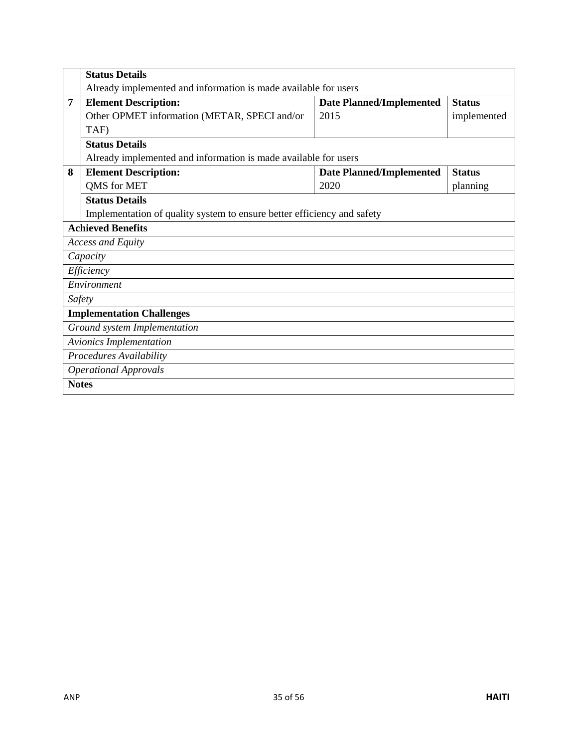|                                  | <b>Status Details</b>                                                   |                                 |               |  |  |  |
|----------------------------------|-------------------------------------------------------------------------|---------------------------------|---------------|--|--|--|
|                                  | Already implemented and information is made available for users         |                                 |               |  |  |  |
| 7                                | <b>Element Description:</b>                                             | <b>Date Planned/Implemented</b> | <b>Status</b> |  |  |  |
|                                  | Other OPMET information (METAR, SPECI and/or                            | 2015                            | implemented   |  |  |  |
|                                  | TAF)                                                                    |                                 |               |  |  |  |
|                                  | <b>Status Details</b>                                                   |                                 |               |  |  |  |
|                                  | Already implemented and information is made available for users         |                                 |               |  |  |  |
| 8                                | <b>Element Description:</b>                                             | <b>Date Planned/Implemented</b> | <b>Status</b> |  |  |  |
|                                  | QMS for MET                                                             | 2020                            | planning      |  |  |  |
|                                  | <b>Status Details</b>                                                   |                                 |               |  |  |  |
|                                  | Implementation of quality system to ensure better efficiency and safety |                                 |               |  |  |  |
|                                  | <b>Achieved Benefits</b>                                                |                                 |               |  |  |  |
|                                  | <b>Access and Equity</b>                                                |                                 |               |  |  |  |
|                                  | Capacity                                                                |                                 |               |  |  |  |
|                                  | Efficiency                                                              |                                 |               |  |  |  |
|                                  | Environment                                                             |                                 |               |  |  |  |
|                                  | Safety                                                                  |                                 |               |  |  |  |
| <b>Implementation Challenges</b> |                                                                         |                                 |               |  |  |  |
|                                  | Ground system Implementation                                            |                                 |               |  |  |  |
|                                  | <b>Avionics Implementation</b>                                          |                                 |               |  |  |  |
|                                  | Procedures Availability                                                 |                                 |               |  |  |  |
|                                  | <b>Operational Approvals</b>                                            |                                 |               |  |  |  |
| <b>Notes</b>                     |                                                                         |                                 |               |  |  |  |
|                                  |                                                                         |                                 |               |  |  |  |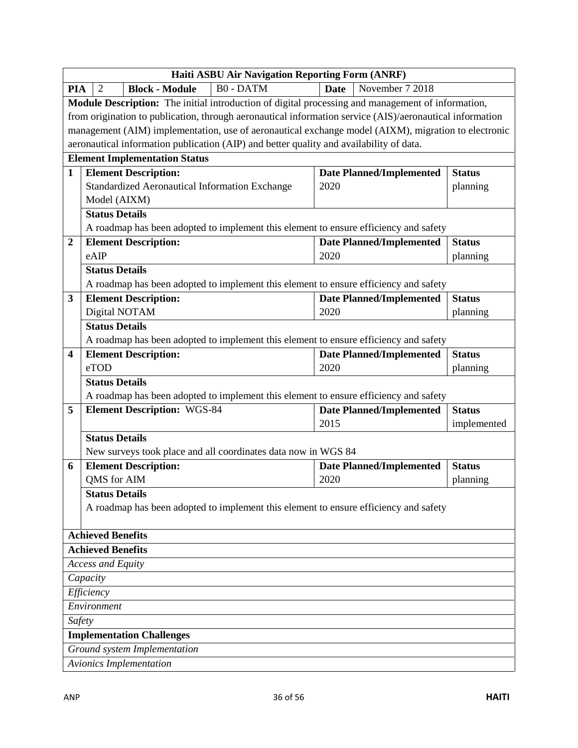|                  | Haiti ASBU Air Navigation Reporting Form (ANRF)                                                          |                                 |               |  |  |
|------------------|----------------------------------------------------------------------------------------------------------|---------------------------------|---------------|--|--|
| <b>PIA</b>       | <b>B0-DATM</b><br><b>Block - Module</b><br>2                                                             | November 7 2018<br><b>Date</b>  |               |  |  |
|                  | Module Description: The initial introduction of digital processing and management of information,        |                                 |               |  |  |
|                  | from origination to publication, through aeronautical information service (AIS)/aeronautical information |                                 |               |  |  |
|                  | management (AIM) implementation, use of aeronautical exchange model (AIXM), migration to electronic      |                                 |               |  |  |
|                  | aeronautical information publication (AIP) and better quality and availability of data.                  |                                 |               |  |  |
|                  | <b>Element Implementation Status</b>                                                                     |                                 |               |  |  |
| $\mathbf{1}$     | <b>Element Description:</b>                                                                              | <b>Date Planned/Implemented</b> | <b>Status</b> |  |  |
|                  | Standardized Aeronautical Information Exchange                                                           | 2020                            | planning      |  |  |
|                  | Model (AIXM)                                                                                             |                                 |               |  |  |
|                  | <b>Status Details</b>                                                                                    |                                 |               |  |  |
|                  | A roadmap has been adopted to implement this element to ensure efficiency and safety                     |                                 |               |  |  |
| $\boldsymbol{2}$ | <b>Element Description:</b>                                                                              | <b>Date Planned/Implemented</b> | <b>Status</b> |  |  |
|                  | eAIP                                                                                                     | 2020                            | planning      |  |  |
|                  | <b>Status Details</b>                                                                                    |                                 |               |  |  |
|                  | A roadmap has been adopted to implement this element to ensure efficiency and safety                     |                                 |               |  |  |
| 3                | <b>Element Description:</b>                                                                              | <b>Date Planned/Implemented</b> | <b>Status</b> |  |  |
|                  | Digital NOTAM                                                                                            | 2020                            | planning      |  |  |
|                  | <b>Status Details</b>                                                                                    |                                 |               |  |  |
|                  | A roadmap has been adopted to implement this element to ensure efficiency and safety                     |                                 |               |  |  |
| 4                | <b>Element Description:</b>                                                                              | <b>Date Planned/Implemented</b> | <b>Status</b> |  |  |
|                  | eTOD                                                                                                     | 2020                            | planning      |  |  |
|                  | <b>Status Details</b>                                                                                    |                                 |               |  |  |
|                  | A roadmap has been adopted to implement this element to ensure efficiency and safety                     |                                 |               |  |  |
| 5                | <b>Element Description: WGS-84</b>                                                                       | <b>Date Planned/Implemented</b> | <b>Status</b> |  |  |
|                  |                                                                                                          | 2015                            | implemented   |  |  |
|                  | <b>Status Details</b>                                                                                    |                                 |               |  |  |
|                  | New surveys took place and all coordinates data now in WGS 84                                            |                                 |               |  |  |
| 6                | <b>Element Description:</b>                                                                              | <b>Date Planned/Implemented</b> | <b>Status</b> |  |  |
|                  | QMS for AIM                                                                                              | 2020                            | planning      |  |  |
|                  | <b>Status Details</b>                                                                                    |                                 |               |  |  |
|                  | A roadmap has been adopted to implement this element to ensure efficiency and safety                     |                                 |               |  |  |
|                  | <b>Achieved Benefits</b>                                                                                 |                                 |               |  |  |
|                  | <b>Achieved Benefits</b>                                                                                 |                                 |               |  |  |
|                  | <b>Access and Equity</b>                                                                                 |                                 |               |  |  |
| Capacity         |                                                                                                          |                                 |               |  |  |
|                  | Efficiency                                                                                               |                                 |               |  |  |
|                  | Environment                                                                                              |                                 |               |  |  |
| Safety           |                                                                                                          |                                 |               |  |  |
|                  | <b>Implementation Challenges</b>                                                                         |                                 |               |  |  |
|                  | Ground system Implementation                                                                             |                                 |               |  |  |
|                  | <b>Avionics Implementation</b>                                                                           |                                 |               |  |  |
|                  |                                                                                                          |                                 |               |  |  |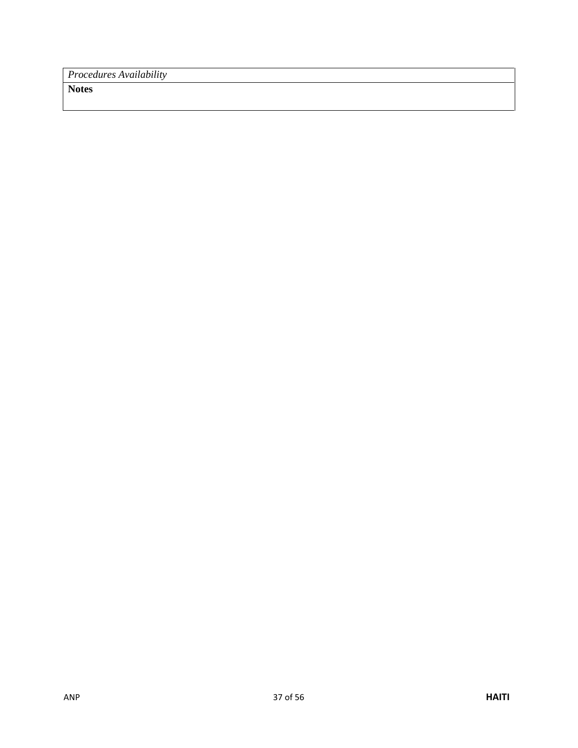*Procedures Availability*

**Notes**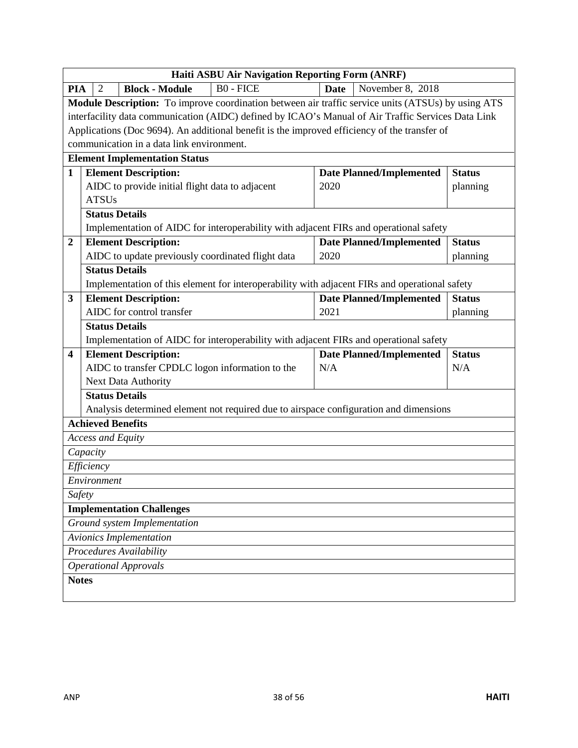|                  | Haiti ASBU Air Navigation Reporting Form (ANRF) |                                                                                |                                                                                                    |             |                                 |                      |
|------------------|-------------------------------------------------|--------------------------------------------------------------------------------|----------------------------------------------------------------------------------------------------|-------------|---------------------------------|----------------------|
| <b>PIA</b>       | 2                                               | <b>Block - Module</b>                                                          | <b>B0 - FICE</b>                                                                                   | <b>Date</b> | November 8, 2018                |                      |
|                  |                                                 |                                                                                | Module Description: To improve coordination between air traffic service units (ATSUs) by using ATS |             |                                 |                      |
|                  |                                                 |                                                                                | interfacility data communication (AIDC) defined by ICAO's Manual of Air Traffic Services Data Link |             |                                 |                      |
|                  |                                                 |                                                                                | Applications (Doc 9694). An additional benefit is the improved efficiency of the transfer of       |             |                                 |                      |
|                  |                                                 | communication in a data link environment.                                      |                                                                                                    |             |                                 |                      |
|                  |                                                 | <b>Element Implementation Status</b>                                           |                                                                                                    |             |                                 |                      |
| $\mathbf{1}$     |                                                 | <b>Element Description:</b>                                                    |                                                                                                    |             | <b>Date Planned/Implemented</b> | <b>Status</b>        |
|                  |                                                 | AIDC to provide initial flight data to adjacent                                |                                                                                                    | 2020        |                                 | planning             |
|                  | <b>ATSUs</b>                                    |                                                                                |                                                                                                    |             |                                 |                      |
|                  | <b>Status Details</b>                           |                                                                                |                                                                                                    |             |                                 |                      |
|                  |                                                 |                                                                                | Implementation of AIDC for interoperability with adjacent FIRs and operational safety              |             |                                 |                      |
| $\boldsymbol{2}$ |                                                 | <b>Element Description:</b>                                                    |                                                                                                    |             | <b>Date Planned/Implemented</b> | <b>Status</b>        |
|                  |                                                 | AIDC to update previously coordinated flight data                              |                                                                                                    | 2020        |                                 | planning             |
|                  | <b>Status Details</b>                           |                                                                                |                                                                                                    |             |                                 |                      |
|                  |                                                 |                                                                                | Implementation of this element for interoperability with adjacent FIRs and operational safety      |             |                                 |                      |
| 3                |                                                 | <b>Element Description:</b>                                                    |                                                                                                    |             | <b>Date Planned/Implemented</b> | <b>Status</b>        |
|                  |                                                 | AIDC for control transfer                                                      |                                                                                                    | 2021        |                                 | planning             |
|                  | <b>Status Details</b>                           |                                                                                |                                                                                                    |             |                                 |                      |
|                  |                                                 |                                                                                | Implementation of AIDC for interoperability with adjacent FIRs and operational safety              |             |                                 |                      |
| 4                |                                                 | <b>Element Description:</b><br>AIDC to transfer CPDLC logon information to the |                                                                                                    | N/A         | <b>Date Planned/Implemented</b> | <b>Status</b><br>N/A |
|                  |                                                 | Next Data Authority                                                            |                                                                                                    |             |                                 |                      |
|                  | <b>Status Details</b>                           |                                                                                |                                                                                                    |             |                                 |                      |
|                  |                                                 |                                                                                | Analysis determined element not required due to airspace configuration and dimensions              |             |                                 |                      |
|                  | <b>Achieved Benefits</b>                        |                                                                                |                                                                                                    |             |                                 |                      |
|                  | <b>Access and Equity</b>                        |                                                                                |                                                                                                    |             |                                 |                      |
|                  | Capacity                                        |                                                                                |                                                                                                    |             |                                 |                      |
|                  | Efficiency                                      |                                                                                |                                                                                                    |             |                                 |                      |
|                  | Environment                                     |                                                                                |                                                                                                    |             |                                 |                      |
| Safety           |                                                 |                                                                                |                                                                                                    |             |                                 |                      |
|                  |                                                 | <b>Implementation Challenges</b>                                               |                                                                                                    |             |                                 |                      |
|                  |                                                 | Ground system Implementation                                                   |                                                                                                    |             |                                 |                      |
|                  |                                                 | Avionics Implementation                                                        |                                                                                                    |             |                                 |                      |
|                  |                                                 | Procedures Availability                                                        |                                                                                                    |             |                                 |                      |
|                  |                                                 | <b>Operational Approvals</b>                                                   |                                                                                                    |             |                                 |                      |
| <b>Notes</b>     |                                                 |                                                                                |                                                                                                    |             |                                 |                      |
|                  |                                                 |                                                                                |                                                                                                    |             |                                 |                      |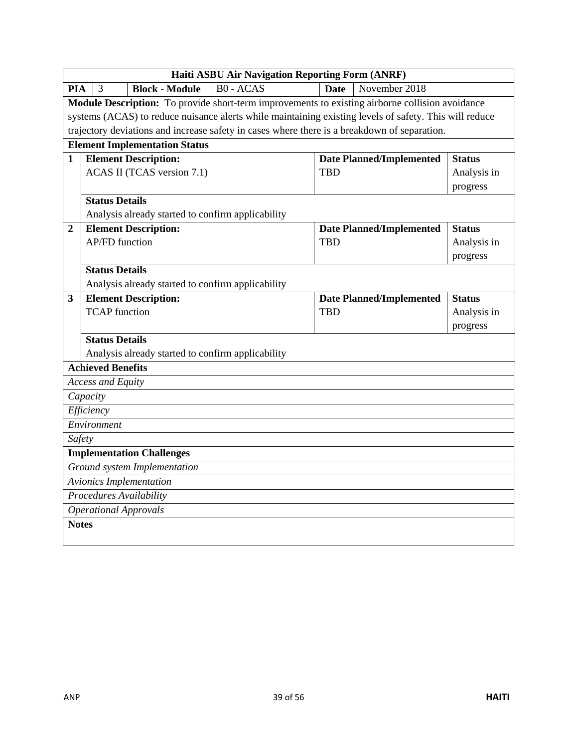|                  | Haiti ASBU Air Navigation Reporting Form (ANRF) |                                                   |                                                                                                        |             |                                 |               |
|------------------|-------------------------------------------------|---------------------------------------------------|--------------------------------------------------------------------------------------------------------|-------------|---------------------------------|---------------|
| <b>PIA</b>       | 3                                               | <b>Block - Module</b>                             | <b>B0 - ACAS</b>                                                                                       | <b>Date</b> | November 2018                   |               |
|                  |                                                 |                                                   | Module Description: To provide short-term improvements to existing airborne collision avoidance        |             |                                 |               |
|                  |                                                 |                                                   | systems (ACAS) to reduce nuisance alerts while maintaining existing levels of safety. This will reduce |             |                                 |               |
|                  |                                                 |                                                   | trajectory deviations and increase safety in cases where there is a breakdown of separation.           |             |                                 |               |
|                  |                                                 | <b>Element Implementation Status</b>              |                                                                                                        |             |                                 |               |
| $\mathbf{1}$     |                                                 | <b>Element Description:</b>                       |                                                                                                        |             | <b>Date Planned/Implemented</b> | <b>Status</b> |
|                  |                                                 | ACAS II (TCAS version 7.1)                        |                                                                                                        | <b>TBD</b>  |                                 | Analysis in   |
|                  |                                                 |                                                   |                                                                                                        |             |                                 | progress      |
|                  | <b>Status Details</b>                           |                                                   |                                                                                                        |             |                                 |               |
|                  |                                                 | Analysis already started to confirm applicability |                                                                                                        |             |                                 |               |
| $\boldsymbol{2}$ |                                                 | <b>Element Description:</b>                       |                                                                                                        |             | <b>Date Planned/Implemented</b> | <b>Status</b> |
|                  | <b>AP/FD</b> function                           |                                                   |                                                                                                        | <b>TBD</b>  |                                 | Analysis in   |
|                  |                                                 |                                                   |                                                                                                        |             |                                 | progress      |
|                  | <b>Status Details</b>                           |                                                   |                                                                                                        |             |                                 |               |
|                  |                                                 | Analysis already started to confirm applicability |                                                                                                        |             |                                 |               |
| 3                |                                                 | <b>Element Description:</b>                       |                                                                                                        |             | <b>Date Planned/Implemented</b> | <b>Status</b> |
|                  | <b>TCAP</b> function                            |                                                   |                                                                                                        | <b>TBD</b>  |                                 | Analysis in   |
|                  |                                                 |                                                   |                                                                                                        |             |                                 | progress      |
|                  | <b>Status Details</b>                           |                                                   |                                                                                                        |             |                                 |               |
|                  |                                                 | Analysis already started to confirm applicability |                                                                                                        |             |                                 |               |
|                  | <b>Achieved Benefits</b>                        |                                                   |                                                                                                        |             |                                 |               |
|                  | <b>Access and Equity</b>                        |                                                   |                                                                                                        |             |                                 |               |
|                  | Capacity                                        |                                                   |                                                                                                        |             |                                 |               |
|                  | Efficiency                                      |                                                   |                                                                                                        |             |                                 |               |
|                  | Environment                                     |                                                   |                                                                                                        |             |                                 |               |
| Safety           |                                                 |                                                   |                                                                                                        |             |                                 |               |
|                  |                                                 | <b>Implementation Challenges</b>                  |                                                                                                        |             |                                 |               |
|                  |                                                 | Ground system Implementation                      |                                                                                                        |             |                                 |               |
|                  | Avionics Implementation                         |                                                   |                                                                                                        |             |                                 |               |
|                  | Procedures Availability                         |                                                   |                                                                                                        |             |                                 |               |
|                  |                                                 | <b>Operational Approvals</b>                      |                                                                                                        |             |                                 |               |
| <b>Notes</b>     |                                                 |                                                   |                                                                                                        |             |                                 |               |
|                  |                                                 |                                                   |                                                                                                        |             |                                 |               |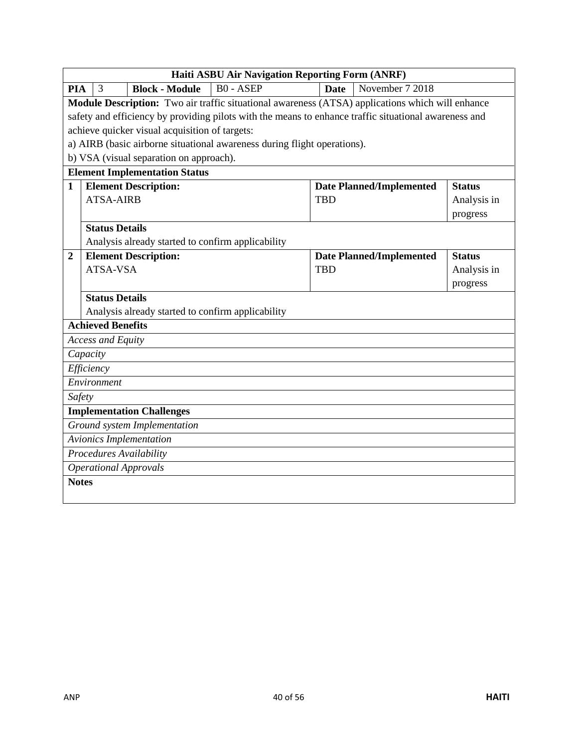|                | <b>Haiti ASBU Air Navigation Reporting Form (ANRF)</b> |                                                   |                                                                                                       |             |                                 |               |
|----------------|--------------------------------------------------------|---------------------------------------------------|-------------------------------------------------------------------------------------------------------|-------------|---------------------------------|---------------|
| <b>PIA</b>     | 3                                                      | <b>Block - Module</b>                             | $B0 - ASEP$                                                                                           | <b>Date</b> | November 7 2018                 |               |
|                |                                                        |                                                   | Module Description: Two air traffic situational awareness (ATSA) applications which will enhance      |             |                                 |               |
|                |                                                        |                                                   | safety and efficiency by providing pilots with the means to enhance traffic situational awareness and |             |                                 |               |
|                |                                                        | achieve quicker visual acquisition of targets:    |                                                                                                       |             |                                 |               |
|                |                                                        |                                                   | a) AIRB (basic airborne situational awareness during flight operations).                              |             |                                 |               |
|                |                                                        | b) VSA (visual separation on approach).           |                                                                                                       |             |                                 |               |
|                |                                                        | <b>Element Implementation Status</b>              |                                                                                                       |             |                                 |               |
| $\mathbf{1}$   |                                                        | <b>Element Description:</b>                       |                                                                                                       |             | <b>Date Planned/Implemented</b> | <b>Status</b> |
|                | <b>ATSA-AIRB</b>                                       |                                                   |                                                                                                       | <b>TBD</b>  |                                 | Analysis in   |
|                |                                                        |                                                   |                                                                                                       |             |                                 | progress      |
|                | <b>Status Details</b>                                  |                                                   |                                                                                                       |             |                                 |               |
|                |                                                        | Analysis already started to confirm applicability |                                                                                                       |             |                                 |               |
| $\overline{2}$ |                                                        | <b>Element Description:</b>                       |                                                                                                       |             | <b>Date Planned/Implemented</b> | <b>Status</b> |
|                | ATSA-VSA                                               |                                                   |                                                                                                       | <b>TBD</b>  |                                 | Analysis in   |
|                |                                                        |                                                   |                                                                                                       |             |                                 | progress      |
|                | <b>Status Details</b>                                  |                                                   |                                                                                                       |             |                                 |               |
|                |                                                        | Analysis already started to confirm applicability |                                                                                                       |             |                                 |               |
|                | <b>Achieved Benefits</b>                               |                                                   |                                                                                                       |             |                                 |               |
|                | <b>Access and Equity</b>                               |                                                   |                                                                                                       |             |                                 |               |
|                | Capacity                                               |                                                   |                                                                                                       |             |                                 |               |
|                | Efficiency                                             |                                                   |                                                                                                       |             |                                 |               |
|                | Environment                                            |                                                   |                                                                                                       |             |                                 |               |
| Safety         |                                                        |                                                   |                                                                                                       |             |                                 |               |
|                |                                                        | <b>Implementation Challenges</b>                  |                                                                                                       |             |                                 |               |
|                |                                                        | Ground system Implementation                      |                                                                                                       |             |                                 |               |
|                |                                                        | <b>Avionics Implementation</b>                    |                                                                                                       |             |                                 |               |
|                |                                                        | Procedures Availability                           |                                                                                                       |             |                                 |               |
|                |                                                        | <b>Operational Approvals</b>                      |                                                                                                       |             |                                 |               |
| <b>Notes</b>   |                                                        |                                                   |                                                                                                       |             |                                 |               |
|                |                                                        |                                                   |                                                                                                       |             |                                 |               |
|                |                                                        |                                                   |                                                                                                       |             |                                 |               |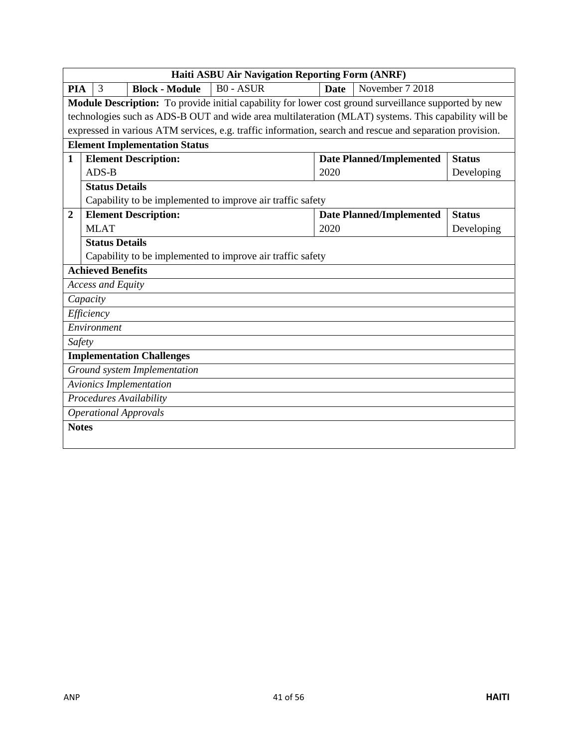|                | Haiti ASBU Air Navigation Reporting Form (ANRF) |  |                                      |                                                                                                          |             |                                 |               |
|----------------|-------------------------------------------------|--|--------------------------------------|----------------------------------------------------------------------------------------------------------|-------------|---------------------------------|---------------|
| <b>PIA</b>     | 3                                               |  | <b>Block - Module</b>                | <b>B0 - ASUR</b>                                                                                         | <b>Date</b> | November 7 2018                 |               |
|                |                                                 |  |                                      | Module Description: To provide initial capability for lower cost ground surveillance supported by new    |             |                                 |               |
|                |                                                 |  |                                      | technologies such as ADS-B OUT and wide area multilateration (MLAT) systems. This capability will be     |             |                                 |               |
|                |                                                 |  |                                      | expressed in various ATM services, e.g. traffic information, search and rescue and separation provision. |             |                                 |               |
|                |                                                 |  | <b>Element Implementation Status</b> |                                                                                                          |             |                                 |               |
| $\mathbf{1}$   |                                                 |  | <b>Element Description:</b>          |                                                                                                          |             | <b>Date Planned/Implemented</b> | <b>Status</b> |
|                | $ADS-B$                                         |  |                                      |                                                                                                          | 2020        |                                 | Developing    |
|                | <b>Status Details</b>                           |  |                                      |                                                                                                          |             |                                 |               |
|                |                                                 |  |                                      | Capability to be implemented to improve air traffic safety                                               |             |                                 |               |
| $\overline{2}$ |                                                 |  | <b>Element Description:</b>          |                                                                                                          |             | <b>Date Planned/Implemented</b> | <b>Status</b> |
|                | <b>MLAT</b>                                     |  |                                      |                                                                                                          | 2020        |                                 | Developing    |
|                | <b>Status Details</b>                           |  |                                      |                                                                                                          |             |                                 |               |
|                |                                                 |  |                                      | Capability to be implemented to improve air traffic safety                                               |             |                                 |               |
|                | <b>Achieved Benefits</b>                        |  |                                      |                                                                                                          |             |                                 |               |
|                | <b>Access and Equity</b>                        |  |                                      |                                                                                                          |             |                                 |               |
|                | Capacity                                        |  |                                      |                                                                                                          |             |                                 |               |
|                | Efficiency                                      |  |                                      |                                                                                                          |             |                                 |               |
|                | Environment                                     |  |                                      |                                                                                                          |             |                                 |               |
| Safety         |                                                 |  |                                      |                                                                                                          |             |                                 |               |
|                |                                                 |  | <b>Implementation Challenges</b>     |                                                                                                          |             |                                 |               |
|                |                                                 |  | Ground system Implementation         |                                                                                                          |             |                                 |               |
|                |                                                 |  | Avionics Implementation              |                                                                                                          |             |                                 |               |
|                | Procedures Availability                         |  |                                      |                                                                                                          |             |                                 |               |
|                |                                                 |  | <b>Operational Approvals</b>         |                                                                                                          |             |                                 |               |
| <b>Notes</b>   |                                                 |  |                                      |                                                                                                          |             |                                 |               |
|                |                                                 |  |                                      |                                                                                                          |             |                                 |               |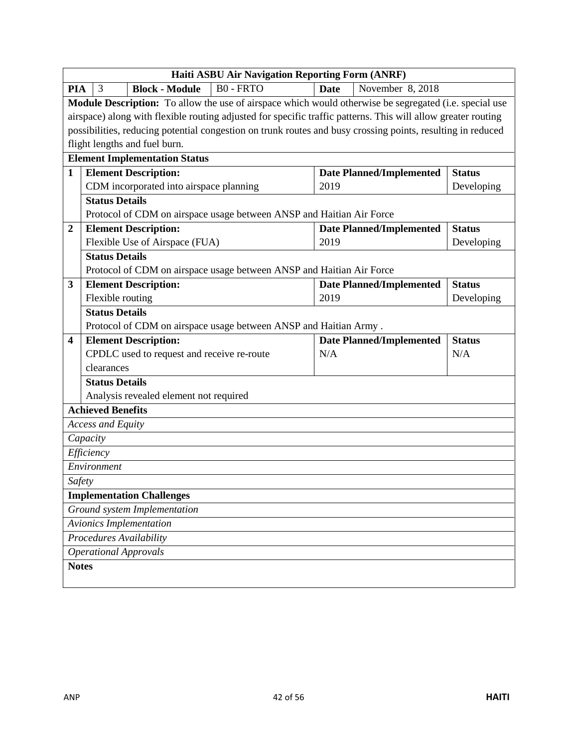|                  | Haiti ASBU Air Navigation Reporting Form (ANRF)                                                               |             |                                 |               |  |  |
|------------------|---------------------------------------------------------------------------------------------------------------|-------------|---------------------------------|---------------|--|--|
| <b>PIA</b>       | $B0 - FRTO$<br><b>Block - Module</b><br>3                                                                     | <b>Date</b> | November 8, 2018                |               |  |  |
|                  | Module Description: To allow the use of airspace which would otherwise be segregated (i.e. special use        |             |                                 |               |  |  |
|                  | airspace) along with flexible routing adjusted for specific traffic patterns. This will allow greater routing |             |                                 |               |  |  |
|                  | possibilities, reducing potential congestion on trunk routes and busy crossing points, resulting in reduced   |             |                                 |               |  |  |
|                  | flight lengths and fuel burn.                                                                                 |             |                                 |               |  |  |
|                  | <b>Element Implementation Status</b>                                                                          |             |                                 |               |  |  |
| $\mathbf{1}$     | <b>Element Description:</b>                                                                                   |             | <b>Date Planned/Implemented</b> | <b>Status</b> |  |  |
|                  | CDM incorporated into airspace planning                                                                       | 2019        |                                 | Developing    |  |  |
|                  | <b>Status Details</b>                                                                                         |             |                                 |               |  |  |
|                  | Protocol of CDM on airspace usage between ANSP and Haitian Air Force                                          |             |                                 |               |  |  |
| $\boldsymbol{2}$ | <b>Element Description:</b>                                                                                   |             | <b>Date Planned/Implemented</b> | <b>Status</b> |  |  |
|                  | Flexible Use of Airspace (FUA)                                                                                | 2019        |                                 | Developing    |  |  |
|                  | <b>Status Details</b>                                                                                         |             |                                 |               |  |  |
|                  | Protocol of CDM on airspace usage between ANSP and Haitian Air Force                                          |             |                                 |               |  |  |
| 3                | <b>Element Description:</b>                                                                                   |             | <b>Date Planned/Implemented</b> | <b>Status</b> |  |  |
|                  | Flexible routing                                                                                              | 2019        |                                 | Developing    |  |  |
|                  | <b>Status Details</b>                                                                                         |             |                                 |               |  |  |
|                  | Protocol of CDM on airspace usage between ANSP and Haitian Army.                                              |             |                                 |               |  |  |
| 4                | <b>Element Description:</b>                                                                                   |             | <b>Date Planned/Implemented</b> | <b>Status</b> |  |  |
|                  | CPDLC used to request and receive re-route                                                                    | N/A         |                                 | N/A           |  |  |
|                  | clearances                                                                                                    |             |                                 |               |  |  |
|                  | <b>Status Details</b>                                                                                         |             |                                 |               |  |  |
|                  | Analysis revealed element not required                                                                        |             |                                 |               |  |  |
|                  | <b>Achieved Benefits</b>                                                                                      |             |                                 |               |  |  |
|                  | <b>Access and Equity</b>                                                                                      |             |                                 |               |  |  |
|                  | Capacity                                                                                                      |             |                                 |               |  |  |
|                  | Efficiency                                                                                                    |             |                                 |               |  |  |
|                  | Environment                                                                                                   |             |                                 |               |  |  |
| Safety           |                                                                                                               |             |                                 |               |  |  |
|                  | <b>Implementation Challenges</b>                                                                              |             |                                 |               |  |  |
|                  | Ground system Implementation                                                                                  |             |                                 |               |  |  |
|                  | <b>Avionics Implementation</b>                                                                                |             |                                 |               |  |  |
|                  | Procedures Availability                                                                                       |             |                                 |               |  |  |
|                  | <b>Operational Approvals</b>                                                                                  |             |                                 |               |  |  |
| <b>Notes</b>     |                                                                                                               |             |                                 |               |  |  |
|                  |                                                                                                               |             |                                 |               |  |  |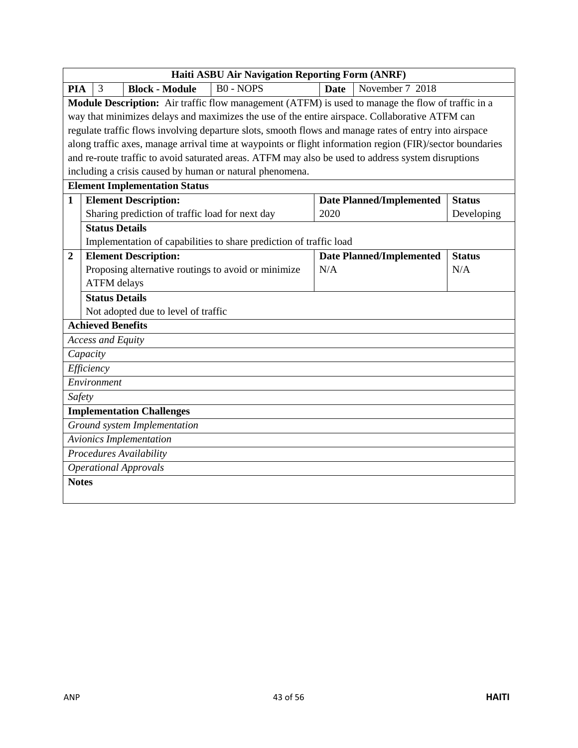|                  | <b>Haiti ASBU Air Navigation Reporting Form (ANRF)</b>                                            |                                                 |                                                                                                           |             |                                 |               |  |
|------------------|---------------------------------------------------------------------------------------------------|-------------------------------------------------|-----------------------------------------------------------------------------------------------------------|-------------|---------------------------------|---------------|--|
| <b>PIA</b>       | 3                                                                                                 | <b>Block - Module</b>                           | $B0 - NOPS$                                                                                               | <b>Date</b> | November 7 2018                 |               |  |
|                  | Module Description: Air traffic flow management (ATFM) is used to manage the flow of traffic in a |                                                 |                                                                                                           |             |                                 |               |  |
|                  | way that minimizes delays and maximizes the use of the entire airspace. Collaborative ATFM can    |                                                 |                                                                                                           |             |                                 |               |  |
|                  |                                                                                                   |                                                 | regulate traffic flows involving departure slots, smooth flows and manage rates of entry into airspace    |             |                                 |               |  |
|                  |                                                                                                   |                                                 | along traffic axes, manage arrival time at waypoints or flight information region (FIR)/sector boundaries |             |                                 |               |  |
|                  |                                                                                                   |                                                 | and re-route traffic to avoid saturated areas. ATFM may also be used to address system disruptions        |             |                                 |               |  |
|                  |                                                                                                   |                                                 | including a crisis caused by human or natural phenomena.                                                  |             |                                 |               |  |
|                  |                                                                                                   | <b>Element Implementation Status</b>            |                                                                                                           |             |                                 |               |  |
| $\mathbf{1}$     |                                                                                                   | <b>Element Description:</b>                     |                                                                                                           |             | <b>Date Planned/Implemented</b> | <b>Status</b> |  |
|                  |                                                                                                   | Sharing prediction of traffic load for next day |                                                                                                           | 2020        |                                 | Developing    |  |
|                  | <b>Status Details</b>                                                                             |                                                 |                                                                                                           |             |                                 |               |  |
|                  |                                                                                                   |                                                 | Implementation of capabilities to share prediction of traffic load                                        |             |                                 |               |  |
| $\boldsymbol{2}$ |                                                                                                   | <b>Element Description:</b>                     |                                                                                                           |             | <b>Date Planned/Implemented</b> | <b>Status</b> |  |
|                  |                                                                                                   |                                                 | Proposing alternative routings to avoid or minimize                                                       | N/A         |                                 | N/A           |  |
|                  | <b>ATFM</b> delays                                                                                |                                                 |                                                                                                           |             |                                 |               |  |
|                  | <b>Status Details</b>                                                                             |                                                 |                                                                                                           |             |                                 |               |  |
|                  |                                                                                                   | Not adopted due to level of traffic             |                                                                                                           |             |                                 |               |  |
|                  | <b>Achieved Benefits</b>                                                                          |                                                 |                                                                                                           |             |                                 |               |  |
|                  | <b>Access and Equity</b>                                                                          |                                                 |                                                                                                           |             |                                 |               |  |
|                  | Capacity                                                                                          |                                                 |                                                                                                           |             |                                 |               |  |
|                  | Efficiency                                                                                        |                                                 |                                                                                                           |             |                                 |               |  |
|                  | Environment                                                                                       |                                                 |                                                                                                           |             |                                 |               |  |
|                  | Safety                                                                                            |                                                 |                                                                                                           |             |                                 |               |  |
|                  |                                                                                                   | <b>Implementation Challenges</b>                |                                                                                                           |             |                                 |               |  |
|                  | Ground system Implementation                                                                      |                                                 |                                                                                                           |             |                                 |               |  |
|                  | <b>Avionics Implementation</b>                                                                    |                                                 |                                                                                                           |             |                                 |               |  |
|                  |                                                                                                   | Procedures Availability                         |                                                                                                           |             |                                 |               |  |
|                  |                                                                                                   | <b>Operational Approvals</b>                    |                                                                                                           |             |                                 |               |  |
| <b>Notes</b>     |                                                                                                   |                                                 |                                                                                                           |             |                                 |               |  |
|                  |                                                                                                   |                                                 |                                                                                                           |             |                                 |               |  |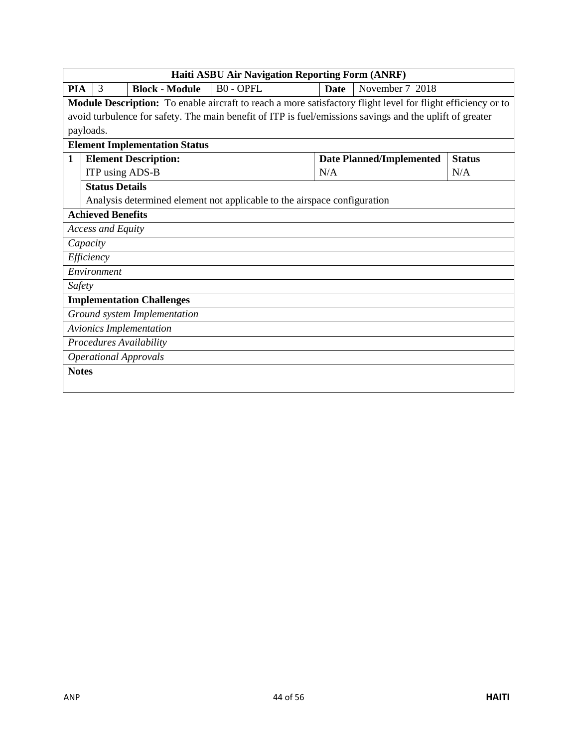|              | Haiti ASBU Air Navigation Reporting Form (ANRF)                                                                     |                          |                                      |                                                                                                          |      |                                 |               |
|--------------|---------------------------------------------------------------------------------------------------------------------|--------------------------|--------------------------------------|----------------------------------------------------------------------------------------------------------|------|---------------------------------|---------------|
| PIA          |                                                                                                                     | 3                        | <b>Block - Module</b>                | <b>BO-OPFL</b>                                                                                           | Date | November 7 2018                 |               |
|              | <b>Module Description:</b> To enable aircraft to reach a more satisfactory flight level for flight efficiency or to |                          |                                      |                                                                                                          |      |                                 |               |
|              |                                                                                                                     |                          |                                      | avoid turbulence for safety. The main benefit of ITP is fuel/emissions savings and the uplift of greater |      |                                 |               |
| payloads.    |                                                                                                                     |                          |                                      |                                                                                                          |      |                                 |               |
|              |                                                                                                                     |                          | <b>Element Implementation Status</b> |                                                                                                          |      |                                 |               |
| 1            |                                                                                                                     |                          | <b>Element Description:</b>          |                                                                                                          |      | <b>Date Planned/Implemented</b> | <b>Status</b> |
|              |                                                                                                                     |                          | ITP using ADS-B                      |                                                                                                          | N/A  |                                 | N/A           |
|              |                                                                                                                     | <b>Status Details</b>    |                                      |                                                                                                          |      |                                 |               |
|              |                                                                                                                     |                          |                                      | Analysis determined element not applicable to the airspace configuration                                 |      |                                 |               |
|              |                                                                                                                     | <b>Achieved Benefits</b> |                                      |                                                                                                          |      |                                 |               |
|              |                                                                                                                     | <b>Access and Equity</b> |                                      |                                                                                                          |      |                                 |               |
| Capacity     |                                                                                                                     |                          |                                      |                                                                                                          |      |                                 |               |
|              |                                                                                                                     | Efficiency               |                                      |                                                                                                          |      |                                 |               |
|              |                                                                                                                     | Environment              |                                      |                                                                                                          |      |                                 |               |
| Safety       |                                                                                                                     |                          |                                      |                                                                                                          |      |                                 |               |
|              |                                                                                                                     |                          | <b>Implementation Challenges</b>     |                                                                                                          |      |                                 |               |
|              |                                                                                                                     |                          | Ground system Implementation         |                                                                                                          |      |                                 |               |
|              |                                                                                                                     |                          | <b>Avionics Implementation</b>       |                                                                                                          |      |                                 |               |
|              |                                                                                                                     |                          | Procedures Availability              |                                                                                                          |      |                                 |               |
|              |                                                                                                                     |                          | <b>Operational Approvals</b>         |                                                                                                          |      |                                 |               |
| <b>Notes</b> |                                                                                                                     |                          |                                      |                                                                                                          |      |                                 |               |
|              |                                                                                                                     |                          |                                      |                                                                                                          |      |                                 |               |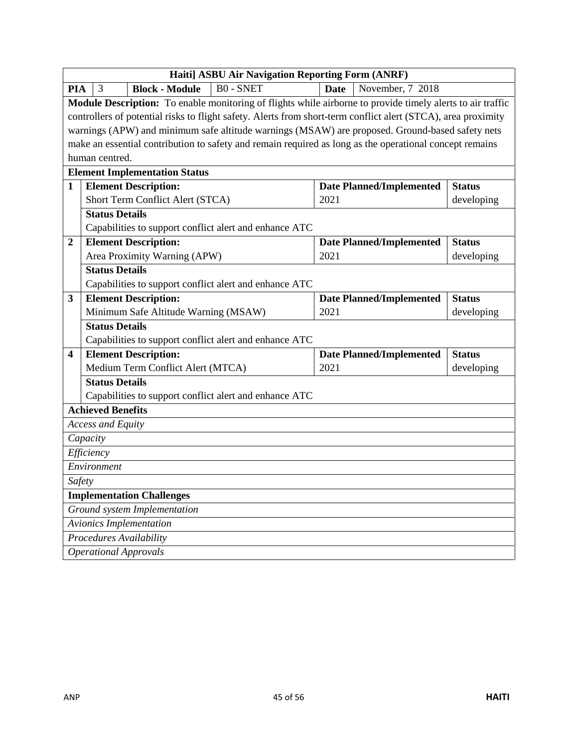|              | Haiti] ASBU Air Navigation Reporting Form (ANRF)                                                |                                      |                                                                                                               |                                 |                                 |               |  |
|--------------|-------------------------------------------------------------------------------------------------|--------------------------------------|---------------------------------------------------------------------------------------------------------------|---------------------------------|---------------------------------|---------------|--|
| <b>PIA</b>   | 3                                                                                               | <b>Block - Module</b>                | <b>BO-SNET</b>                                                                                                | <b>Date</b>                     | November, 7 2018                |               |  |
|              |                                                                                                 |                                      | Module Description: To enable monitoring of flights while airborne to provide timely alerts to air traffic    |                                 |                                 |               |  |
|              |                                                                                                 |                                      | controllers of potential risks to flight safety. Alerts from short-term conflict alert (STCA), area proximity |                                 |                                 |               |  |
|              | warnings (APW) and minimum safe altitude warnings (MSAW) are proposed. Ground-based safety nets |                                      |                                                                                                               |                                 |                                 |               |  |
|              |                                                                                                 |                                      | make an essential contribution to safety and remain required as long as the operational concept remains       |                                 |                                 |               |  |
|              | human centred.                                                                                  |                                      |                                                                                                               |                                 |                                 |               |  |
|              |                                                                                                 | <b>Element Implementation Status</b> |                                                                                                               |                                 |                                 |               |  |
| $\mathbf{1}$ |                                                                                                 | <b>Element Description:</b>          |                                                                                                               | <b>Date Planned/Implemented</b> | <b>Status</b>                   |               |  |
|              |                                                                                                 | Short Term Conflict Alert (STCA)     |                                                                                                               | 2021                            |                                 | developing    |  |
|              | <b>Status Details</b>                                                                           |                                      |                                                                                                               |                                 |                                 |               |  |
|              |                                                                                                 |                                      | Capabilities to support conflict alert and enhance ATC                                                        |                                 |                                 |               |  |
| $\mathbf{2}$ |                                                                                                 | <b>Element Description:</b>          |                                                                                                               |                                 | <b>Date Planned/Implemented</b> | <b>Status</b> |  |
|              |                                                                                                 | Area Proximity Warning (APW)         |                                                                                                               | 2021                            |                                 | developing    |  |
|              | <b>Status Details</b>                                                                           |                                      |                                                                                                               |                                 |                                 |               |  |
|              |                                                                                                 |                                      | Capabilities to support conflict alert and enhance ATC                                                        |                                 |                                 |               |  |
| 3            |                                                                                                 | <b>Element Description:</b>          |                                                                                                               |                                 | <b>Date Planned/Implemented</b> | <b>Status</b> |  |
|              |                                                                                                 | Minimum Safe Altitude Warning (MSAW) |                                                                                                               | 2021                            |                                 | developing    |  |
|              | <b>Status Details</b>                                                                           |                                      |                                                                                                               |                                 |                                 |               |  |
|              |                                                                                                 |                                      | Capabilities to support conflict alert and enhance ATC                                                        |                                 |                                 |               |  |
| 4            |                                                                                                 | <b>Element Description:</b>          |                                                                                                               |                                 | <b>Date Planned/Implemented</b> | <b>Status</b> |  |
|              |                                                                                                 | Medium Term Conflict Alert (MTCA)    |                                                                                                               | 2021                            |                                 | developing    |  |
|              | <b>Status Details</b>                                                                           |                                      |                                                                                                               |                                 |                                 |               |  |
|              |                                                                                                 |                                      | Capabilities to support conflict alert and enhance ATC                                                        |                                 |                                 |               |  |
|              | <b>Achieved Benefits</b>                                                                        |                                      |                                                                                                               |                                 |                                 |               |  |
|              | <b>Access and Equity</b>                                                                        |                                      |                                                                                                               |                                 |                                 |               |  |
|              | Capacity                                                                                        |                                      |                                                                                                               |                                 |                                 |               |  |
|              | Efficiency                                                                                      |                                      |                                                                                                               |                                 |                                 |               |  |
|              | Environment                                                                                     |                                      |                                                                                                               |                                 |                                 |               |  |
|              | Safety                                                                                          |                                      |                                                                                                               |                                 |                                 |               |  |
|              |                                                                                                 | <b>Implementation Challenges</b>     |                                                                                                               |                                 |                                 |               |  |
|              |                                                                                                 | Ground system Implementation         |                                                                                                               |                                 |                                 |               |  |
|              |                                                                                                 | <b>Avionics Implementation</b>       |                                                                                                               |                                 |                                 |               |  |
|              |                                                                                                 | Procedures Availability              |                                                                                                               |                                 |                                 |               |  |
|              |                                                                                                 | <b>Operational Approvals</b>         |                                                                                                               |                                 |                                 |               |  |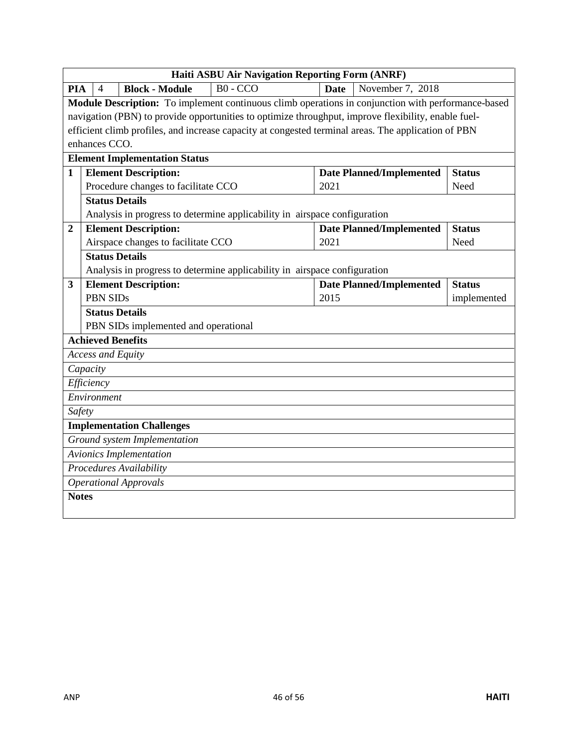|                                                                     | <b>Haiti ASBU Air Navigation Reporting Form (ANRF)</b>                                             |                 |                                      |                                                                                                     |               |                          |               |
|---------------------------------------------------------------------|----------------------------------------------------------------------------------------------------|-----------------|--------------------------------------|-----------------------------------------------------------------------------------------------------|---------------|--------------------------|---------------|
| <b>PIA</b>                                                          | 4                                                                                                  |                 | <b>Block - Module</b>                | $B0 - CCO$                                                                                          | <b>Date</b>   | November 7, 2018         |               |
|                                                                     | Module Description: To implement continuous climb operations in conjunction with performance-based |                 |                                      |                                                                                                     |               |                          |               |
|                                                                     |                                                                                                    |                 |                                      | navigation (PBN) to provide opportunities to optimize throughput, improve flexibility, enable fuel- |               |                          |               |
|                                                                     |                                                                                                    |                 |                                      | efficient climb profiles, and increase capacity at congested terminal areas. The application of PBN |               |                          |               |
|                                                                     | enhances CCO.                                                                                      |                 |                                      |                                                                                                     |               |                          |               |
|                                                                     |                                                                                                    |                 | <b>Element Implementation Status</b> |                                                                                                     |               |                          |               |
| <b>Element Description:</b><br>1<br><b>Date Planned/Implemented</b> |                                                                                                    |                 |                                      |                                                                                                     | <b>Status</b> |                          |               |
|                                                                     |                                                                                                    |                 | Procedure changes to facilitate CCO  |                                                                                                     | 2021          |                          | Need          |
|                                                                     |                                                                                                    |                 | <b>Status Details</b>                |                                                                                                     |               |                          |               |
|                                                                     |                                                                                                    |                 |                                      | Analysis in progress to determine applicability in airspace configuration                           |               |                          |               |
| $\boldsymbol{2}$                                                    |                                                                                                    |                 | <b>Element Description:</b>          |                                                                                                     |               | Date Planned/Implemented | <b>Status</b> |
|                                                                     |                                                                                                    |                 | Airspace changes to facilitate CCO   |                                                                                                     | 2021          |                          | Need          |
|                                                                     |                                                                                                    |                 | <b>Status Details</b>                |                                                                                                     |               |                          |               |
|                                                                     |                                                                                                    |                 |                                      | Analysis in progress to determine applicability in airspace configuration                           |               |                          |               |
| 3                                                                   |                                                                                                    |                 | <b>Element Description:</b>          |                                                                                                     |               | Date Planned/Implemented | <b>Status</b> |
|                                                                     |                                                                                                    | <b>PBN SIDs</b> |                                      |                                                                                                     | 2015          |                          | implemented   |
|                                                                     |                                                                                                    |                 | <b>Status Details</b>                |                                                                                                     |               |                          |               |
|                                                                     |                                                                                                    |                 | PBN SIDs implemented and operational |                                                                                                     |               |                          |               |
|                                                                     |                                                                                                    |                 | <b>Achieved Benefits</b>             |                                                                                                     |               |                          |               |
|                                                                     |                                                                                                    |                 | <b>Access and Equity</b>             |                                                                                                     |               |                          |               |
|                                                                     | Capacity                                                                                           |                 |                                      |                                                                                                     |               |                          |               |
|                                                                     | Efficiency                                                                                         |                 |                                      |                                                                                                     |               |                          |               |
|                                                                     | Environment                                                                                        |                 |                                      |                                                                                                     |               |                          |               |
| Safety                                                              |                                                                                                    |                 |                                      |                                                                                                     |               |                          |               |
|                                                                     | <b>Implementation Challenges</b>                                                                   |                 |                                      |                                                                                                     |               |                          |               |
|                                                                     | Ground system Implementation                                                                       |                 |                                      |                                                                                                     |               |                          |               |
|                                                                     | <b>Avionics Implementation</b>                                                                     |                 |                                      |                                                                                                     |               |                          |               |
|                                                                     | Procedures Availability                                                                            |                 |                                      |                                                                                                     |               |                          |               |
|                                                                     |                                                                                                    |                 | <b>Operational Approvals</b>         |                                                                                                     |               |                          |               |
| <b>Notes</b>                                                        |                                                                                                    |                 |                                      |                                                                                                     |               |                          |               |
|                                                                     |                                                                                                    |                 |                                      |                                                                                                     |               |                          |               |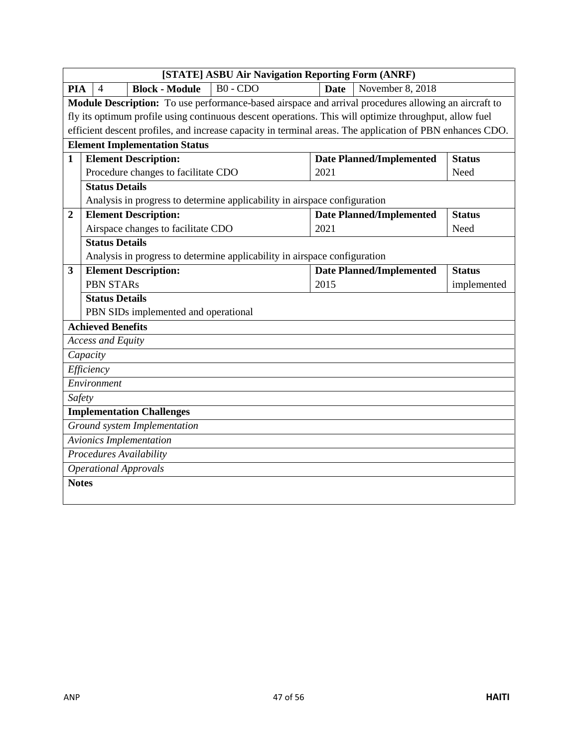|              | [STATE] ASBU Air Navigation Reporting Form (ANRF)                                                         |                                 |               |  |  |  |  |
|--------------|-----------------------------------------------------------------------------------------------------------|---------------------------------|---------------|--|--|--|--|
| <b>PIA</b>   | $B0 - CDO$<br><b>Block - Module</b><br>$\overline{4}$                                                     | November 8, 2018<br><b>Date</b> |               |  |  |  |  |
|              | Module Description: To use performance-based airspace and arrival procedures allowing an aircraft to      |                                 |               |  |  |  |  |
|              | fly its optimum profile using continuous descent operations. This will optimize throughput, allow fuel    |                                 |               |  |  |  |  |
|              | efficient descent profiles, and increase capacity in terminal areas. The application of PBN enhances CDO. |                                 |               |  |  |  |  |
|              | <b>Element Implementation Status</b>                                                                      |                                 |               |  |  |  |  |
| $\mathbf{1}$ | <b>Element Description:</b><br><b>Date Planned/Implemented</b><br><b>Status</b>                           |                                 |               |  |  |  |  |
|              | Procedure changes to facilitate CDO                                                                       | 2021                            | Need          |  |  |  |  |
|              | <b>Status Details</b>                                                                                     |                                 |               |  |  |  |  |
|              | Analysis in progress to determine applicability in airspace configuration                                 |                                 |               |  |  |  |  |
| $\mathbf{2}$ | <b>Element Description:</b>                                                                               | <b>Date Planned/Implemented</b> | <b>Status</b> |  |  |  |  |
|              | Airspace changes to facilitate CDO                                                                        | 2021                            | Need          |  |  |  |  |
|              | <b>Status Details</b>                                                                                     |                                 |               |  |  |  |  |
|              | Analysis in progress to determine applicability in airspace configuration                                 |                                 |               |  |  |  |  |
| 3            | <b>Element Description:</b>                                                                               | <b>Date Planned/Implemented</b> | <b>Status</b> |  |  |  |  |
|              | <b>PBN STARs</b>                                                                                          | 2015                            | implemented   |  |  |  |  |
|              | <b>Status Details</b>                                                                                     |                                 |               |  |  |  |  |
|              | PBN SIDs implemented and operational                                                                      |                                 |               |  |  |  |  |
|              | <b>Achieved Benefits</b>                                                                                  |                                 |               |  |  |  |  |
|              | <b>Access and Equity</b>                                                                                  |                                 |               |  |  |  |  |
|              | Capacity                                                                                                  |                                 |               |  |  |  |  |
|              | Efficiency                                                                                                |                                 |               |  |  |  |  |
|              | Environment                                                                                               |                                 |               |  |  |  |  |
| Safety       |                                                                                                           |                                 |               |  |  |  |  |
|              | <b>Implementation Challenges</b>                                                                          |                                 |               |  |  |  |  |
|              | Ground system Implementation                                                                              |                                 |               |  |  |  |  |
|              | <b>Avionics Implementation</b>                                                                            |                                 |               |  |  |  |  |
|              | <b>Procedures Availability</b>                                                                            |                                 |               |  |  |  |  |
|              | <b>Operational Approvals</b>                                                                              |                                 |               |  |  |  |  |
| <b>Notes</b> |                                                                                                           |                                 |               |  |  |  |  |
|              |                                                                                                           |                                 |               |  |  |  |  |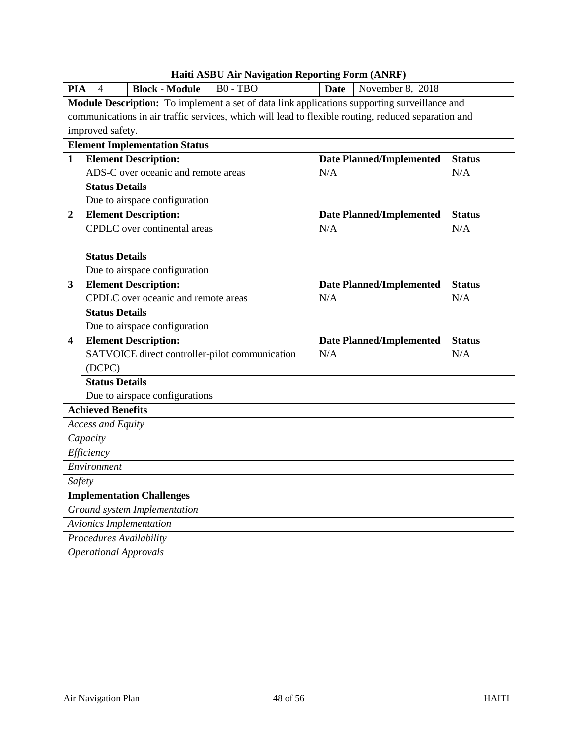|                                            | Haiti ASBU Air Navigation Reporting Form (ANRF)                            |  |                                  |                                                |             |                                                                                                     |               |  |
|--------------------------------------------|----------------------------------------------------------------------------|--|----------------------------------|------------------------------------------------|-------------|-----------------------------------------------------------------------------------------------------|---------------|--|
| <b>PIA</b>                                 | $\overline{4}$                                                             |  | <b>Block - Module</b>            | B0 - TBO                                       | <b>Date</b> | November 8, 2018                                                                                    |               |  |
|                                            |                                                                            |  |                                  |                                                |             | Module Description: To implement a set of data link applications supporting surveillance and        |               |  |
|                                            |                                                                            |  |                                  |                                                |             | communications in air traffic services, which will lead to flexible routing, reduced separation and |               |  |
|                                            | improved safety.                                                           |  |                                  |                                                |             |                                                                                                     |               |  |
|                                            | <b>Element Implementation Status</b>                                       |  |                                  |                                                |             |                                                                                                     |               |  |
| $\mathbf{1}$                               |                                                                            |  | <b>Element Description:</b>      |                                                |             | <b>Date Planned/Implemented</b>                                                                     | <b>Status</b> |  |
|                                            | ADS-C over oceanic and remote areas<br>N/A<br>N/A<br><b>Status Details</b> |  |                                  |                                                |             |                                                                                                     |               |  |
|                                            |                                                                            |  |                                  |                                                |             |                                                                                                     |               |  |
|                                            |                                                                            |  | Due to airspace configuration    |                                                |             |                                                                                                     |               |  |
| 2                                          |                                                                            |  | <b>Element Description:</b>      |                                                |             | <b>Date Planned/Implemented</b>                                                                     | <b>Status</b> |  |
|                                            |                                                                            |  | CPDLC over continental areas     |                                                | N/A         |                                                                                                     | N/A           |  |
|                                            |                                                                            |  |                                  |                                                |             |                                                                                                     |               |  |
|                                            | <b>Status Details</b>                                                      |  |                                  |                                                |             |                                                                                                     |               |  |
|                                            |                                                                            |  | Due to airspace configuration    |                                                |             |                                                                                                     |               |  |
| 3                                          |                                                                            |  | <b>Element Description:</b>      |                                                |             | <b>Date Planned/Implemented</b>                                                                     | <b>Status</b> |  |
| CPDLC over oceanic and remote areas<br>N/A |                                                                            |  |                                  |                                                | N/A         |                                                                                                     |               |  |
|                                            | <b>Status Details</b>                                                      |  |                                  |                                                |             |                                                                                                     |               |  |
|                                            |                                                                            |  | Due to airspace configuration    |                                                |             |                                                                                                     |               |  |
| 4                                          |                                                                            |  | <b>Element Description:</b>      |                                                |             | <b>Date Planned/Implemented</b>                                                                     | <b>Status</b> |  |
|                                            |                                                                            |  |                                  | SATVOICE direct controller-pilot communication | N/A         |                                                                                                     | N/A           |  |
|                                            | (DCPC)                                                                     |  |                                  |                                                |             |                                                                                                     |               |  |
|                                            | <b>Status Details</b>                                                      |  |                                  |                                                |             |                                                                                                     |               |  |
|                                            |                                                                            |  | Due to airspace configurations   |                                                |             |                                                                                                     |               |  |
|                                            | <b>Achieved Benefits</b>                                                   |  |                                  |                                                |             |                                                                                                     |               |  |
|                                            | <b>Access and Equity</b>                                                   |  |                                  |                                                |             |                                                                                                     |               |  |
|                                            | Capacity                                                                   |  |                                  |                                                |             |                                                                                                     |               |  |
|                                            | Efficiency                                                                 |  |                                  |                                                |             |                                                                                                     |               |  |
|                                            | $\overline{E}$ nvironment                                                  |  |                                  |                                                |             |                                                                                                     |               |  |
| Safety                                     |                                                                            |  |                                  |                                                |             |                                                                                                     |               |  |
|                                            |                                                                            |  | <b>Implementation Challenges</b> |                                                |             |                                                                                                     |               |  |
|                                            |                                                                            |  | Ground system Implementation     |                                                |             |                                                                                                     |               |  |
|                                            |                                                                            |  | <b>Avionics Implementation</b>   |                                                |             |                                                                                                     |               |  |
|                                            |                                                                            |  | Procedures Availability          |                                                |             |                                                                                                     |               |  |
|                                            |                                                                            |  | <b>Operational Approvals</b>     |                                                |             |                                                                                                     |               |  |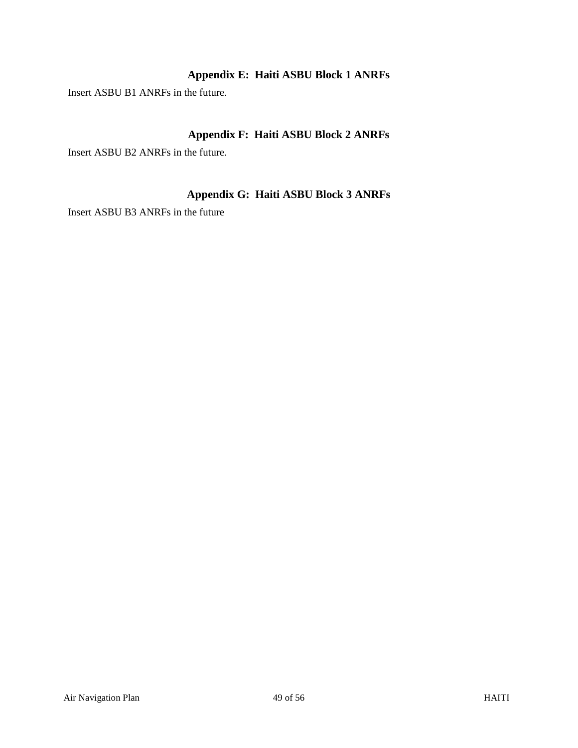# **Appendix E: Haiti ASBU Block 1 ANRFs**

<span id="page-48-0"></span>Insert ASBU B1 ANRFs in the future.

# **Appendix F: Haiti ASBU Block 2 ANRFs**

<span id="page-48-1"></span>Insert ASBU B2 ANRFs in the future.

# **Appendix G: Haiti ASBU Block 3 ANRFs**

<span id="page-48-2"></span>Insert ASBU B3 ANRFs in the future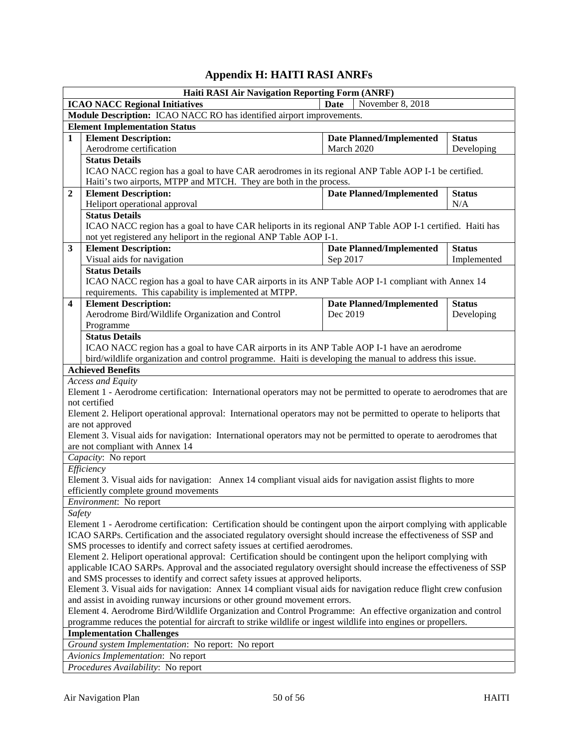# **Appendix H: HAITI RASI ANRFs**

<span id="page-49-0"></span>

| Haiti RASI Air Navigation Reporting Form (ANRF)                                                                  |                                                                                                                                                                                                |                                                  |                                 |               |  |  |
|------------------------------------------------------------------------------------------------------------------|------------------------------------------------------------------------------------------------------------------------------------------------------------------------------------------------|--------------------------------------------------|---------------------------------|---------------|--|--|
|                                                                                                                  | <b>ICAO NACC Regional Initiatives</b>                                                                                                                                                          | <b>Date</b>                                      | November 8, 2018                |               |  |  |
|                                                                                                                  | Module Description: ICAO NACC RO has identified airport improvements.                                                                                                                          |                                                  |                                 |               |  |  |
|                                                                                                                  | <b>Element Implementation Status</b>                                                                                                                                                           |                                                  |                                 |               |  |  |
| 1                                                                                                                | <b>Element Description:</b>                                                                                                                                                                    | <b>Date Planned/Implemented</b><br><b>Status</b> |                                 |               |  |  |
|                                                                                                                  | Aerodrome certification                                                                                                                                                                        | March 2020                                       |                                 | Developing    |  |  |
|                                                                                                                  | <b>Status Details</b>                                                                                                                                                                          |                                                  |                                 |               |  |  |
|                                                                                                                  | ICAO NACC region has a goal to have CAR aerodromes in its regional ANP Table AOP I-1 be certified.                                                                                             |                                                  |                                 |               |  |  |
|                                                                                                                  | Haiti's two airports, MTPP and MTCH. They are both in the process.                                                                                                                             |                                                  |                                 |               |  |  |
| $\boldsymbol{2}$                                                                                                 | <b>Element Description:</b>                                                                                                                                                                    |                                                  | <b>Date Planned/Implemented</b> | <b>Status</b> |  |  |
|                                                                                                                  | Heliport operational approval                                                                                                                                                                  | N/A                                              |                                 |               |  |  |
|                                                                                                                  | <b>Status Details</b>                                                                                                                                                                          |                                                  |                                 |               |  |  |
|                                                                                                                  | ICAO NACC region has a goal to have CAR heliports in its regional ANP Table AOP I-1 certified. Haiti has                                                                                       |                                                  |                                 |               |  |  |
|                                                                                                                  | not yet registered any heliport in the regional ANP Table AOP I-1.                                                                                                                             |                                                  |                                 |               |  |  |
| $\mathbf{3}$                                                                                                     | <b>Element Description:</b>                                                                                                                                                                    |                                                  | <b>Date Planned/Implemented</b> | <b>Status</b> |  |  |
|                                                                                                                  | Visual aids for navigation                                                                                                                                                                     | Sep 2017                                         |                                 | Implemented   |  |  |
|                                                                                                                  | <b>Status Details</b>                                                                                                                                                                          |                                                  |                                 |               |  |  |
|                                                                                                                  | ICAO NACC region has a goal to have CAR airports in its ANP Table AOP I-1 compliant with Annex 14                                                                                              |                                                  |                                 |               |  |  |
|                                                                                                                  | requirements. This capability is implemented at MTPP.                                                                                                                                          |                                                  |                                 |               |  |  |
| $\overline{\mathbf{4}}$                                                                                          | <b>Element Description:</b>                                                                                                                                                                    |                                                  | <b>Date Planned/Implemented</b> | <b>Status</b> |  |  |
|                                                                                                                  | Aerodrome Bird/Wildlife Organization and Control                                                                                                                                               | Dec 2019                                         |                                 | Developing    |  |  |
|                                                                                                                  | Programme                                                                                                                                                                                      |                                                  |                                 |               |  |  |
|                                                                                                                  | <b>Status Details</b>                                                                                                                                                                          |                                                  |                                 |               |  |  |
|                                                                                                                  | ICAO NACC region has a goal to have CAR airports in its ANP Table AOP I-1 have an aerodrome                                                                                                    |                                                  |                                 |               |  |  |
|                                                                                                                  | bird/wildlife organization and control programme. Haiti is developing the manual to address this issue.                                                                                        |                                                  |                                 |               |  |  |
|                                                                                                                  | <b>Achieved Benefits</b>                                                                                                                                                                       |                                                  |                                 |               |  |  |
|                                                                                                                  | <b>Access and Equity</b>                                                                                                                                                                       |                                                  |                                 |               |  |  |
|                                                                                                                  | Element 1 - Aerodrome certification: International operators may not be permitted to operate to aerodromes that are                                                                            |                                                  |                                 |               |  |  |
|                                                                                                                  | not certified                                                                                                                                                                                  |                                                  |                                 |               |  |  |
|                                                                                                                  | Element 2. Heliport operational approval: International operators may not be permitted to operate to heliports that                                                                            |                                                  |                                 |               |  |  |
|                                                                                                                  | are not approved                                                                                                                                                                               |                                                  |                                 |               |  |  |
|                                                                                                                  | Element 3. Visual aids for navigation: International operators may not be permitted to operate to aerodromes that                                                                              |                                                  |                                 |               |  |  |
|                                                                                                                  | are not compliant with Annex 14                                                                                                                                                                |                                                  |                                 |               |  |  |
|                                                                                                                  | Capacity: No report                                                                                                                                                                            |                                                  |                                 |               |  |  |
|                                                                                                                  | Efficiency                                                                                                                                                                                     |                                                  |                                 |               |  |  |
|                                                                                                                  | Element 3. Visual aids for navigation: Annex 14 compliant visual aids for navigation assist flights to more                                                                                    |                                                  |                                 |               |  |  |
|                                                                                                                  | efficiently complete ground movements                                                                                                                                                          |                                                  |                                 |               |  |  |
|                                                                                                                  | Environment: No report                                                                                                                                                                         |                                                  |                                 |               |  |  |
| Safety                                                                                                           |                                                                                                                                                                                                |                                                  |                                 |               |  |  |
|                                                                                                                  | Element 1 - Aerodrome certification: Certification should be contingent upon the airport complying with applicable                                                                             |                                                  |                                 |               |  |  |
|                                                                                                                  | ICAO SARPs. Certification and the associated regulatory oversight should increase the effectiveness of SSP and                                                                                 |                                                  |                                 |               |  |  |
|                                                                                                                  | SMS processes to identify and correct safety issues at certified aerodromes.                                                                                                                   |                                                  |                                 |               |  |  |
| Element 2. Heliport operational approval: Certification should be contingent upon the heliport complying with    |                                                                                                                                                                                                |                                                  |                                 |               |  |  |
| applicable ICAO SARPs. Approval and the associated regulatory oversight should increase the effectiveness of SSP |                                                                                                                                                                                                |                                                  |                                 |               |  |  |
| and SMS processes to identify and correct safety issues at approved heliports.                                   |                                                                                                                                                                                                |                                                  |                                 |               |  |  |
|                                                                                                                  | Element 3. Visual aids for navigation: Annex 14 compliant visual aids for navigation reduce flight crew confusion<br>and assist in avoiding runway incursions or other ground movement errors. |                                                  |                                 |               |  |  |
|                                                                                                                  | Element 4. Aerodrome Bird/Wildlife Organization and Control Programme: An effective organization and control                                                                                   |                                                  |                                 |               |  |  |
|                                                                                                                  | programme reduces the potential for aircraft to strike wildlife or ingest wildlife into engines or propellers.                                                                                 |                                                  |                                 |               |  |  |
|                                                                                                                  | <b>Implementation Challenges</b>                                                                                                                                                               |                                                  |                                 |               |  |  |
|                                                                                                                  | Ground system Implementation: No report: No report                                                                                                                                             |                                                  |                                 |               |  |  |
|                                                                                                                  | Avionics Implementation: No report                                                                                                                                                             |                                                  |                                 |               |  |  |
|                                                                                                                  |                                                                                                                                                                                                |                                                  |                                 |               |  |  |
|                                                                                                                  | Procedures Availability: No report                                                                                                                                                             |                                                  |                                 |               |  |  |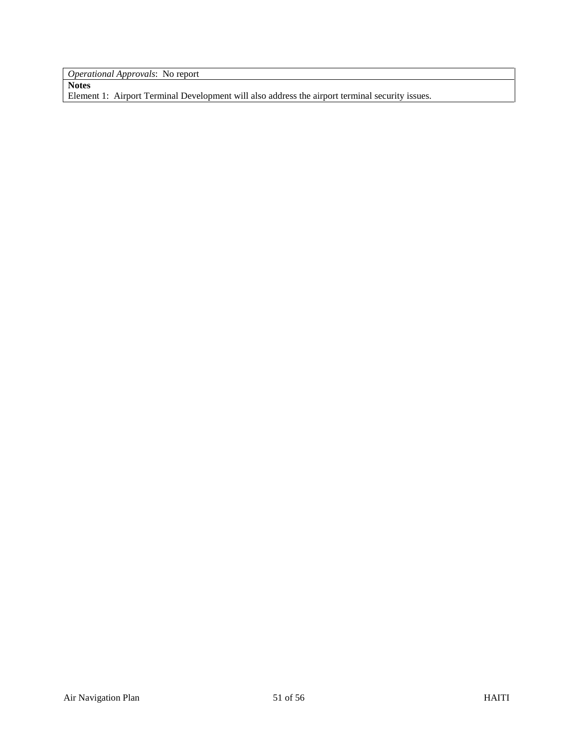*Operational Approvals*: No report

**Notes** Element 1: Airport Terminal Development will also address the airport terminal security issues.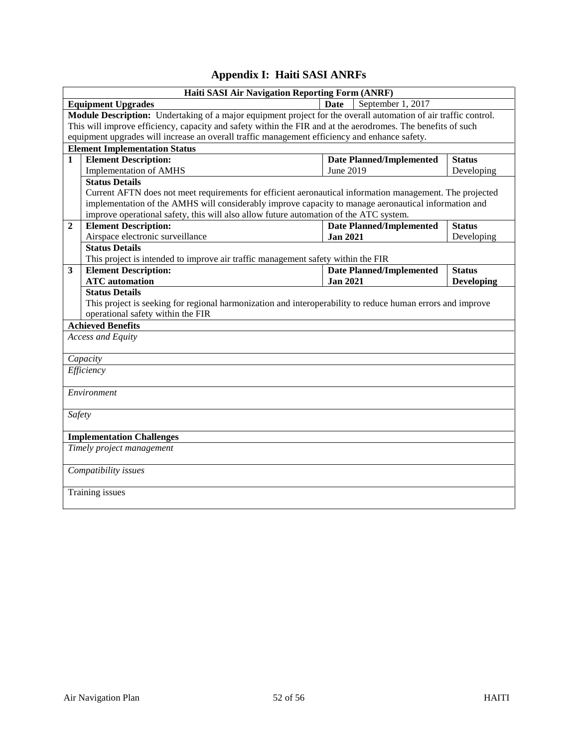# **Appendix I: Haiti SASI ANRFs**

<span id="page-51-0"></span>

|                                                                                  | Haiti SASI Air Navigation Reporting Form (ANRF)                                                                        |                 |                                 |                   |  |  |  |
|----------------------------------------------------------------------------------|------------------------------------------------------------------------------------------------------------------------|-----------------|---------------------------------|-------------------|--|--|--|
|                                                                                  | September 1, 2017<br><b>Date</b><br><b>Equipment Upgrades</b>                                                          |                 |                                 |                   |  |  |  |
|                                                                                  | <b>Module Description:</b> Undertaking of a major equipment project for the overall automation of air traffic control. |                 |                                 |                   |  |  |  |
|                                                                                  | This will improve efficiency, capacity and safety within the FIR and at the aerodromes. The benefits of such           |                 |                                 |                   |  |  |  |
|                                                                                  | equipment upgrades will increase an overall traffic management efficiency and enhance safety.                          |                 |                                 |                   |  |  |  |
|                                                                                  | <b>Element Implementation Status</b>                                                                                   |                 |                                 |                   |  |  |  |
| $\mathbf{1}$                                                                     | <b>Element Description:</b>                                                                                            |                 | <b>Date Planned/Implemented</b> | <b>Status</b>     |  |  |  |
|                                                                                  | <b>Implementation of AMHS</b>                                                                                          | June 2019       |                                 | Developing        |  |  |  |
|                                                                                  | <b>Status Details</b>                                                                                                  |                 |                                 |                   |  |  |  |
|                                                                                  | Current AFTN does not meet requirements for efficient aeronautical information management. The projected               |                 |                                 |                   |  |  |  |
|                                                                                  | implementation of the AMHS will considerably improve capacity to manage aeronautical information and                   |                 |                                 |                   |  |  |  |
|                                                                                  | improve operational safety, this will also allow future automation of the ATC system.                                  |                 |                                 |                   |  |  |  |
| <b>Element Description:</b><br><b>Date Planned/Implemented</b><br>$\overline{2}$ |                                                                                                                        |                 |                                 | <b>Status</b>     |  |  |  |
|                                                                                  | Airspace electronic surveillance                                                                                       | <b>Jan 2021</b> |                                 | Developing        |  |  |  |
|                                                                                  | <b>Status Details</b>                                                                                                  |                 |                                 |                   |  |  |  |
|                                                                                  | This project is intended to improve air traffic management safety within the FIR                                       |                 |                                 |                   |  |  |  |
| $\mathbf{3}$                                                                     | <b>Element Description:</b>                                                                                            |                 | <b>Date Planned/Implemented</b> | <b>Status</b>     |  |  |  |
|                                                                                  | <b>ATC</b> automation                                                                                                  | <b>Jan 2021</b> |                                 | <b>Developing</b> |  |  |  |
|                                                                                  | <b>Status Details</b>                                                                                                  |                 |                                 |                   |  |  |  |
|                                                                                  | This project is seeking for regional harmonization and interoperability to reduce human errors and improve             |                 |                                 |                   |  |  |  |
|                                                                                  | operational safety within the FIR                                                                                      |                 |                                 |                   |  |  |  |
|                                                                                  | <b>Achieved Benefits</b>                                                                                               |                 |                                 |                   |  |  |  |
|                                                                                  | Access and Equity                                                                                                      |                 |                                 |                   |  |  |  |
|                                                                                  |                                                                                                                        |                 |                                 |                   |  |  |  |
|                                                                                  | Capacity                                                                                                               |                 |                                 |                   |  |  |  |
|                                                                                  | Efficiency                                                                                                             |                 |                                 |                   |  |  |  |
|                                                                                  |                                                                                                                        |                 |                                 |                   |  |  |  |
|                                                                                  | Environment                                                                                                            |                 |                                 |                   |  |  |  |
|                                                                                  |                                                                                                                        |                 |                                 |                   |  |  |  |
| Safety                                                                           |                                                                                                                        |                 |                                 |                   |  |  |  |
|                                                                                  |                                                                                                                        |                 |                                 |                   |  |  |  |
|                                                                                  | <b>Implementation Challenges</b>                                                                                       |                 |                                 |                   |  |  |  |
|                                                                                  | Timely project management                                                                                              |                 |                                 |                   |  |  |  |
|                                                                                  | Compatibility issues                                                                                                   |                 |                                 |                   |  |  |  |
|                                                                                  | Training issues                                                                                                        |                 |                                 |                   |  |  |  |
|                                                                                  |                                                                                                                        |                 |                                 |                   |  |  |  |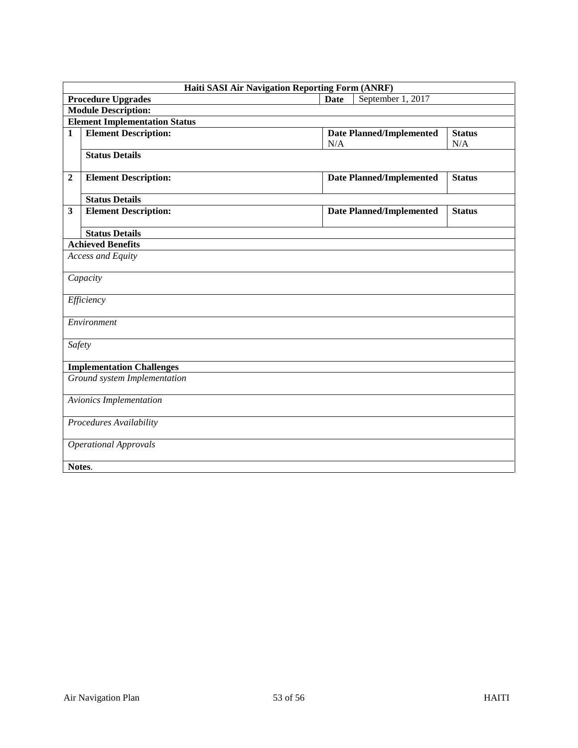|                  | <b>Haiti SASI Air Navigation Reporting Form (ANRF)</b> |                                                                |  |  |  |  |
|------------------|--------------------------------------------------------|----------------------------------------------------------------|--|--|--|--|
|                  | <b>Procedure Upgrades</b>                              | September 1, 2017<br>Date                                      |  |  |  |  |
|                  | <b>Module Description:</b>                             |                                                                |  |  |  |  |
|                  | <b>Element Implementation Status</b>                   |                                                                |  |  |  |  |
| $\mathbf{1}$     | <b>Element Description:</b>                            | <b>Date Planned/Implemented</b><br><b>Status</b><br>N/A<br>N/A |  |  |  |  |
|                  | <b>Status Details</b>                                  |                                                                |  |  |  |  |
| $\boldsymbol{2}$ | <b>Element Description:</b>                            | <b>Date Planned/Implemented</b><br><b>Status</b>               |  |  |  |  |
|                  | <b>Status Details</b>                                  |                                                                |  |  |  |  |
| 3                | <b>Element Description:</b>                            | <b>Date Planned/Implemented</b><br><b>Status</b>               |  |  |  |  |
|                  | <b>Status Details</b>                                  |                                                                |  |  |  |  |
|                  | <b>Achieved Benefits</b>                               |                                                                |  |  |  |  |
|                  | <b>Access and Equity</b>                               |                                                                |  |  |  |  |
|                  | Capacity                                               |                                                                |  |  |  |  |
|                  | Efficiency                                             |                                                                |  |  |  |  |
|                  | Environment                                            |                                                                |  |  |  |  |
| Safety           |                                                        |                                                                |  |  |  |  |
|                  | <b>Implementation Challenges</b>                       |                                                                |  |  |  |  |
|                  | Ground system Implementation                           |                                                                |  |  |  |  |
|                  | Avionics Implementation                                |                                                                |  |  |  |  |
|                  | Procedures Availability                                |                                                                |  |  |  |  |
|                  | <b>Operational Approvals</b>                           |                                                                |  |  |  |  |
|                  | Notes.                                                 |                                                                |  |  |  |  |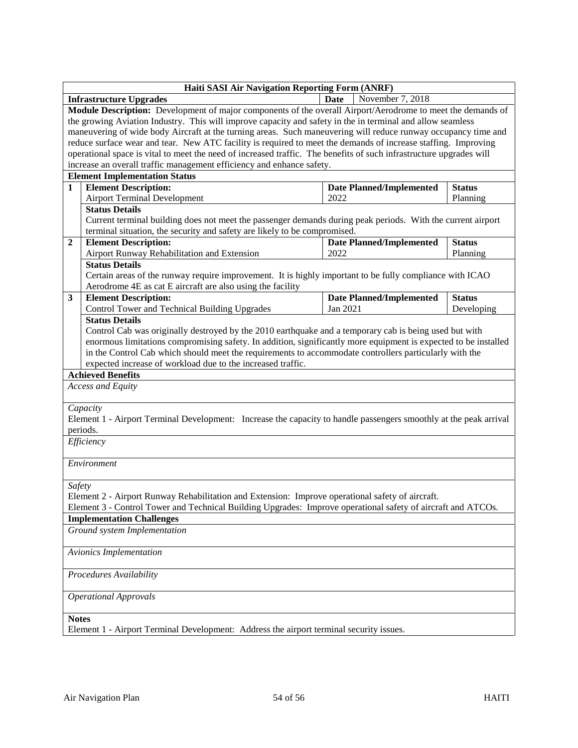| <b>Haiti SASI Air Navigation Reporting Form (ANRF)</b>                                                              |                                 |               |  |  |  |
|---------------------------------------------------------------------------------------------------------------------|---------------------------------|---------------|--|--|--|
| <b>Infrastructure Upgrades</b>                                                                                      | <b>Date</b><br>November 7, 2018 |               |  |  |  |
| Module Description: Development of major components of the overall Airport/Aerodrome to meet the demands of         |                                 |               |  |  |  |
| the growing Aviation Industry. This will improve capacity and safety in the in terminal and allow seamless          |                                 |               |  |  |  |
| maneuvering of wide body Aircraft at the turning areas. Such maneuvering will reduce runway occupancy time and      |                                 |               |  |  |  |
| reduce surface wear and tear. New ATC facility is required to meet the demands of increase staffing. Improving      |                                 |               |  |  |  |
| operational space is vital to meet the need of increased traffic. The benefits of such infrastructure upgrades will |                                 |               |  |  |  |
| increase an overall traffic management efficiency and enhance safety.                                               |                                 |               |  |  |  |
| <b>Element Implementation Status</b>                                                                                |                                 |               |  |  |  |
| <b>Element Description:</b><br>$\mathbf{1}$                                                                         | <b>Date Planned/Implemented</b> | <b>Status</b> |  |  |  |
| <b>Airport Terminal Development</b>                                                                                 | 2022                            | Planning      |  |  |  |
| <b>Status Details</b>                                                                                               |                                 |               |  |  |  |
| Current terminal building does not meet the passenger demands during peak periods. With the current airport         |                                 |               |  |  |  |
| terminal situation, the security and safety are likely to be compromised.                                           |                                 |               |  |  |  |
| <b>Element Description:</b><br>$\overline{2}$                                                                       | <b>Date Planned/Implemented</b> | <b>Status</b> |  |  |  |
| Airport Runway Rehabilitation and Extension                                                                         | 2022                            | Planning      |  |  |  |
| <b>Status Details</b>                                                                                               |                                 |               |  |  |  |
| Certain areas of the runway require improvement. It is highly important to be fully compliance with ICAO            |                                 |               |  |  |  |
| Aerodrome 4E as cat E aircraft are also using the facility                                                          |                                 |               |  |  |  |
| <b>Element Description:</b><br>3                                                                                    | <b>Date Planned/Implemented</b> | <b>Status</b> |  |  |  |
| Control Tower and Technical Building Upgrades                                                                       | Jan 2021                        | Developing    |  |  |  |
| <b>Status Details</b>                                                                                               |                                 |               |  |  |  |
| Control Cab was originally destroyed by the 2010 earthquake and a temporary cab is being used but with              |                                 |               |  |  |  |
| enormous limitations compromising safety. In addition, significantly more equipment is expected to be installed     |                                 |               |  |  |  |
| in the Control Cab which should meet the requirements to accommodate controllers particularly with the              |                                 |               |  |  |  |
| expected increase of workload due to the increased traffic.                                                         |                                 |               |  |  |  |
| <b>Achieved Benefits</b>                                                                                            |                                 |               |  |  |  |
| Access and Equity                                                                                                   |                                 |               |  |  |  |
|                                                                                                                     |                                 |               |  |  |  |
| Capacity                                                                                                            |                                 |               |  |  |  |
| Element 1 - Airport Terminal Development: Increase the capacity to handle passengers smoothly at the peak arrival   |                                 |               |  |  |  |
| periods.                                                                                                            |                                 |               |  |  |  |
| Efficiency                                                                                                          |                                 |               |  |  |  |
|                                                                                                                     |                                 |               |  |  |  |
| Environment                                                                                                         |                                 |               |  |  |  |
|                                                                                                                     |                                 |               |  |  |  |
| Safety                                                                                                              |                                 |               |  |  |  |
| Element 2 - Airport Runway Rehabilitation and Extension: Improve operational safety of aircraft.                    |                                 |               |  |  |  |
| Element 3 - Control Tower and Technical Building Upgrades: Improve operational safety of aircraft and ATCOs.        |                                 |               |  |  |  |
| <b>Implementation Challenges</b>                                                                                    |                                 |               |  |  |  |
| Ground system Implementation                                                                                        |                                 |               |  |  |  |
|                                                                                                                     |                                 |               |  |  |  |
| Avionics Implementation                                                                                             |                                 |               |  |  |  |
|                                                                                                                     |                                 |               |  |  |  |
| Procedures Availability                                                                                             |                                 |               |  |  |  |
|                                                                                                                     |                                 |               |  |  |  |
| <b>Operational Approvals</b>                                                                                        |                                 |               |  |  |  |
|                                                                                                                     |                                 |               |  |  |  |
| <b>Notes</b>                                                                                                        |                                 |               |  |  |  |
| Element 1 - Airport Terminal Development: Address the airport terminal security issues.                             |                                 |               |  |  |  |